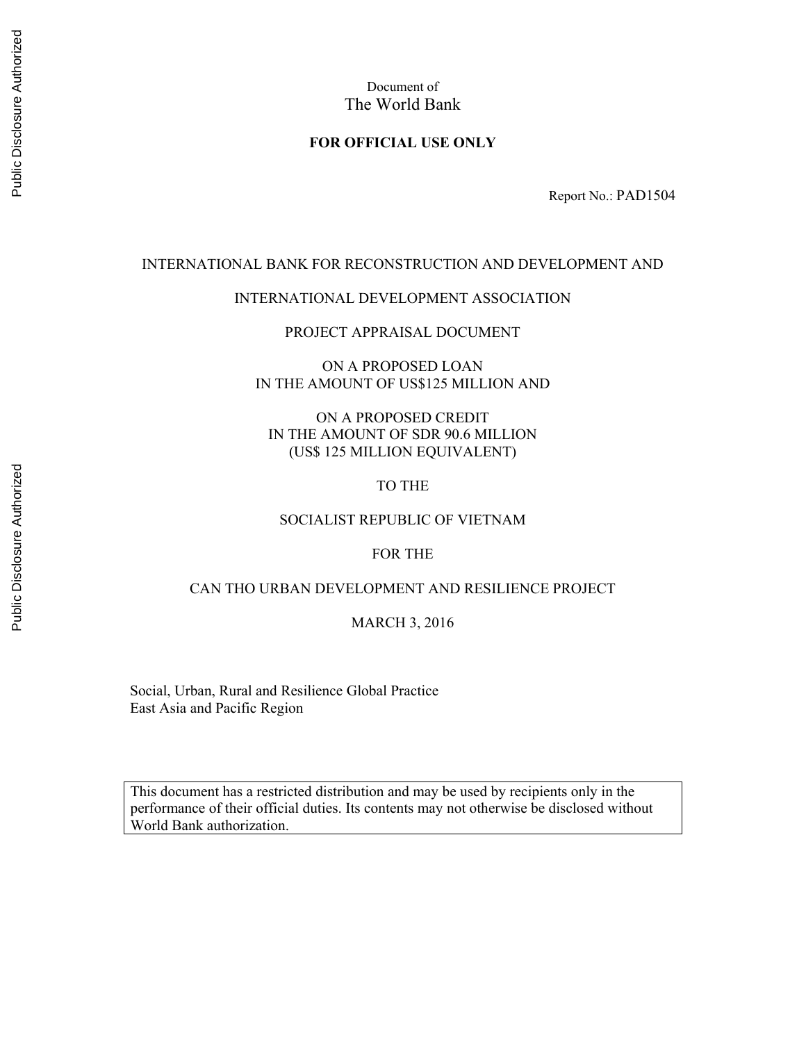Document of The World Bank

#### **FOR OFFICIAL USE ONLY**

Report No.: PAD1504

#### INTERNATIONAL BANK FOR RECONSTRUCTION AND DEVELOPMENT AND

#### INTERNATIONAL DEVELOPMENT ASSOCIATION

PROJECT APPRAISAL DOCUMENT

ON A PROPOSED LOAN IN THE AMOUNT OF US\$125 MILLION AND

ON A PROPOSED CREDIT IN THE AMOUNT OF SDR 90.6 MILLION (US\$ 125 MILLION EQUIVALENT)

TO THE

#### SOCIALIST REPUBLIC OF VIETNAM

#### FOR THE

#### CAN THO URBAN DEVELOPMENT AND RESILIENCE PROJECT

#### MARCH 3, 2016

Social, Urban, Rural and Resilience Global Practice East Asia and Pacific Region

This document has a restricted distribution and may be used by recipients only in the performance of their official duties. Its contents may not otherwise be disclosed without World Bank authorization.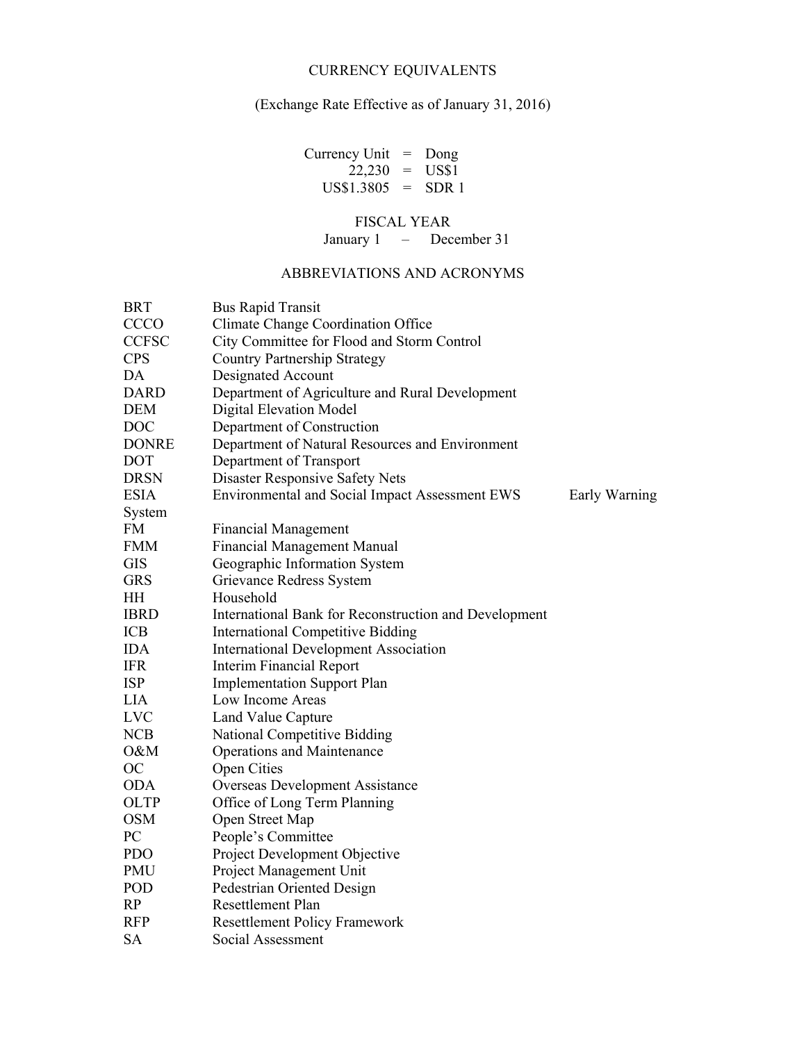#### CURRENCY EQUIVALENTS

## (Exchange Rate Effective as of January 31, 2016)

Currency Unit = Dong  $22,230 = US$1$  $US$1.3805 = SDR 1$ 

## FISCAL YEAR

January 1 – December 31

#### ABBREVIATIONS AND ACRONYMS

| <b>BRT</b>   | <b>Bus Rapid Transit</b>                                        |
|--------------|-----------------------------------------------------------------|
| <b>CCCO</b>  | Climate Change Coordination Office                              |
| <b>CCFSC</b> | City Committee for Flood and Storm Control                      |
| <b>CPS</b>   | <b>Country Partnership Strategy</b>                             |
| DA           | Designated Account                                              |
| <b>DARD</b>  | Department of Agriculture and Rural Development                 |
| <b>DEM</b>   | <b>Digital Elevation Model</b>                                  |
| <b>DOC</b>   | Department of Construction                                      |
| <b>DONRE</b> | Department of Natural Resources and Environment                 |
| <b>DOT</b>   | Department of Transport                                         |
| <b>DRSN</b>  | Disaster Responsive Safety Nets                                 |
| <b>ESIA</b>  | Environmental and Social Impact Assessment EWS<br>Early Warning |
| System       |                                                                 |
| <b>FM</b>    | <b>Financial Management</b>                                     |
| <b>FMM</b>   | <b>Financial Management Manual</b>                              |
| <b>GIS</b>   | Geographic Information System                                   |
| <b>GRS</b>   | Grievance Redress System                                        |
| HH           | Household                                                       |
| <b>IBRD</b>  | International Bank for Reconstruction and Development           |
| ICB          | <b>International Competitive Bidding</b>                        |
| <b>IDA</b>   | <b>International Development Association</b>                    |
| <b>IFR</b>   | <b>Interim Financial Report</b>                                 |
| <b>ISP</b>   | <b>Implementation Support Plan</b>                              |
| <b>LIA</b>   | Low Income Areas                                                |
| <b>LVC</b>   | Land Value Capture                                              |
| <b>NCB</b>   | National Competitive Bidding                                    |
| O&M          | <b>Operations and Maintenance</b>                               |
| <b>OC</b>    | <b>Open Cities</b>                                              |
| <b>ODA</b>   | <b>Overseas Development Assistance</b>                          |
| <b>OLTP</b>  | Office of Long Term Planning                                    |
| <b>OSM</b>   | Open Street Map                                                 |
| PC           | People's Committee                                              |
| <b>PDO</b>   | Project Development Objective                                   |
| <b>PMU</b>   | Project Management Unit                                         |
| POD          | Pedestrian Oriented Design                                      |
| RP           | Resettlement Plan                                               |
| <b>RFP</b>   | <b>Resettlement Policy Framework</b>                            |
| <b>SA</b>    | Social Assessment                                               |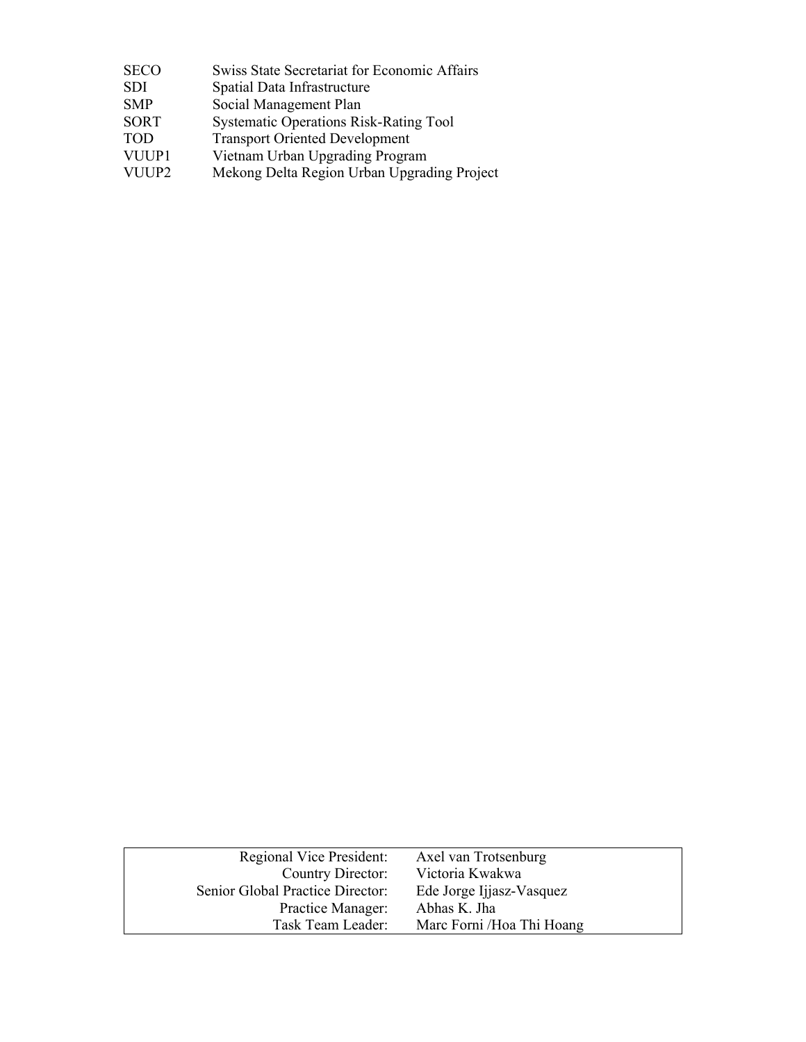| <b>SECO</b> | <b>Swiss State Secretariat for Economic Affairs</b> |  |
|-------------|-----------------------------------------------------|--|
| <b>SDI</b>  | Spatial Data Infrastructure                         |  |
| <b>SMP</b>  | Social Management Plan                              |  |
| <b>SORT</b> | <b>Systematic Operations Risk-Rating Tool</b>       |  |
| <b>TOD</b>  | <b>Transport Oriented Development</b>               |  |
| VUUP1       | Vietnam Urban Upgrading Program                     |  |
| VUUP2       | Mekong Delta Region Urban Upgrading Project         |  |
|             |                                                     |  |

| Regional Vice President:         | Axel van Trotsenburg       |
|----------------------------------|----------------------------|
| Country Director:                | Victoria Kwakwa            |
| Senior Global Practice Director: | Ede Jorge Ijjasz-Vasquez   |
| Practice Manager:                | Abhas K. Jha               |
| Task Team Leader:                | Marc Forni / Hoa Thi Hoang |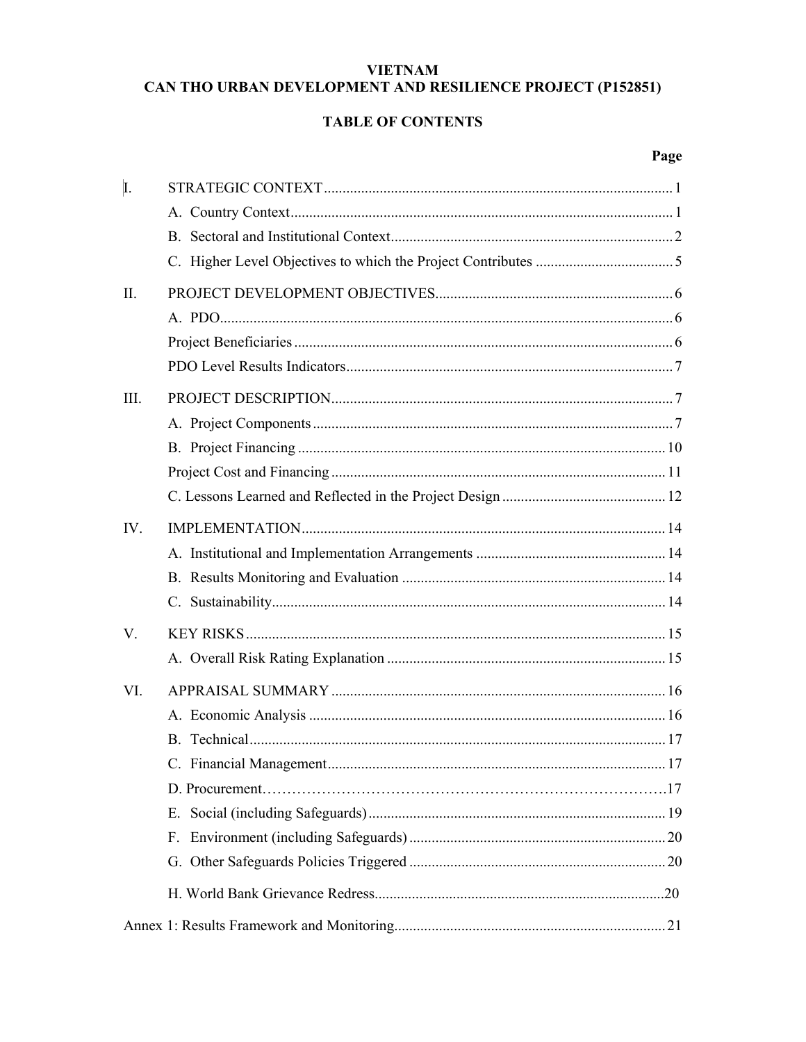## **VIETNAM** CAN THO URBAN DEVELOPMENT AND RESILIENCE PROJECT (P152851)

## **TABLE OF CONTENTS**

| I.   |             |     |
|------|-------------|-----|
|      |             |     |
|      |             |     |
|      |             |     |
| II.  |             |     |
|      |             |     |
|      |             |     |
|      |             |     |
| III. |             |     |
|      |             |     |
|      |             |     |
|      |             |     |
|      |             |     |
| IV.  |             |     |
|      |             |     |
|      |             |     |
|      |             |     |
| V.   |             |     |
|      |             |     |
| VI.  |             |     |
|      |             |     |
|      |             |     |
|      |             |     |
|      |             |     |
|      |             |     |
|      | $F_{\perp}$ |     |
|      |             |     |
|      |             | .20 |
|      |             |     |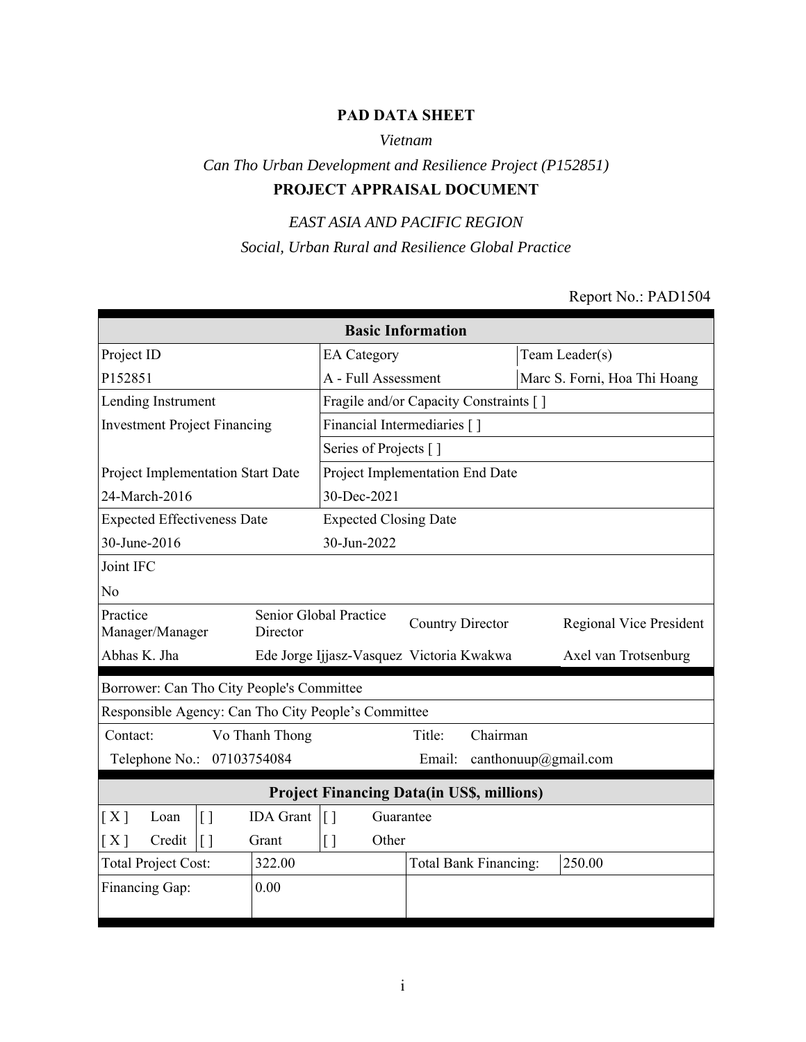# **PAD DATA SHEET**

## *Vietnam*

# *Can Tho Urban Development and Resilience Project (P152851)* **PROJECT APPRAISAL DOCUMENT**

# *EAST ASIA AND PACIFIC REGION Social, Urban Rural and Resilience Global Practice*

#### Report No.: PAD1504

| <b>Basic Information</b>                            |                  |                                                   |                                        |  |                              |  |  |
|-----------------------------------------------------|------------------|---------------------------------------------------|----------------------------------------|--|------------------------------|--|--|
| Project ID                                          |                  | <b>EA</b> Category                                |                                        |  | Team Leader(s)               |  |  |
| P152851                                             |                  | A - Full Assessment                               |                                        |  | Marc S. Forni, Hoa Thi Hoang |  |  |
| Lending Instrument                                  |                  |                                                   | Fragile and/or Capacity Constraints [] |  |                              |  |  |
| <b>Investment Project Financing</b>                 |                  |                                                   | Financial Intermediaries [ ]           |  |                              |  |  |
|                                                     |                  | Series of Projects []                             |                                        |  |                              |  |  |
| Project Implementation Start Date                   |                  |                                                   | Project Implementation End Date        |  |                              |  |  |
| 24-March-2016                                       |                  | 30-Dec-2021                                       |                                        |  |                              |  |  |
| <b>Expected Effectiveness Date</b>                  |                  | <b>Expected Closing Date</b>                      |                                        |  |                              |  |  |
| 30-June-2016                                        |                  | 30-Jun-2022                                       |                                        |  |                              |  |  |
| Joint IFC                                           |                  |                                                   |                                        |  |                              |  |  |
| N <sub>0</sub>                                      |                  |                                                   |                                        |  |                              |  |  |
| Practice<br>Manager/Manager                         | Director         | Senior Global Practice<br><b>Country Director</b> |                                        |  | Regional Vice President      |  |  |
| Abhas K. Jha                                        |                  | Ede Jorge Ijjasz-Vasquez Victoria Kwakwa          |                                        |  | Axel van Trotsenburg         |  |  |
| Borrower: Can Tho City People's Committee           |                  |                                                   |                                        |  |                              |  |  |
| Responsible Agency: Can Tho City People's Committee |                  |                                                   |                                        |  |                              |  |  |
| Contact:                                            | Vo Thanh Thong   |                                                   | Chairman<br>Title:                     |  |                              |  |  |
| Telephone No.: 07103754084                          |                  |                                                   | Email:                                 |  | canthonuup@gmail.com         |  |  |
| <b>Project Financing Data(in US\$, millions)</b>    |                  |                                                   |                                        |  |                              |  |  |
| $\left[ \ \right]$<br>[X]<br>Loan                   | <b>IDA</b> Grant | Guarantee<br>$\lceil$                             |                                        |  |                              |  |  |
| Credit<br>$\lceil$<br>[X]                           | Grant            | $[ \ ]$<br>Other                                  |                                        |  |                              |  |  |
| <b>Total Project Cost:</b>                          | 322.00           |                                                   | Total Bank Financing:                  |  | 250.00                       |  |  |
| Financing Gap:                                      | 0.00             |                                                   |                                        |  |                              |  |  |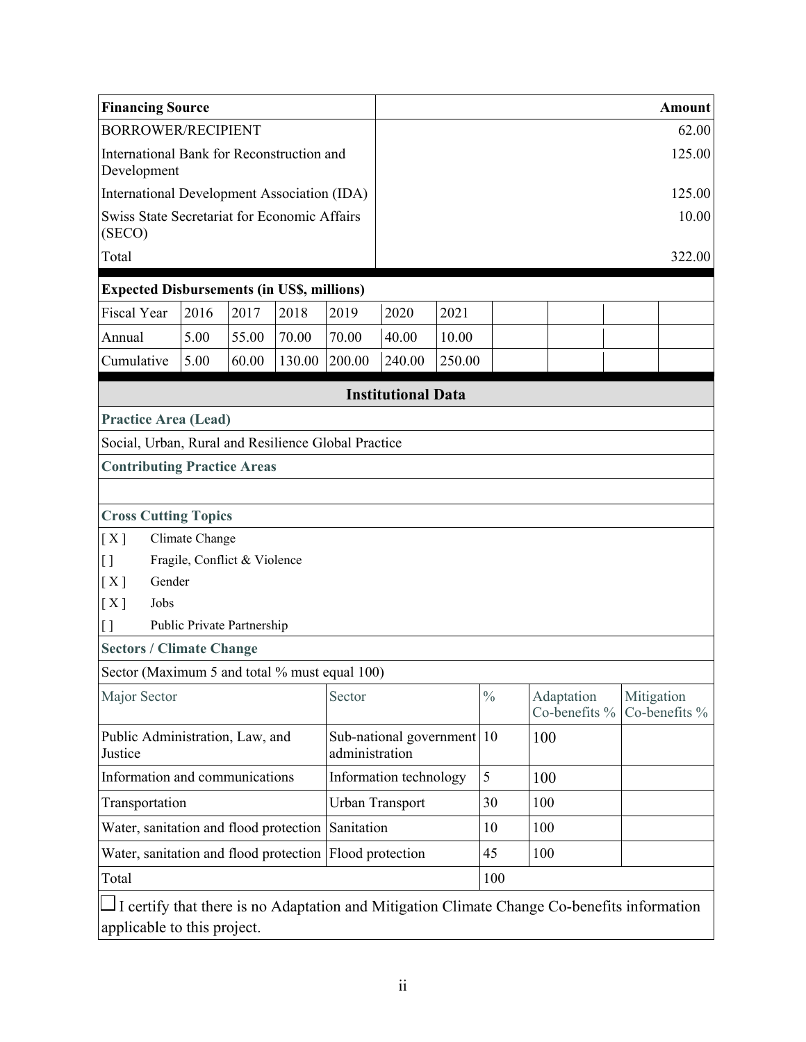| <b>Financing Source</b>                                                                     |                |                              |        |                        |                           |        |               |     |                             | <b>Amount</b>               |
|---------------------------------------------------------------------------------------------|----------------|------------------------------|--------|------------------------|---------------------------|--------|---------------|-----|-----------------------------|-----------------------------|
| <b>BORROWER/RECIPIENT</b>                                                                   |                |                              |        |                        |                           |        |               |     |                             | 62.00                       |
| International Bank for Reconstruction and<br>Development                                    |                |                              |        |                        |                           |        |               |     |                             | 125.00                      |
| <b>International Development Association (IDA)</b>                                          |                |                              |        |                        |                           |        |               |     |                             | 125.00                      |
| Swiss State Secretariat for Economic Affairs<br>(SECO)                                      |                |                              |        |                        |                           |        |               |     |                             | 10.00                       |
| Total                                                                                       |                |                              |        |                        |                           |        |               |     |                             | 322.00                      |
| <b>Expected Disbursements (in US\$, millions)</b>                                           |                |                              |        |                        |                           |        |               |     |                             |                             |
| <b>Fiscal Year</b>                                                                          | 2016           | 2017                         | 2018   | 2019                   | 2020                      | 2021   |               |     |                             |                             |
| Annual                                                                                      | 5.00           | 55.00                        | 70.00  | 70.00                  | 40.00                     | 10.00  |               |     |                             |                             |
| Cumulative                                                                                  | 5.00           | 60.00                        | 130.00 | 200.00                 | 240.00                    | 250.00 |               |     |                             |                             |
|                                                                                             |                |                              |        |                        | <b>Institutional Data</b> |        |               |     |                             |                             |
| <b>Practice Area (Lead)</b>                                                                 |                |                              |        |                        |                           |        |               |     |                             |                             |
| Social, Urban, Rural and Resilience Global Practice                                         |                |                              |        |                        |                           |        |               |     |                             |                             |
| <b>Contributing Practice Areas</b>                                                          |                |                              |        |                        |                           |        |               |     |                             |                             |
|                                                                                             |                |                              |        |                        |                           |        |               |     |                             |                             |
| <b>Cross Cutting Topics</b>                                                                 |                |                              |        |                        |                           |        |               |     |                             |                             |
| [X]                                                                                         | Climate Change |                              |        |                        |                           |        |               |     |                             |                             |
| $\left[ \ \right]$                                                                          |                | Fragile, Conflict & Violence |        |                        |                           |        |               |     |                             |                             |
| [X]<br>Gender                                                                               |                |                              |        |                        |                           |        |               |     |                             |                             |
| [X]<br>Jobs                                                                                 |                |                              |        |                        |                           |        |               |     |                             |                             |
| $\left[ \ \right]$                                                                          |                | Public Private Partnership   |        |                        |                           |        |               |     |                             |                             |
| <b>Sectors / Climate Change</b>                                                             |                |                              |        |                        |                           |        |               |     |                             |                             |
| Sector (Maximum 5 and total % must equal 100)                                               |                |                              |        |                        |                           |        |               |     |                             |                             |
| Major Sector                                                                                |                |                              |        | Sector                 |                           |        | $\frac{0}{0}$ |     | Adaptation<br>Co-benefits % | Mitigation<br>Co-benefits % |
| Public Administration, Law, and<br>Justice                                                  |                |                              |        | administration         | Sub-national government   |        | 10            | 100 |                             |                             |
| Information and communications                                                              |                |                              |        |                        | Information technology    |        | 5             | 100 |                             |                             |
| Transportation                                                                              |                |                              |        | <b>Urban Transport</b> |                           |        | 30            | 100 |                             |                             |
| Water, sanitation and flood protection                                                      |                |                              |        | Sanitation             |                           |        | 10            | 100 |                             |                             |
| Water, sanitation and flood protection Flood protection                                     |                |                              |        |                        |                           |        | 45            | 100 |                             |                             |
| Total                                                                                       |                |                              |        |                        |                           |        | 100           |     |                             |                             |
| I certify that there is no Adaptation and Mitigation Climate Change Co-benefits information |                |                              |        |                        |                           |        |               |     |                             |                             |
| applicable to this project.                                                                 |                |                              |        |                        |                           |        |               |     |                             |                             |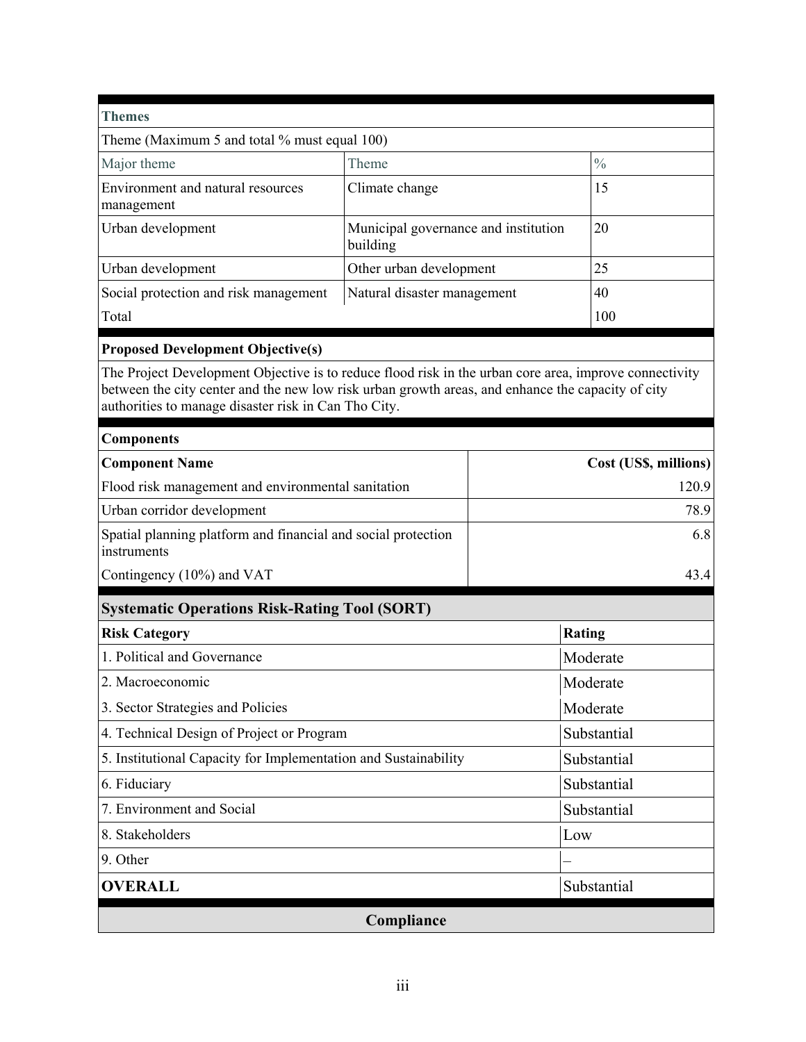| <b>Themes</b>                                                                                                                                                                                                                                                       |                                                  |  |                       |  |
|---------------------------------------------------------------------------------------------------------------------------------------------------------------------------------------------------------------------------------------------------------------------|--------------------------------------------------|--|-----------------------|--|
| Theme (Maximum 5 and total % must equal 100)                                                                                                                                                                                                                        |                                                  |  |                       |  |
| Major theme                                                                                                                                                                                                                                                         | Theme                                            |  |                       |  |
| Environment and natural resources<br>management                                                                                                                                                                                                                     | Climate change                                   |  |                       |  |
| Urban development                                                                                                                                                                                                                                                   | Municipal governance and institution<br>building |  | 20                    |  |
| Urban development                                                                                                                                                                                                                                                   | Other urban development                          |  | 25                    |  |
| Social protection and risk management                                                                                                                                                                                                                               | Natural disaster management                      |  | 40                    |  |
| Total                                                                                                                                                                                                                                                               |                                                  |  | 100                   |  |
| <b>Proposed Development Objective(s)</b>                                                                                                                                                                                                                            |                                                  |  |                       |  |
| The Project Development Objective is to reduce flood risk in the urban core area, improve connectivity<br>between the city center and the new low risk urban growth areas, and enhance the capacity of city<br>authorities to manage disaster risk in Can Tho City. |                                                  |  |                       |  |
| <b>Components</b>                                                                                                                                                                                                                                                   |                                                  |  |                       |  |
| <b>Component Name</b>                                                                                                                                                                                                                                               |                                                  |  | Cost (US\$, millions) |  |
| Flood risk management and environmental sanitation                                                                                                                                                                                                                  |                                                  |  | 120.9                 |  |
| Urban corridor development                                                                                                                                                                                                                                          | 78.9                                             |  |                       |  |
| Spatial planning platform and financial and social protection<br>instruments                                                                                                                                                                                        | 6.8                                              |  |                       |  |
| Contingency (10%) and VAT                                                                                                                                                                                                                                           |                                                  |  | 43.4                  |  |
| <b>Systematic Operations Risk-Rating Tool (SORT)</b>                                                                                                                                                                                                                |                                                  |  |                       |  |
| <b>Risk Category</b>                                                                                                                                                                                                                                                |                                                  |  | Rating                |  |
| 1. Political and Governance                                                                                                                                                                                                                                         |                                                  |  | Moderate              |  |
| 2. Macroeconomic                                                                                                                                                                                                                                                    |                                                  |  | Moderate              |  |
| 3. Sector Strategies and Policies                                                                                                                                                                                                                                   |                                                  |  | Moderate              |  |
| 4. Technical Design of Project or Program                                                                                                                                                                                                                           |                                                  |  | Substantial           |  |
| 5. Institutional Capacity for Implementation and Sustainability                                                                                                                                                                                                     |                                                  |  | Substantial           |  |
| 6. Fiduciary                                                                                                                                                                                                                                                        | Substantial                                      |  |                       |  |
| 7. Environment and Social                                                                                                                                                                                                                                           | Substantial                                      |  |                       |  |
| 8. Stakeholders                                                                                                                                                                                                                                                     | Low                                              |  |                       |  |
| 9. Other                                                                                                                                                                                                                                                            |                                                  |  |                       |  |
| <b>OVERALL</b>                                                                                                                                                                                                                                                      |                                                  |  | Substantial           |  |
|                                                                                                                                                                                                                                                                     | Compliance                                       |  |                       |  |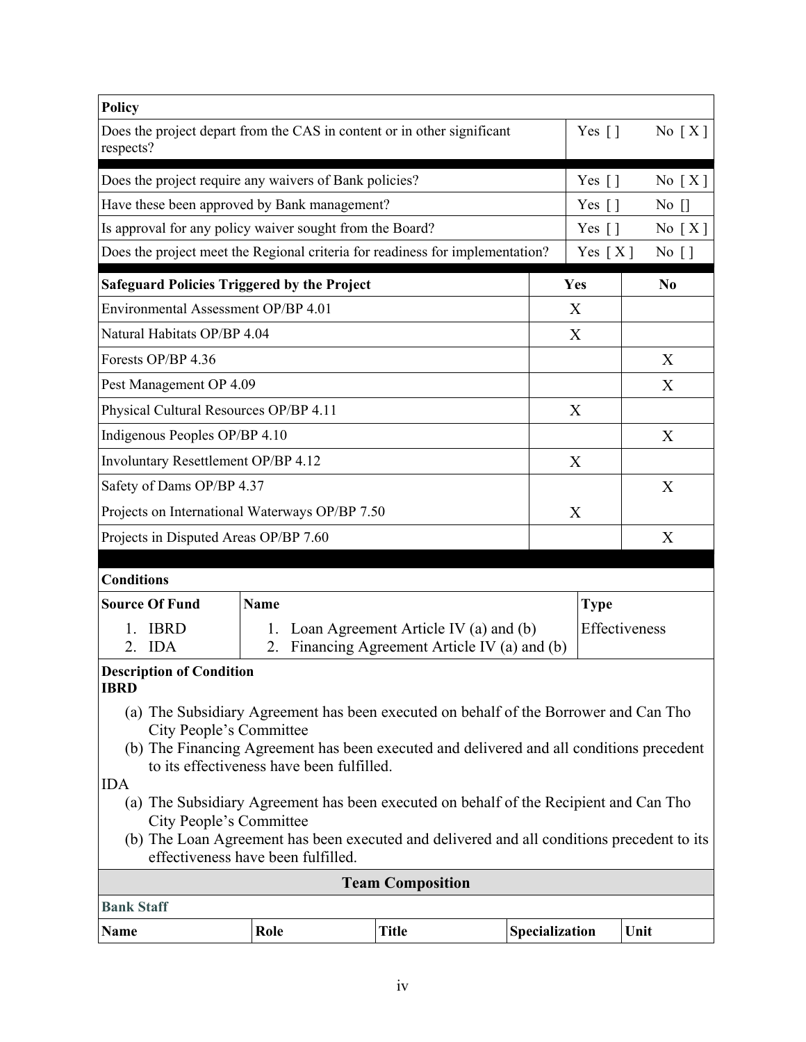| <b>Policy</b>                                                                                                                                                                                                                                                      |                                                          |                                                                                        |                |                     |                               |  |  |
|--------------------------------------------------------------------------------------------------------------------------------------------------------------------------------------------------------------------------------------------------------------------|----------------------------------------------------------|----------------------------------------------------------------------------------------|----------------|---------------------|-------------------------------|--|--|
| Does the project depart from the CAS in content or in other significant<br>respects?                                                                                                                                                                               |                                                          | Yes $\lceil \rceil$                                                                    | No $[X]$       |                     |                               |  |  |
| Does the project require any waivers of Bank policies?                                                                                                                                                                                                             |                                                          |                                                                                        |                | Yes $\lceil \rceil$ | No $[X]$                      |  |  |
| Have these been approved by Bank management?                                                                                                                                                                                                                       |                                                          |                                                                                        |                | Yes [ ]             | $\overline{N}$ $\overline{C}$ |  |  |
|                                                                                                                                                                                                                                                                    | Is approval for any policy waiver sought from the Board? |                                                                                        |                |                     |                               |  |  |
| Does the project meet the Regional criteria for readiness for implementation?                                                                                                                                                                                      |                                                          |                                                                                        |                | Yes $[X]$           | $No$ []                       |  |  |
| <b>Safeguard Policies Triggered by the Project</b>                                                                                                                                                                                                                 |                                                          |                                                                                        |                | Yes                 | N <sub>0</sub>                |  |  |
| Environmental Assessment OP/BP 4.01                                                                                                                                                                                                                                |                                                          |                                                                                        |                | X                   |                               |  |  |
| Natural Habitats OP/BP 4.04                                                                                                                                                                                                                                        |                                                          |                                                                                        |                | X                   |                               |  |  |
| Forests OP/BP 4.36                                                                                                                                                                                                                                                 |                                                          |                                                                                        |                |                     | X                             |  |  |
| Pest Management OP 4.09                                                                                                                                                                                                                                            |                                                          |                                                                                        |                |                     | X                             |  |  |
| Physical Cultural Resources OP/BP 4.11                                                                                                                                                                                                                             |                                                          |                                                                                        |                | X                   |                               |  |  |
| Indigenous Peoples OP/BP 4.10                                                                                                                                                                                                                                      |                                                          |                                                                                        |                |                     | X                             |  |  |
| Involuntary Resettlement OP/BP 4.12                                                                                                                                                                                                                                |                                                          |                                                                                        |                | X                   |                               |  |  |
| Safety of Dams OP/BP 4.37                                                                                                                                                                                                                                          |                                                          |                                                                                        | X              |                     |                               |  |  |
| Projects on International Waterways OP/BP 7.50                                                                                                                                                                                                                     |                                                          |                                                                                        |                | X                   |                               |  |  |
| Projects in Disputed Areas OP/BP 7.60                                                                                                                                                                                                                              |                                                          |                                                                                        |                |                     | X                             |  |  |
|                                                                                                                                                                                                                                                                    |                                                          |                                                                                        |                |                     |                               |  |  |
| <b>Conditions</b>                                                                                                                                                                                                                                                  |                                                          |                                                                                        |                |                     |                               |  |  |
| <b>Source Of Fund</b>                                                                                                                                                                                                                                              | <b>Name</b>                                              |                                                                                        |                | <b>Type</b>         |                               |  |  |
| <b>IBRD</b><br><b>IDA</b><br>$\mathfrak{2}$ .                                                                                                                                                                                                                      | 2.                                                       | 1. Loan Agreement Article IV (a) and (b)<br>Financing Agreement Article IV (a) and (b) |                |                     | Effectiveness                 |  |  |
| <b>Description of Condition</b><br><b>IBRD</b>                                                                                                                                                                                                                     |                                                          |                                                                                        |                |                     |                               |  |  |
| (a) The Subsidiary Agreement has been executed on behalf of the Borrower and Can Tho<br>City People's Committee                                                                                                                                                    |                                                          |                                                                                        |                |                     |                               |  |  |
| (b) The Financing Agreement has been executed and delivered and all conditions precedent<br>to its effectiveness have been fulfilled.                                                                                                                              |                                                          |                                                                                        |                |                     |                               |  |  |
| <b>IDA</b><br>(a) The Subsidiary Agreement has been executed on behalf of the Recipient and Can Tho<br>City People's Committee<br>(b) The Loan Agreement has been executed and delivered and all conditions precedent to its<br>effectiveness have been fulfilled. |                                                          |                                                                                        |                |                     |                               |  |  |
|                                                                                                                                                                                                                                                                    |                                                          | <b>Team Composition</b>                                                                |                |                     |                               |  |  |
| <b>Bank Staff</b>                                                                                                                                                                                                                                                  |                                                          |                                                                                        |                |                     |                               |  |  |
| Name                                                                                                                                                                                                                                                               | Role                                                     | <b>Title</b>                                                                           | Specialization |                     | Unit                          |  |  |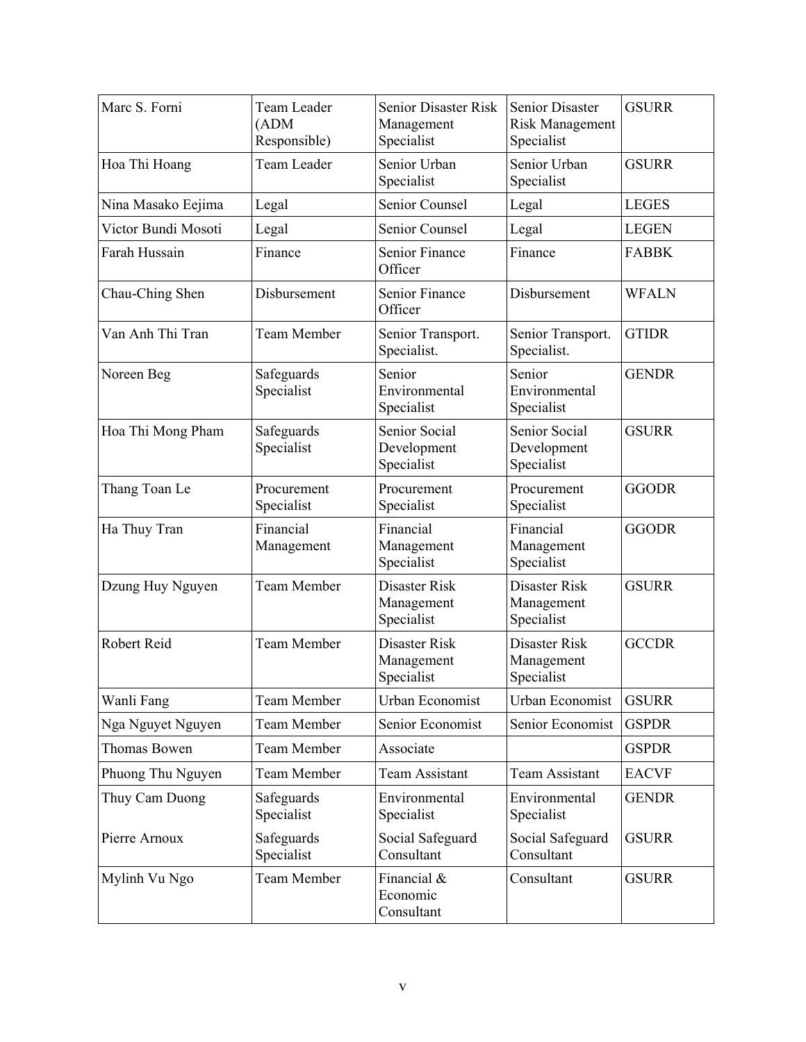| Marc S. Forni       | Team Leader<br>(ADM)<br>Responsible) | Senior Disaster Risk<br>Management<br>Specialist | <b>Senior Disaster</b><br><b>Risk Management</b><br>Specialist | <b>GSURR</b> |
|---------------------|--------------------------------------|--------------------------------------------------|----------------------------------------------------------------|--------------|
| Hoa Thi Hoang       | Team Leader                          | Senior Urban<br>Specialist                       | Senior Urban<br>Specialist                                     | <b>GSURR</b> |
| Nina Masako Eejima  | Legal                                | Senior Counsel                                   | Legal                                                          | <b>LEGES</b> |
| Victor Bundi Mosoti | Legal                                | Senior Counsel                                   | Legal                                                          | <b>LEGEN</b> |
| Farah Hussain       | Finance                              | Senior Finance<br>Officer                        | Finance                                                        | <b>FABBK</b> |
| Chau-Ching Shen     | Disbursement                         | Senior Finance<br>Officer                        | Disbursement                                                   | <b>WFALN</b> |
| Van Anh Thi Tran    | <b>Team Member</b>                   | Senior Transport.<br>Specialist.                 | Senior Transport.<br>Specialist.                               | <b>GTIDR</b> |
| Noreen Beg          | Safeguards<br>Specialist             | Senior<br>Environmental<br>Specialist            | Senior<br>Environmental<br>Specialist                          | <b>GENDR</b> |
| Hoa Thi Mong Pham   | Safeguards<br>Specialist             | Senior Social<br>Development<br>Specialist       | Senior Social<br>Development<br>Specialist                     | <b>GSURR</b> |
| Thang Toan Le       | Procurement<br>Specialist            | Procurement<br>Specialist                        | Procurement<br>Specialist                                      | <b>GGODR</b> |
| Ha Thuy Tran        | Financial<br>Management              | Financial<br>Management<br>Specialist            | Financial<br>Management<br>Specialist                          | <b>GGODR</b> |
| Dzung Huy Nguyen    | <b>Team Member</b>                   | Disaster Risk<br>Management<br>Specialist        | Disaster Risk<br>Management<br>Specialist                      | <b>GSURR</b> |
| Robert Reid         | <b>Team Member</b>                   | Disaster Risk<br>Management<br>Specialist        | Disaster Risk<br>Management<br>Specialist                      | <b>GCCDR</b> |
| Wanli Fang          | <b>Team Member</b>                   | Urban Economist                                  | <b>Urban Economist</b>                                         | <b>GSURR</b> |
| Nga Nguyet Nguyen   | Team Member                          | Senior Economist                                 | Senior Economist                                               | <b>GSPDR</b> |
| Thomas Bowen        | Team Member                          | Associate                                        |                                                                | <b>GSPDR</b> |
| Phuong Thu Nguyen   | <b>Team Member</b>                   | Team Assistant                                   | <b>Team Assistant</b>                                          | <b>EACVF</b> |
| Thuy Cam Duong      | Safeguards<br>Specialist             | Environmental<br>Specialist                      | Environmental<br>Specialist                                    | <b>GENDR</b> |
| Pierre Arnoux       | Safeguards<br>Specialist             | Social Safeguard<br>Consultant                   | Social Safeguard<br>Consultant                                 | <b>GSURR</b> |
| Mylinh Vu Ngo       | Team Member                          | Financial &<br>Economic<br>Consultant            | Consultant                                                     | <b>GSURR</b> |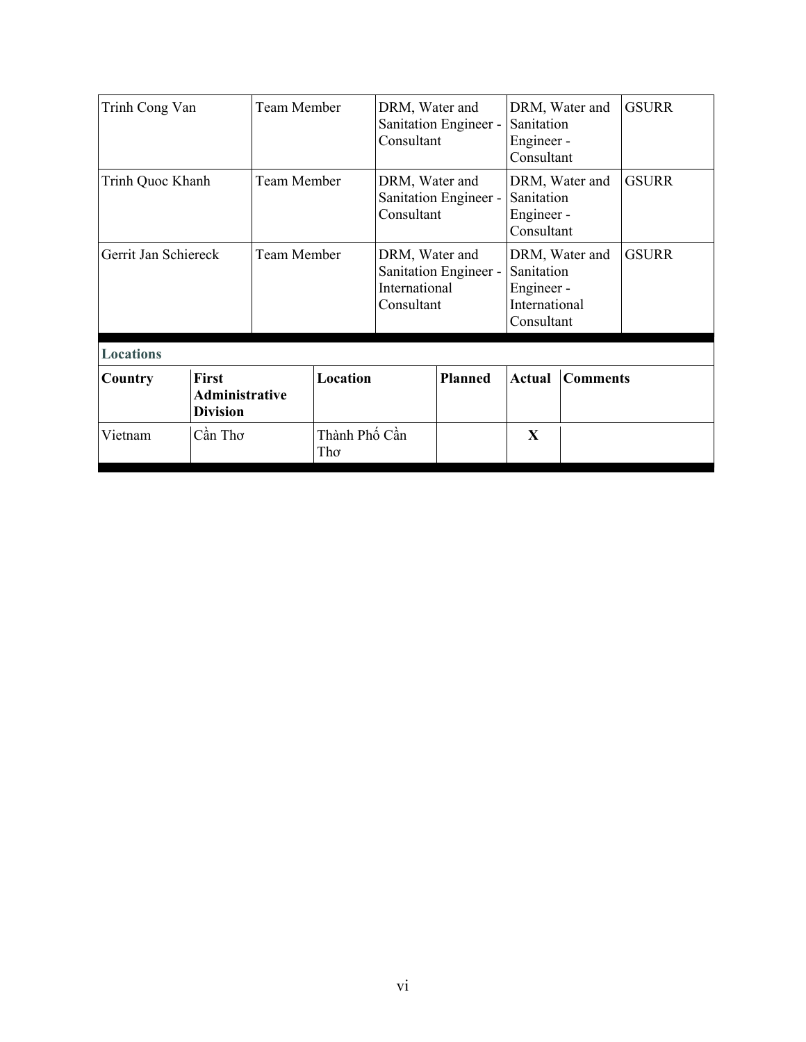| Trinh Cong Van                                               |         | Team Member |                      | DRM, Water and<br>Consultant                          | Sanitation Engineer -                                                            | DRM, Water and<br>Sanitation<br>Engineer -<br>Consultant |                | <b>GSURR</b> |
|--------------------------------------------------------------|---------|-------------|----------------------|-------------------------------------------------------|----------------------------------------------------------------------------------|----------------------------------------------------------|----------------|--------------|
| Trinh Quoc Khanh                                             |         | Team Member |                      | DRM, Water and<br>Sanitation Engineer -<br>Consultant |                                                                                  | Sanitation<br>Engineer -<br>Consultant                   | DRM, Water and | <b>GSURR</b> |
| Gerrit Jan Schiereck                                         |         | Team Member |                      | DRM, Water and<br>International<br>Consultant         | Sanitation Engineer -<br>Sanitation<br>Engineer -<br>International<br>Consultant |                                                          | DRM, Water and | <b>GSURR</b> |
| <b>Locations</b>                                             |         |             |                      |                                                       |                                                                                  |                                                          |                |              |
| First<br>Country<br><b>Administrative</b><br><b>Division</b> |         | Location    |                      | <b>Planned</b>                                        | Actual                                                                           | <b>Comments</b>                                          |                |              |
| Vietnam                                                      | Cần Thơ |             | Thành Phố Cần<br>Thơ |                                                       |                                                                                  | X                                                        |                |              |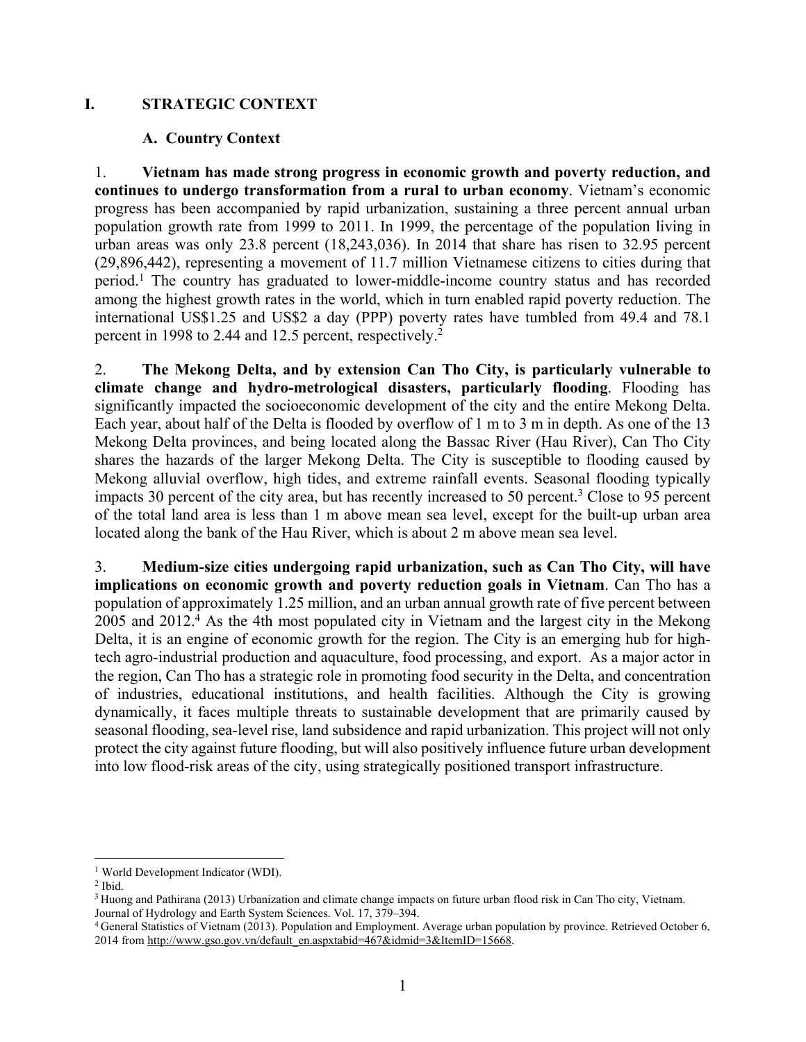## **I. STRATEGIC CONTEXT**

#### **A. Country Context**

1. **Vietnam has made strong progress in economic growth and poverty reduction, and continues to undergo transformation from a rural to urban economy**. Vietnam's economic progress has been accompanied by rapid urbanization, sustaining a three percent annual urban population growth rate from 1999 to 2011. In 1999, the percentage of the population living in urban areas was only 23.8 percent (18,243,036). In 2014 that share has risen to 32.95 percent (29,896,442), representing a movement of 11.7 million Vietnamese citizens to cities during that period.<sup>1</sup> The country has graduated to lower-middle-income country status and has recorded among the highest growth rates in the world, which in turn enabled rapid poverty reduction. The international US\$1.25 and US\$2 a day (PPP) poverty rates have tumbled from 49.4 and 78.1 percent in 1998 to 2.44 and 12.5 percent, respectively.<sup>2</sup>

2. **The Mekong Delta, and by extension Can Tho City, is particularly vulnerable to climate change and hydro-metrological disasters, particularly flooding**. Flooding has significantly impacted the socioeconomic development of the city and the entire Mekong Delta. Each year, about half of the Delta is flooded by overflow of 1 m to 3 m in depth. As one of the 13 Mekong Delta provinces, and being located along the Bassac River (Hau River), Can Tho City shares the hazards of the larger Mekong Delta. The City is susceptible to flooding caused by Mekong alluvial overflow, high tides, and extreme rainfall events. Seasonal flooding typically impacts 30 percent of the city area, but has recently increased to 50 percent.<sup>3</sup> Close to 95 percent of the total land area is less than 1 m above mean sea level, except for the built-up urban area located along the bank of the Hau River, which is about 2 m above mean sea level.

3. **Medium-size cities undergoing rapid urbanization, such as Can Tho City, will have implications on economic growth and poverty reduction goals in Vietnam**. Can Tho has a population of approximately 1.25 million, and an urban annual growth rate of five percent between 2005 and 2012.4 As the 4th most populated city in Vietnam and the largest city in the Mekong Delta, it is an engine of economic growth for the region. The City is an emerging hub for hightech agro-industrial production and aquaculture, food processing, and export. As a major actor in the region, Can Tho has a strategic role in promoting food security in the Delta, and concentration of industries, educational institutions, and health facilities. Although the City is growing dynamically, it faces multiple threats to sustainable development that are primarily caused by seasonal flooding, sea-level rise, land subsidence and rapid urbanization. This project will not only protect the city against future flooding, but will also positively influence future urban development into low flood-risk areas of the city, using strategically positioned transport infrastructure.

 $\overline{a}$ <sup>1</sup> World Development Indicator (WDI).

<sup>2</sup> Ibid.

<sup>&</sup>lt;sup>3</sup> Huong and Pathirana (2013) Urbanization and climate change impacts on future urban flood risk in Can Tho city, Vietnam. Journal of Hydrology and Earth System Sciences. Vol. 17, 379–394.

<sup>4</sup> General Statistics of Vietnam (2013). Population and Employment. Average urban population by province. Retrieved October 6, 2014 from http://www.gso.gov.vn/default\_en.aspxtabid=467&idmid=3&ItemID=15668.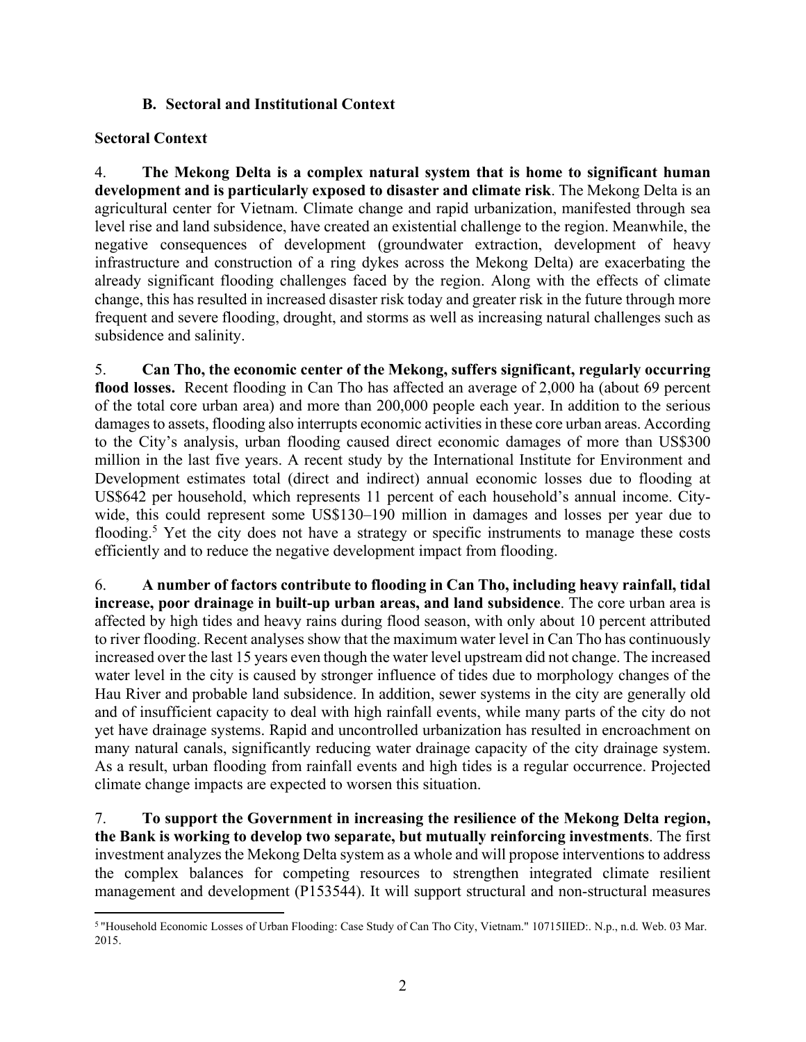## **B. Sectoral and Institutional Context**

## **Sectoral Context**

4. **The Mekong Delta is a complex natural system that is home to significant human development and is particularly exposed to disaster and climate risk**. The Mekong Delta is an agricultural center for Vietnam. Climate change and rapid urbanization, manifested through sea level rise and land subsidence, have created an existential challenge to the region. Meanwhile, the negative consequences of development (groundwater extraction, development of heavy infrastructure and construction of a ring dykes across the Mekong Delta) are exacerbating the already significant flooding challenges faced by the region. Along with the effects of climate change, this has resulted in increased disaster risk today and greater risk in the future through more frequent and severe flooding, drought, and storms as well as increasing natural challenges such as subsidence and salinity.

5. **Can Tho, the economic center of the Mekong, suffers significant, regularly occurring flood losses.** Recent flooding in Can Tho has affected an average of 2,000 ha (about 69 percent of the total core urban area) and more than 200,000 people each year. In addition to the serious damages to assets, flooding also interrupts economic activities in these core urban areas. According to the City's analysis, urban flooding caused direct economic damages of more than US\$300 million in the last five years. A recent study by the International Institute for Environment and Development estimates total (direct and indirect) annual economic losses due to flooding at US\$642 per household, which represents 11 percent of each household's annual income. Citywide, this could represent some US\$130–190 million in damages and losses per year due to flooding.<sup>5</sup> Yet the city does not have a strategy or specific instruments to manage these costs efficiently and to reduce the negative development impact from flooding.

6. **A number of factors contribute to flooding in Can Tho, including heavy rainfall, tidal increase, poor drainage in built-up urban areas, and land subsidence**. The core urban area is affected by high tides and heavy rains during flood season, with only about 10 percent attributed to river flooding. Recent analyses show that the maximum water level in Can Tho has continuously increased over the last 15 years even though the water level upstream did not change. The increased water level in the city is caused by stronger influence of tides due to morphology changes of the Hau River and probable land subsidence. In addition, sewer systems in the city are generally old and of insufficient capacity to deal with high rainfall events, while many parts of the city do not yet have drainage systems. Rapid and uncontrolled urbanization has resulted in encroachment on many natural canals, significantly reducing water drainage capacity of the city drainage system. As a result, urban flooding from rainfall events and high tides is a regular occurrence. Projected climate change impacts are expected to worsen this situation.

7. **To support the Government in increasing the resilience of the Mekong Delta region, the Bank is working to develop two separate, but mutually reinforcing investments**. The first investment analyzes the Mekong Delta system as a whole and will propose interventions to address the complex balances for competing resources to strengthen integrated climate resilient management and development (P153544). It will support structural and non-structural measures

<sup>1</sup> 5 "Household Economic Losses of Urban Flooding: Case Study of Can Tho City, Vietnam." 10715IIED:. N.p., n.d. Web. 03 Mar. 2015.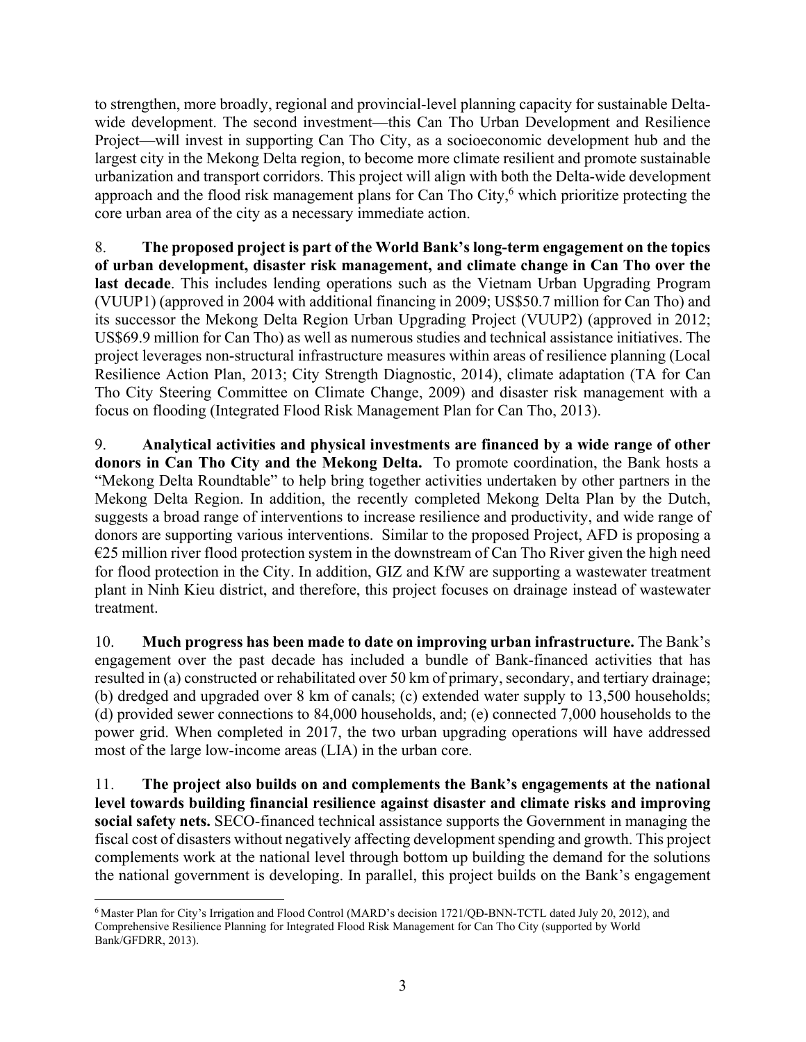to strengthen, more broadly, regional and provincial-level planning capacity for sustainable Deltawide development. The second investment—this Can Tho Urban Development and Resilience Project—will invest in supporting Can Tho City, as a socioeconomic development hub and the largest city in the Mekong Delta region, to become more climate resilient and promote sustainable urbanization and transport corridors. This project will align with both the Delta-wide development approach and the flood risk management plans for Can Tho City, $6$  which prioritize protecting the core urban area of the city as a necessary immediate action.

8. **The proposed project is part of the World Bank's long-term engagement on the topics of urban development, disaster risk management, and climate change in Can Tho over the last decade**. This includes lending operations such as the Vietnam Urban Upgrading Program (VUUP1) (approved in 2004 with additional financing in 2009; US\$50.7 million for Can Tho) and its successor the Mekong Delta Region Urban Upgrading Project (VUUP2) (approved in 2012; US\$69.9 million for Can Tho) as well as numerous studies and technical assistance initiatives. The project leverages non-structural infrastructure measures within areas of resilience planning (Local Resilience Action Plan, 2013; City Strength Diagnostic, 2014), climate adaptation (TA for Can Tho City Steering Committee on Climate Change, 2009) and disaster risk management with a focus on flooding (Integrated Flood Risk Management Plan for Can Tho, 2013).

9. **Analytical activities and physical investments are financed by a wide range of other donors in Can Tho City and the Mekong Delta.** To promote coordination, the Bank hosts a "Mekong Delta Roundtable" to help bring together activities undertaken by other partners in the Mekong Delta Region. In addition, the recently completed Mekong Delta Plan by the Dutch, suggests a broad range of interventions to increase resilience and productivity, and wide range of donors are supporting various interventions. Similar to the proposed Project, AFD is proposing a  $E25$  million river flood protection system in the downstream of Can Tho River given the high need for flood protection in the City. In addition, GIZ and KfW are supporting a wastewater treatment plant in Ninh Kieu district, and therefore, this project focuses on drainage instead of wastewater treatment.

10. **Much progress has been made to date on improving urban infrastructure.** The Bank's engagement over the past decade has included a bundle of Bank-financed activities that has resulted in (a) constructed or rehabilitated over 50 km of primary, secondary, and tertiary drainage; (b) dredged and upgraded over 8 km of canals; (c) extended water supply to 13,500 households; (d) provided sewer connections to 84,000 households, and; (e) connected 7,000 households to the power grid. When completed in 2017, the two urban upgrading operations will have addressed most of the large low-income areas (LIA) in the urban core.

11. **The project also builds on and complements the Bank's engagements at the national level towards building financial resilience against disaster and climate risks and improving social safety nets.** SECO-financed technical assistance supports the Government in managing the fiscal cost of disasters without negatively affecting development spending and growth. This project complements work at the national level through bottom up building the demand for the solutions the national government is developing. In parallel, this project builds on the Bank's engagement

<sup>1</sup> 6 Master Plan for City's Irrigation and Flood Control (MARD's decision 1721/QĐ-BNN-TCTL dated July 20, 2012), and Comprehensive Resilience Planning for Integrated Flood Risk Management for Can Tho City (supported by World Bank/GFDRR, 2013).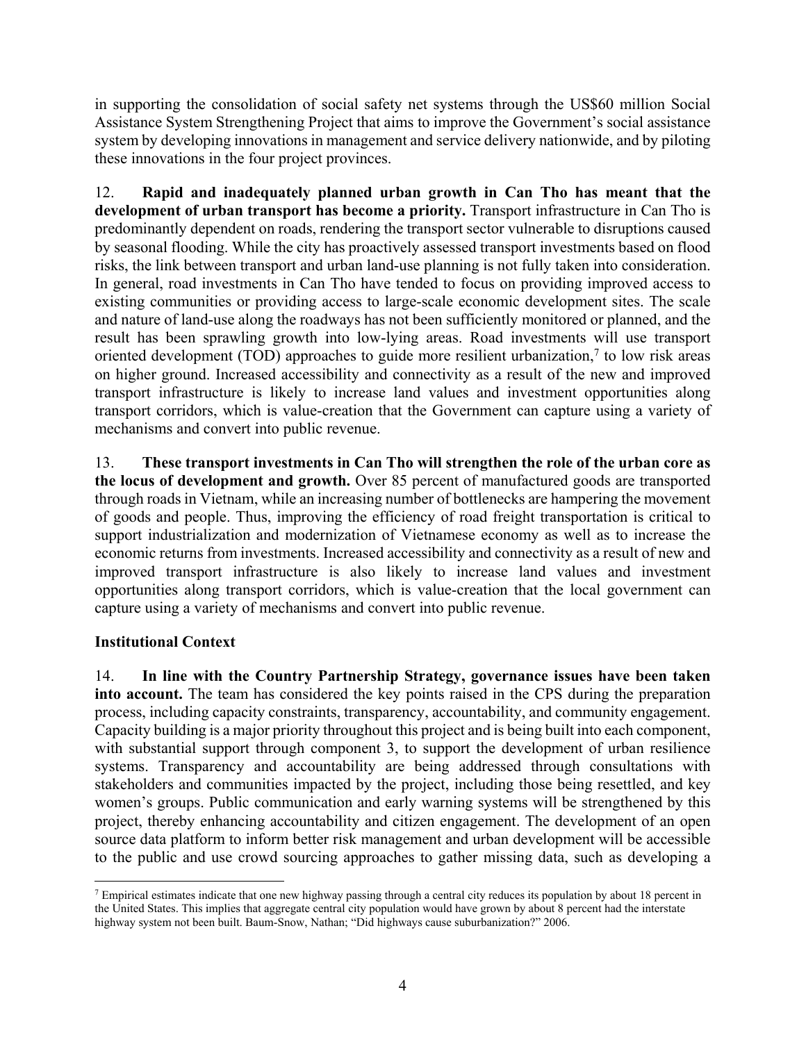in supporting the consolidation of social safety net systems through the US\$60 million Social Assistance System Strengthening Project that aims to improve the Government's social assistance system by developing innovations in management and service delivery nationwide, and by piloting these innovations in the four project provinces.

12. **Rapid and inadequately planned urban growth in Can Tho has meant that the**  development of urban transport has become a priority. Transport infrastructure in Can Tho is predominantly dependent on roads, rendering the transport sector vulnerable to disruptions caused by seasonal flooding. While the city has proactively assessed transport investments based on flood risks, the link between transport and urban land-use planning is not fully taken into consideration. In general, road investments in Can Tho have tended to focus on providing improved access to existing communities or providing access to large-scale economic development sites. The scale and nature of land-use along the roadways has not been sufficiently monitored or planned, and the result has been sprawling growth into low-lying areas. Road investments will use transport oriented development (TOD) approaches to guide more resilient urbanization,<sup>7</sup> to low risk areas on higher ground. Increased accessibility and connectivity as a result of the new and improved transport infrastructure is likely to increase land values and investment opportunities along transport corridors, which is value-creation that the Government can capture using a variety of mechanisms and convert into public revenue.

13. **These transport investments in Can Tho will strengthen the role of the urban core as the locus of development and growth.** Over 85 percent of manufactured goods are transported through roads in Vietnam, while an increasing number of bottlenecks are hampering the movement of goods and people. Thus, improving the efficiency of road freight transportation is critical to support industrialization and modernization of Vietnamese economy as well as to increase the economic returns from investments. Increased accessibility and connectivity as a result of new and improved transport infrastructure is also likely to increase land values and investment opportunities along transport corridors, which is value-creation that the local government can capture using a variety of mechanisms and convert into public revenue.

## **Institutional Context**

14. **In line with the Country Partnership Strategy, governance issues have been taken into account.** The team has considered the key points raised in the CPS during the preparation process, including capacity constraints, transparency, accountability, and community engagement. Capacity building is a major priority throughout this project and is being built into each component, with substantial support through component 3, to support the development of urban resilience systems. Transparency and accountability are being addressed through consultations with stakeholders and communities impacted by the project, including those being resettled, and key women's groups. Public communication and early warning systems will be strengthened by this project, thereby enhancing accountability and citizen engagement. The development of an open source data platform to inform better risk management and urban development will be accessible to the public and use crowd sourcing approaches to gather missing data, such as developing a

 $\overline{a}$ 7 Empirical estimates indicate that one new highway passing through a central city reduces its population by about 18 percent in the United States. This implies that aggregate central city population would have grown by about 8 percent had the interstate highway system not been built. Baum-Snow, Nathan; "Did highways cause suburbanization?" 2006.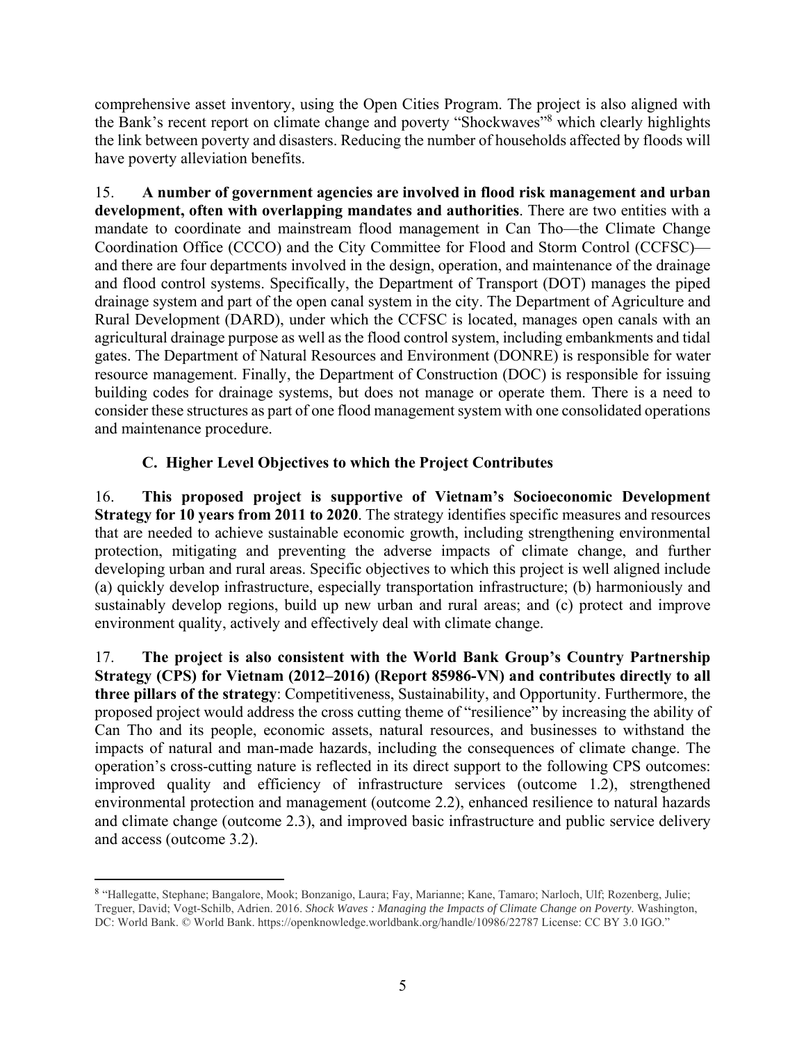comprehensive asset inventory, using the Open Cities Program. The project is also aligned with the Bank's recent report on climate change and poverty "Shockwaves"<sup>8</sup> which clearly highlights the link between poverty and disasters. Reducing the number of households affected by floods will have poverty alleviation benefits.

15. **A number of government agencies are involved in flood risk management and urban development, often with overlapping mandates and authorities**. There are two entities with a mandate to coordinate and mainstream flood management in Can Tho—the Climate Change Coordination Office (CCCO) and the City Committee for Flood and Storm Control (CCFSC) and there are four departments involved in the design, operation, and maintenance of the drainage and flood control systems. Specifically, the Department of Transport (DOT) manages the piped drainage system and part of the open canal system in the city. The Department of Agriculture and Rural Development (DARD), under which the CCFSC is located, manages open canals with an agricultural drainage purpose as well as the flood control system, including embankments and tidal gates. The Department of Natural Resources and Environment (DONRE) is responsible for water resource management. Finally, the Department of Construction (DOC) is responsible for issuing building codes for drainage systems, but does not manage or operate them. There is a need to consider these structures as part of one flood management system with one consolidated operations and maintenance procedure.

## **C. Higher Level Objectives to which the Project Contributes**

16. **This proposed project is supportive of Vietnam's Socioeconomic Development Strategy for 10 years from 2011 to 2020**. The strategy identifies specific measures and resources that are needed to achieve sustainable economic growth, including strengthening environmental protection, mitigating and preventing the adverse impacts of climate change, and further developing urban and rural areas. Specific objectives to which this project is well aligned include (a) quickly develop infrastructure, especially transportation infrastructure; (b) harmoniously and sustainably develop regions, build up new urban and rural areas; and (c) protect and improve environment quality, actively and effectively deal with climate change.

17. **The project is also consistent with the World Bank Group's Country Partnership Strategy (CPS) for Vietnam (2012–2016) (Report 85986-VN) and contributes directly to all three pillars of the strategy**: Competitiveness, Sustainability, and Opportunity. Furthermore, the proposed project would address the cross cutting theme of "resilience" by increasing the ability of Can Tho and its people, economic assets, natural resources, and businesses to withstand the impacts of natural and man-made hazards, including the consequences of climate change. The operation's cross-cutting nature is reflected in its direct support to the following CPS outcomes: improved quality and efficiency of infrastructure services (outcome 1.2), strengthened environmental protection and management (outcome 2.2), enhanced resilience to natural hazards and climate change (outcome 2.3), and improved basic infrastructure and public service delivery and access (outcome 3.2).

 $\overline{a}$ 

<sup>8</sup> "Hallegatte, Stephane; Bangalore, Mook; Bonzanigo, Laura; Fay, Marianne; Kane, Tamaro; Narloch, Ulf; Rozenberg, Julie; Treguer, David; Vogt-Schilb, Adrien. 2016. *Shock Waves : Managing the Impacts of Climate Change on Poverty*. Washington, DC: World Bank. © World Bank. https://openknowledge.worldbank.org/handle/10986/22787 License: CC BY 3.0 IGO."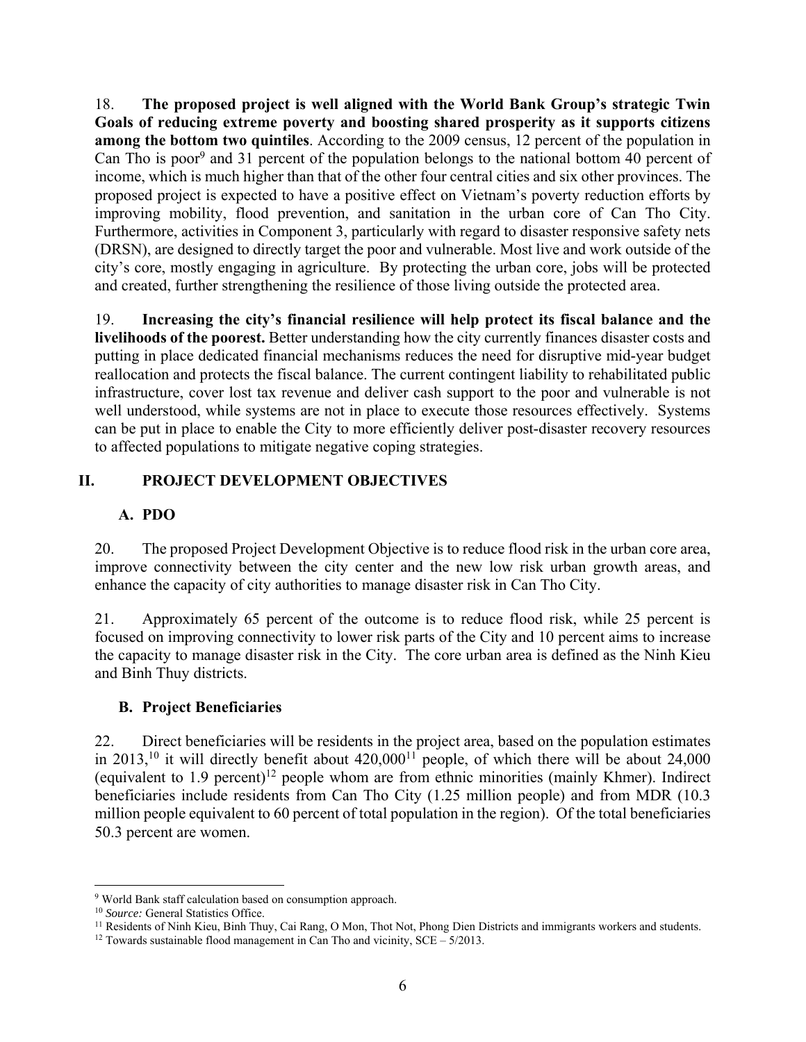18. **The proposed project is well aligned with the World Bank Group's strategic Twin Goals of reducing extreme poverty and boosting shared prosperity as it supports citizens among the bottom two quintiles**. According to the 2009 census, 12 percent of the population in Can Tho is poor<sup>9</sup> and 31 percent of the population belongs to the national bottom 40 percent of income, which is much higher than that of the other four central cities and six other provinces. The proposed project is expected to have a positive effect on Vietnam's poverty reduction efforts by improving mobility, flood prevention, and sanitation in the urban core of Can Tho City. Furthermore, activities in Component 3, particularly with regard to disaster responsive safety nets (DRSN), are designed to directly target the poor and vulnerable. Most live and work outside of the city's core, mostly engaging in agriculture. By protecting the urban core, jobs will be protected and created, further strengthening the resilience of those living outside the protected area.

19. **Increasing the city's financial resilience will help protect its fiscal balance and the livelihoods of the poorest.** Better understanding how the city currently finances disaster costs and putting in place dedicated financial mechanisms reduces the need for disruptive mid-year budget reallocation and protects the fiscal balance. The current contingent liability to rehabilitated public infrastructure, cover lost tax revenue and deliver cash support to the poor and vulnerable is not well understood, while systems are not in place to execute those resources effectively. Systems can be put in place to enable the City to more efficiently deliver post-disaster recovery resources to affected populations to mitigate negative coping strategies.

## **II. PROJECT DEVELOPMENT OBJECTIVES**

# **A. PDO**

20. The proposed Project Development Objective is to reduce flood risk in the urban core area, improve connectivity between the city center and the new low risk urban growth areas, and enhance the capacity of city authorities to manage disaster risk in Can Tho City.

21. Approximately 65 percent of the outcome is to reduce flood risk, while 25 percent is focused on improving connectivity to lower risk parts of the City and 10 percent aims to increase the capacity to manage disaster risk in the City. The core urban area is defined as the Ninh Kieu and Binh Thuy districts.

## **B. Project Beneficiaries**

22. Direct beneficiaries will be residents in the project area, based on the population estimates in 2013,<sup>10</sup> it will directly benefit about  $420,000^{11}$  people, of which there will be about 24,000 (equivalent to 1.9 percent)12 people whom are from ethnic minorities (mainly Khmer). Indirect beneficiaries include residents from Can Tho City (1.25 million people) and from MDR (10.3 million people equivalent to 60 percent of total population in the region). Of the total beneficiaries 50.3 percent are women.

 $\overline{a}$ 

<sup>&</sup>lt;sup>9</sup> World Bank staff calculation based on consumption approach.<br><sup>10</sup> Source: General Statistics Office.<br><sup>11</sup> Residents of Ninh Kieu, Binh Thuy, Cai Rang, O Mon, Thot Not, Phong Dien Districts and immigrants workers and st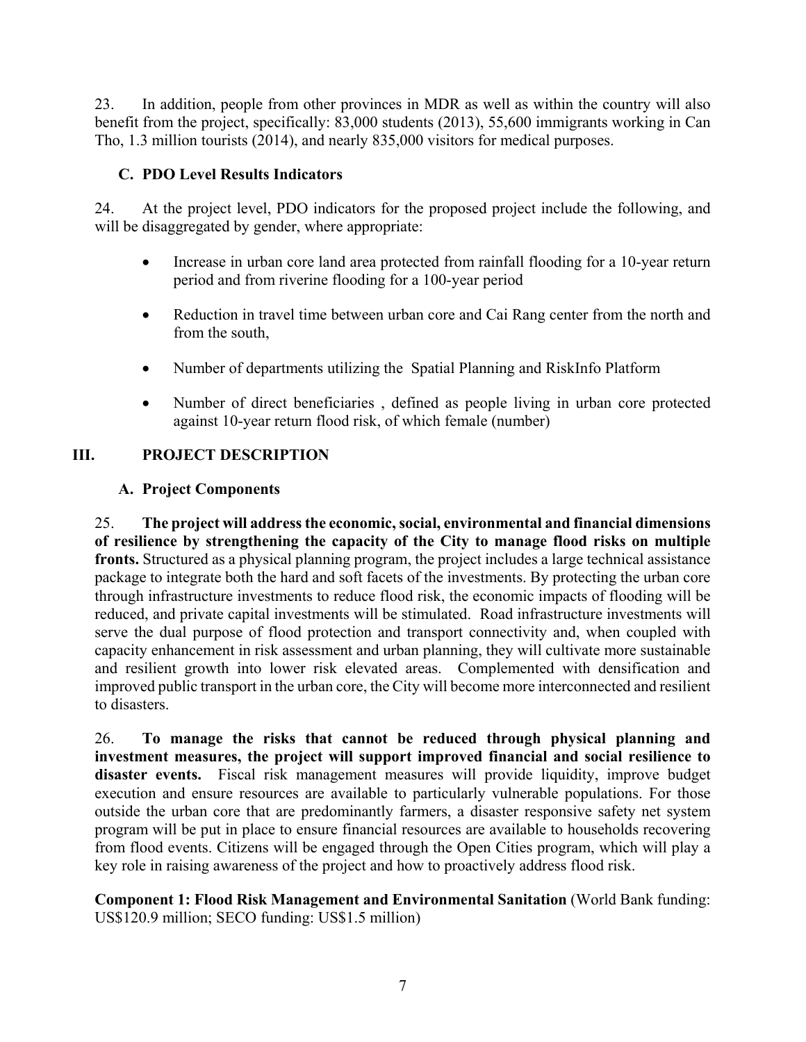23. In addition, people from other provinces in MDR as well as within the country will also benefit from the project, specifically: 83,000 students (2013), 55,600 immigrants working in Can Tho, 1.3 million tourists (2014), and nearly 835,000 visitors for medical purposes.

# **C. PDO Level Results Indicators**

24. At the project level, PDO indicators for the proposed project include the following, and will be disaggregated by gender, where appropriate:

- Increase in urban core land area protected from rainfall flooding for a 10-year return period and from riverine flooding for a 100-year period
- Reduction in travel time between urban core and Cai Rang center from the north and from the south,
- Number of departments utilizing the Spatial Planning and RiskInfo Platform
- Number of direct beneficiaries , defined as people living in urban core protected against 10-year return flood risk, of which female (number)

# **III. PROJECT DESCRIPTION**

## **A. Project Components**

25. **The project will address the economic, social, environmental and financial dimensions of resilience by strengthening the capacity of the City to manage flood risks on multiple fronts.** Structured as a physical planning program, the project includes a large technical assistance package to integrate both the hard and soft facets of the investments. By protecting the urban core through infrastructure investments to reduce flood risk, the economic impacts of flooding will be reduced, and private capital investments will be stimulated. Road infrastructure investments will serve the dual purpose of flood protection and transport connectivity and, when coupled with capacity enhancement in risk assessment and urban planning, they will cultivate more sustainable and resilient growth into lower risk elevated areas. Complemented with densification and improved public transport in the urban core, the City will become more interconnected and resilient to disasters.

26. **To manage the risks that cannot be reduced through physical planning and investment measures, the project will support improved financial and social resilience to**  disaster events. Fiscal risk management measures will provide liquidity, improve budget execution and ensure resources are available to particularly vulnerable populations. For those outside the urban core that are predominantly farmers, a disaster responsive safety net system program will be put in place to ensure financial resources are available to households recovering from flood events. Citizens will be engaged through the Open Cities program, which will play a key role in raising awareness of the project and how to proactively address flood risk.

## **Component 1: Flood Risk Management and Environmental Sanitation** (World Bank funding: US\$120.9 million; SECO funding: US\$1.5 million)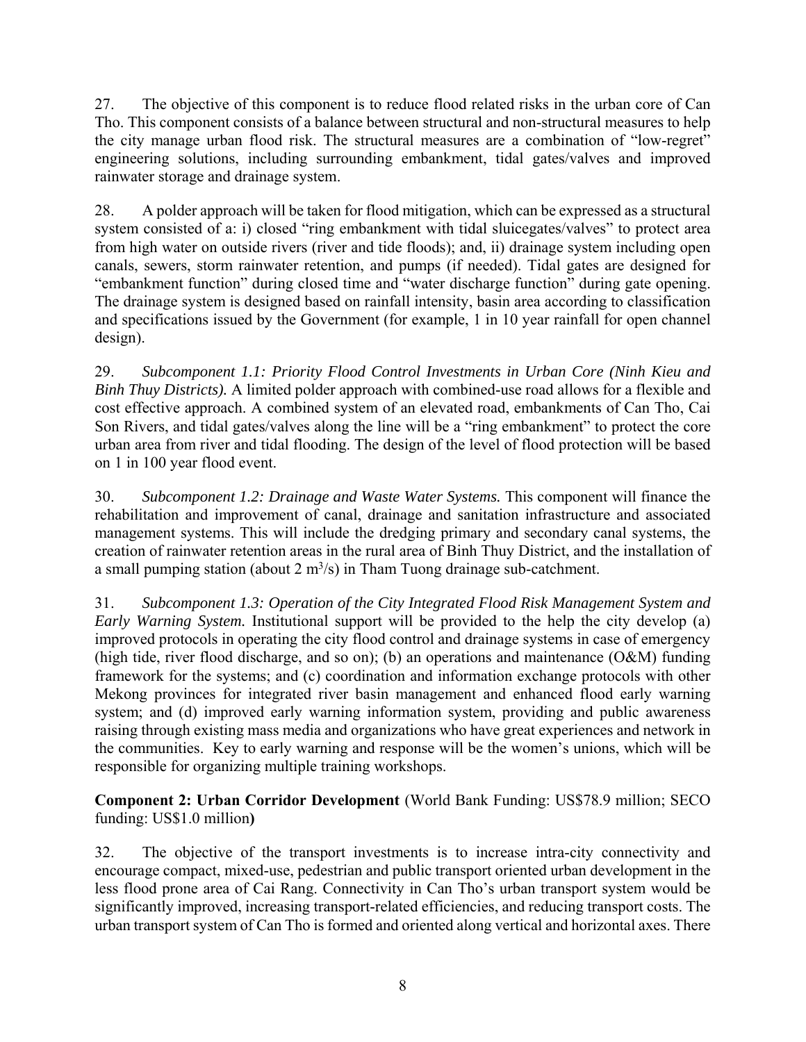27. The objective of this component is to reduce flood related risks in the urban core of Can Tho. This component consists of a balance between structural and non-structural measures to help the city manage urban flood risk. The structural measures are a combination of "low-regret" engineering solutions, including surrounding embankment, tidal gates/valves and improved rainwater storage and drainage system.

28. A polder approach will be taken for flood mitigation, which can be expressed as a structural system consisted of a: i) closed "ring embankment with tidal sluicegates/valves" to protect area from high water on outside rivers (river and tide floods); and, ii) drainage system including open canals, sewers, storm rainwater retention, and pumps (if needed). Tidal gates are designed for "embankment function" during closed time and "water discharge function" during gate opening. The drainage system is designed based on rainfall intensity, basin area according to classification and specifications issued by the Government (for example, 1 in 10 year rainfall for open channel design).

29. *Subcomponent 1.1: Priority Flood Control Investments in Urban Core (Ninh Kieu and Binh Thuy Districts).* A limited polder approach with combined-use road allows for a flexible and cost effective approach. A combined system of an elevated road, embankments of Can Tho, Cai Son Rivers, and tidal gates/valves along the line will be a "ring embankment" to protect the core urban area from river and tidal flooding. The design of the level of flood protection will be based on 1 in 100 year flood event.

30. *Subcomponent 1.2: Drainage and Waste Water Systems.* This component will finance the rehabilitation and improvement of canal, drainage and sanitation infrastructure and associated management systems. This will include the dredging primary and secondary canal systems, the creation of rainwater retention areas in the rural area of Binh Thuy District, and the installation of a small pumping station (about  $2 \text{ m}^3$ /s) in Tham Tuong drainage sub-catchment.

31. *Subcomponent 1.3: Operation of the City Integrated Flood Risk Management System and Early Warning System.* Institutional support will be provided to the help the city develop (a) improved protocols in operating the city flood control and drainage systems in case of emergency (high tide, river flood discharge, and so on); (b) an operations and maintenance (O&M) funding framework for the systems; and (c) coordination and information exchange protocols with other Mekong provinces for integrated river basin management and enhanced flood early warning system; and (d) improved early warning information system, providing and public awareness raising through existing mass media and organizations who have great experiences and network in the communities. Key to early warning and response will be the women's unions, which will be responsible for organizing multiple training workshops.

**Component 2: Urban Corridor Development** (World Bank Funding: US\$78.9 million; SECO funding: US\$1.0 million**)** 

32. The objective of the transport investments is to increase intra-city connectivity and encourage compact, mixed-use, pedestrian and public transport oriented urban development in the less flood prone area of Cai Rang. Connectivity in Can Tho's urban transport system would be significantly improved, increasing transport-related efficiencies, and reducing transport costs. The urban transport system of Can Tho is formed and oriented along vertical and horizontal axes. There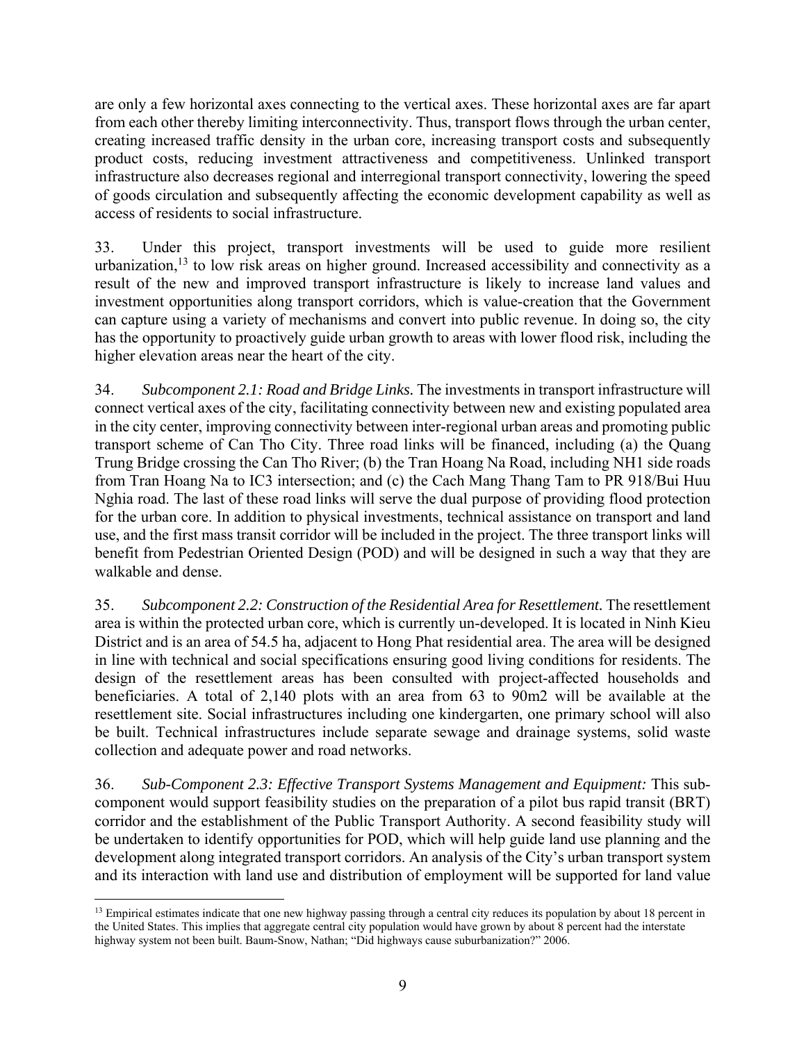are only a few horizontal axes connecting to the vertical axes. These horizontal axes are far apart from each other thereby limiting interconnectivity. Thus, transport flows through the urban center, creating increased traffic density in the urban core, increasing transport costs and subsequently product costs, reducing investment attractiveness and competitiveness. Unlinked transport infrastructure also decreases regional and interregional transport connectivity, lowering the speed of goods circulation and subsequently affecting the economic development capability as well as access of residents to social infrastructure.

33. Under this project, transport investments will be used to guide more resilient urbanization, $13$  to low risk areas on higher ground. Increased accessibility and connectivity as a result of the new and improved transport infrastructure is likely to increase land values and investment opportunities along transport corridors, which is value-creation that the Government can capture using a variety of mechanisms and convert into public revenue. In doing so, the city has the opportunity to proactively guide urban growth to areas with lower flood risk, including the higher elevation areas near the heart of the city.

34. *Subcomponent 2.1: Road and Bridge Links.* The investments in transport infrastructure will connect vertical axes of the city, facilitating connectivity between new and existing populated area in the city center, improving connectivity between inter-regional urban areas and promoting public transport scheme of Can Tho City. Three road links will be financed, including (a) the Quang Trung Bridge crossing the Can Tho River; (b) the Tran Hoang Na Road, including NH1 side roads from Tran Hoang Na to IC3 intersection; and (c) the Cach Mang Thang Tam to PR 918/Bui Huu Nghia road. The last of these road links will serve the dual purpose of providing flood protection for the urban core. In addition to physical investments, technical assistance on transport and land use, and the first mass transit corridor will be included in the project. The three transport links will benefit from Pedestrian Oriented Design (POD) and will be designed in such a way that they are walkable and dense.

35. *Subcomponent 2.2: Construction of the Residential Area for Resettlement.* The resettlement area is within the protected urban core, which is currently un-developed. It is located in Ninh Kieu District and is an area of 54.5 ha, adjacent to Hong Phat residential area. The area will be designed in line with technical and social specifications ensuring good living conditions for residents. The design of the resettlement areas has been consulted with project-affected households and beneficiaries. A total of 2,140 plots with an area from 63 to 90m2 will be available at the resettlement site. Social infrastructures including one kindergarten, one primary school will also be built. Technical infrastructures include separate sewage and drainage systems, solid waste collection and adequate power and road networks.

36. *Sub-Component 2.3: Effective Transport Systems Management and Equipment:* This subcomponent would support feasibility studies on the preparation of a pilot bus rapid transit (BRT) corridor and the establishment of the Public Transport Authority. A second feasibility study will be undertaken to identify opportunities for POD, which will help guide land use planning and the development along integrated transport corridors. An analysis of the City's urban transport system and its interaction with land use and distribution of employment will be supported for land value

 $\overline{a}$ 

<sup>&</sup>lt;sup>13</sup> Empirical estimates indicate that one new highway passing through a central city reduces its population by about 18 percent in the United States. This implies that aggregate central city population would have grown by about 8 percent had the interstate highway system not been built. Baum-Snow, Nathan; "Did highways cause suburbanization?" 2006.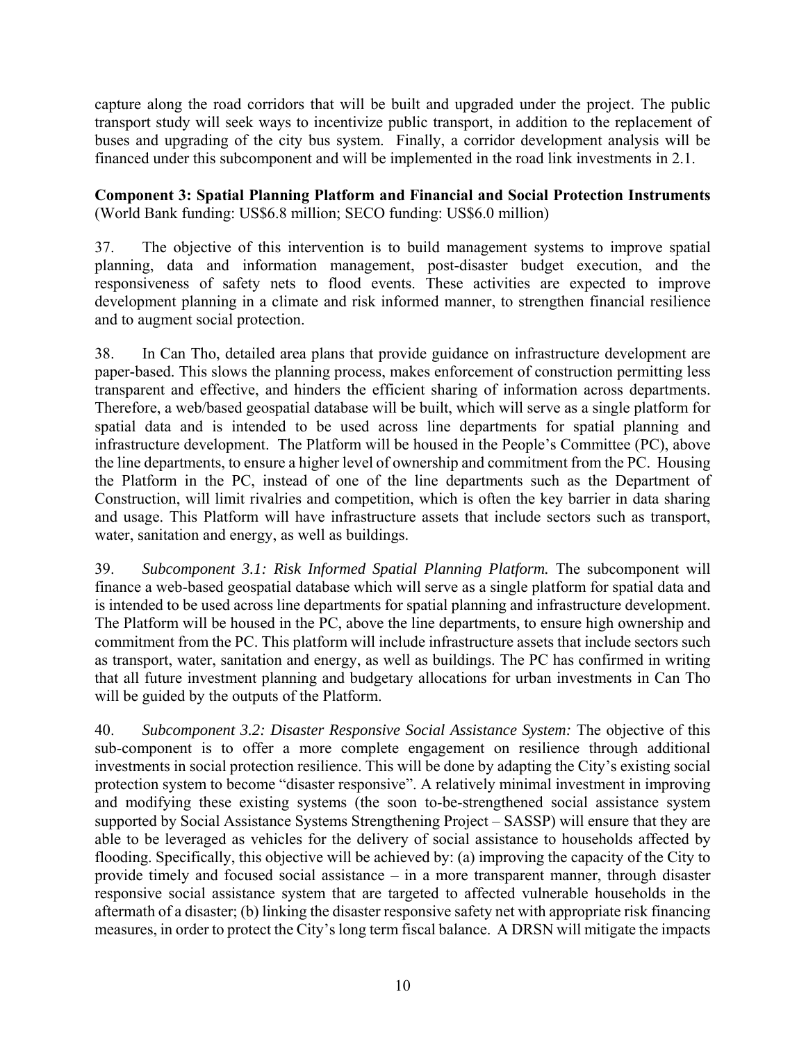capture along the road corridors that will be built and upgraded under the project. The public transport study will seek ways to incentivize public transport, in addition to the replacement of buses and upgrading of the city bus system. Finally, a corridor development analysis will be financed under this subcomponent and will be implemented in the road link investments in 2.1.

**Component 3: Spatial Planning Platform and Financial and Social Protection Instruments**  (World Bank funding: US\$6.8 million; SECO funding: US\$6.0 million)

37. The objective of this intervention is to build management systems to improve spatial planning, data and information management, post-disaster budget execution, and the responsiveness of safety nets to flood events. These activities are expected to improve development planning in a climate and risk informed manner, to strengthen financial resilience and to augment social protection.

38. In Can Tho, detailed area plans that provide guidance on infrastructure development are paper-based. This slows the planning process, makes enforcement of construction permitting less transparent and effective, and hinders the efficient sharing of information across departments. Therefore, a web/based geospatial database will be built, which will serve as a single platform for spatial data and is intended to be used across line departments for spatial planning and infrastructure development. The Platform will be housed in the People's Committee (PC), above the line departments, to ensure a higher level of ownership and commitment from the PC. Housing the Platform in the PC, instead of one of the line departments such as the Department of Construction, will limit rivalries and competition, which is often the key barrier in data sharing and usage. This Platform will have infrastructure assets that include sectors such as transport, water, sanitation and energy, as well as buildings.

39. *Subcomponent 3.1: Risk Informed Spatial Planning Platform.* The subcomponent will finance a web-based geospatial database which will serve as a single platform for spatial data and is intended to be used across line departments for spatial planning and infrastructure development. The Platform will be housed in the PC, above the line departments, to ensure high ownership and commitment from the PC. This platform will include infrastructure assets that include sectors such as transport, water, sanitation and energy, as well as buildings. The PC has confirmed in writing that all future investment planning and budgetary allocations for urban investments in Can Tho will be guided by the outputs of the Platform.

40. *Subcomponent 3.2: Disaster Responsive Social Assistance System:* The objective of this sub-component is to offer a more complete engagement on resilience through additional investments in social protection resilience. This will be done by adapting the City's existing social protection system to become "disaster responsive". A relatively minimal investment in improving and modifying these existing systems (the soon to-be-strengthened social assistance system supported by Social Assistance Systems Strengthening Project – SASSP) will ensure that they are able to be leveraged as vehicles for the delivery of social assistance to households affected by flooding. Specifically, this objective will be achieved by: (a) improving the capacity of the City to provide timely and focused social assistance – in a more transparent manner, through disaster responsive social assistance system that are targeted to affected vulnerable households in the aftermath of a disaster; (b) linking the disaster responsive safety net with appropriate risk financing measures, in order to protect the City's long term fiscal balance. A DRSN will mitigate the impacts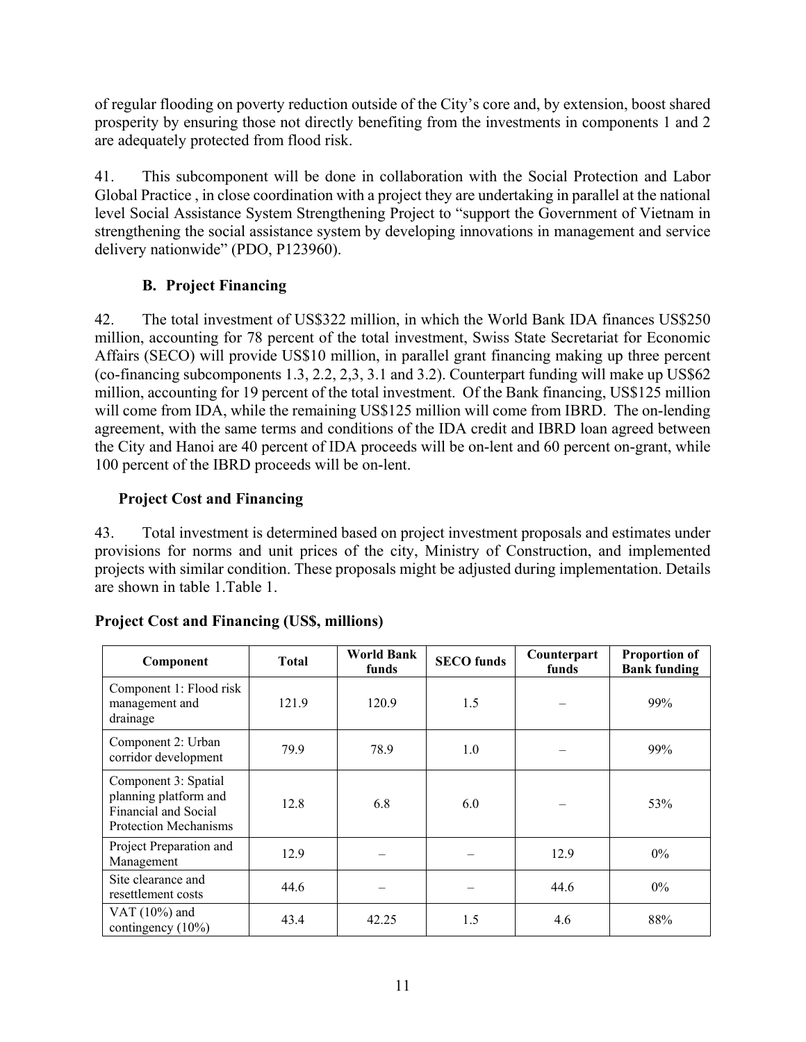of regular flooding on poverty reduction outside of the City's core and, by extension, boost shared prosperity by ensuring those not directly benefiting from the investments in components 1 and 2 are adequately protected from flood risk.

41. This subcomponent will be done in collaboration with the Social Protection and Labor Global Practice , in close coordination with a project they are undertaking in parallel at the national level Social Assistance System Strengthening Project to "support the Government of Vietnam in strengthening the social assistance system by developing innovations in management and service delivery nationwide" (PDO, P123960).

# **B. Project Financing**

42. The total investment of US\$322 million, in which the World Bank IDA finances US\$250 million, accounting for 78 percent of the total investment, Swiss State Secretariat for Economic Affairs (SECO) will provide US\$10 million, in parallel grant financing making up three percent (co-financing subcomponents 1.3, 2.2, 2,3, 3.1 and 3.2). Counterpart funding will make up US\$62 million, accounting for 19 percent of the total investment. Of the Bank financing, US\$125 million will come from IDA, while the remaining US\$125 million will come from IBRD. The on-lending agreement, with the same terms and conditions of the IDA credit and IBRD loan agreed between the City and Hanoi are 40 percent of IDA proceeds will be on-lent and 60 percent on-grant, while 100 percent of the IBRD proceeds will be on-lent.

# **Project Cost and Financing**

43. Total investment is determined based on project investment proposals and estimates under provisions for norms and unit prices of the city, Ministry of Construction, and implemented projects with similar condition. These proposals might be adjusted during implementation. Details are shown in table 1.Table 1.

| Component                                                                                             | Total | <b>World Bank</b><br>funds | <b>SECO</b> funds | Counterpart<br>funds | <b>Proportion of</b><br><b>Bank funding</b> |
|-------------------------------------------------------------------------------------------------------|-------|----------------------------|-------------------|----------------------|---------------------------------------------|
| Component 1: Flood risk<br>management and<br>drainage                                                 | 121.9 | 120.9                      | 1.5               |                      | 99%                                         |
| Component 2: Urban<br>corridor development                                                            | 79.9  | 78.9                       | 1.0               |                      | 99%                                         |
| Component 3: Spatial<br>planning platform and<br>Financial and Social<br><b>Protection Mechanisms</b> | 12.8  | 6.8                        | 6.0               |                      | 53%                                         |
| Project Preparation and<br>Management                                                                 | 12.9  |                            |                   | 12.9                 | $0\%$                                       |
| Site clearance and<br>resettlement costs                                                              | 44.6  |                            |                   | 44.6                 | $0\%$                                       |
| VAT $(10\%)$ and<br>contingency $(10\%)$                                                              | 43.4  | 42.25                      | 1.5               | 4.6                  | 88%                                         |

## **Project Cost and Financing (US\$, millions)**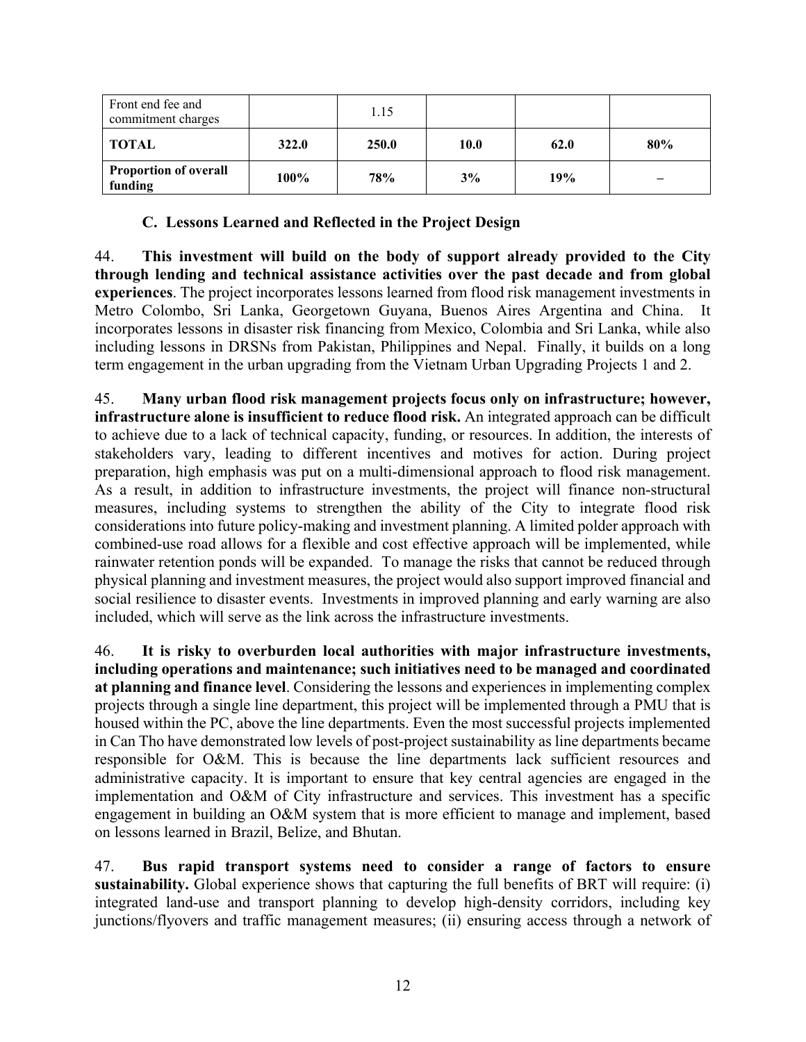| Front end fee and<br>commitment charges |       | 1.15  |      |      |     |
|-----------------------------------------|-------|-------|------|------|-----|
| TOTAL                                   | 322.0 | 250.0 | 10.0 | 62.0 | 80% |
| <b>Proportion of overall</b><br>funding | 100%  | 78%   | 3%   | 19%  | -   |

### **C. Lessons Learned and Reflected in the Project Design**

44. **This investment will build on the body of support already provided to the City through lending and technical assistance activities over the past decade and from global experiences**. The project incorporates lessons learned from flood risk management investments in Metro Colombo, Sri Lanka, Georgetown Guyana, Buenos Aires Argentina and China. It incorporates lessons in disaster risk financing from Mexico, Colombia and Sri Lanka, while also including lessons in DRSNs from Pakistan, Philippines and Nepal. Finally, it builds on a long term engagement in the urban upgrading from the Vietnam Urban Upgrading Projects 1 and 2.

45. **Many urban flood risk management projects focus only on infrastructure; however, infrastructure alone is insufficient to reduce flood risk.** An integrated approach can be difficult to achieve due to a lack of technical capacity, funding, or resources. In addition, the interests of stakeholders vary, leading to different incentives and motives for action. During project preparation, high emphasis was put on a multi-dimensional approach to flood risk management. As a result, in addition to infrastructure investments, the project will finance non-structural measures, including systems to strengthen the ability of the City to integrate flood risk considerations into future policy-making and investment planning. A limited polder approach with combined-use road allows for a flexible and cost effective approach will be implemented, while rainwater retention ponds will be expanded. To manage the risks that cannot be reduced through physical planning and investment measures, the project would also support improved financial and social resilience to disaster events. Investments in improved planning and early warning are also included, which will serve as the link across the infrastructure investments.

46. **It is risky to overburden local authorities with major infrastructure investments, including operations and maintenance; such initiatives need to be managed and coordinated at planning and finance level**. Considering the lessons and experiences in implementing complex projects through a single line department, this project will be implemented through a PMU that is housed within the PC, above the line departments. Even the most successful projects implemented in Can Tho have demonstrated low levels of post-project sustainability as line departments became responsible for O&M. This is because the line departments lack sufficient resources and administrative capacity. It is important to ensure that key central agencies are engaged in the implementation and O&M of City infrastructure and services. This investment has a specific engagement in building an O&M system that is more efficient to manage and implement, based on lessons learned in Brazil, Belize, and Bhutan.

47. **Bus rapid transport systems need to consider a range of factors to ensure sustainability.** Global experience shows that capturing the full benefits of BRT will require: (i) integrated land-use and transport planning to develop high-density corridors, including key junctions/flyovers and traffic management measures; (ii) ensuring access through a network of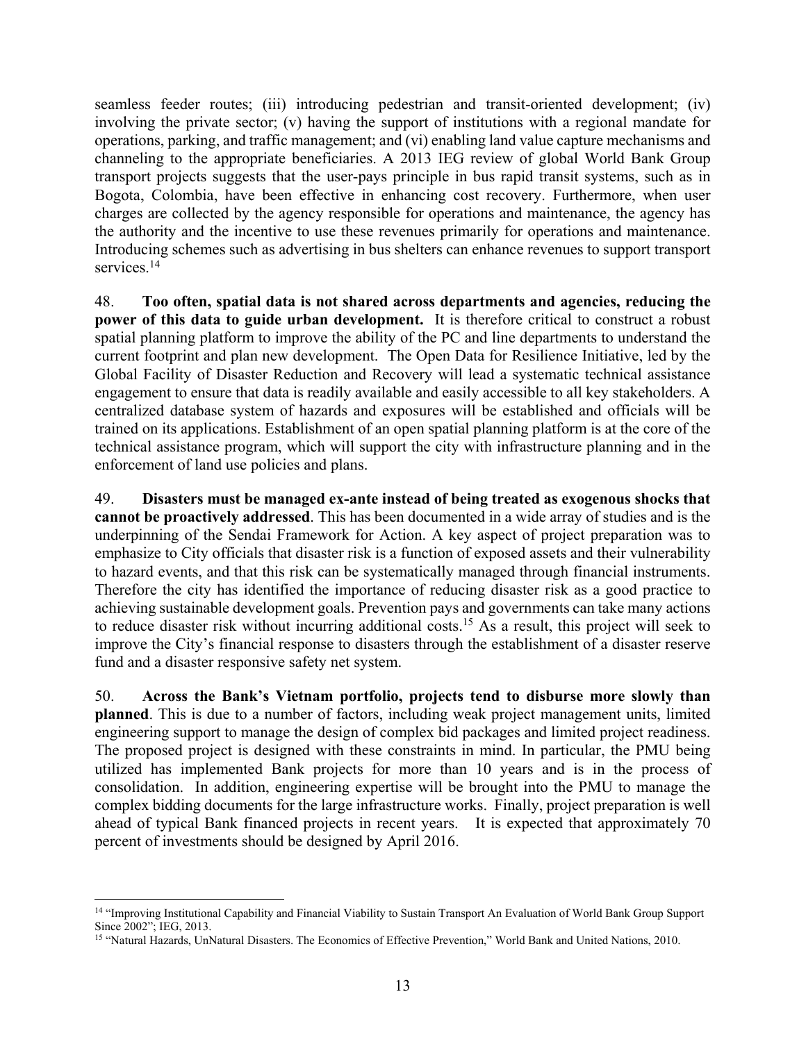seamless feeder routes; (iii) introducing pedestrian and transit-oriented development; (iv) involving the private sector; (v) having the support of institutions with a regional mandate for operations, parking, and traffic management; and (vi) enabling land value capture mechanisms and channeling to the appropriate beneficiaries. A 2013 IEG review of global World Bank Group transport projects suggests that the user-pays principle in bus rapid transit systems, such as in Bogota, Colombia, have been effective in enhancing cost recovery. Furthermore, when user charges are collected by the agency responsible for operations and maintenance, the agency has the authority and the incentive to use these revenues primarily for operations and maintenance. Introducing schemes such as advertising in bus shelters can enhance revenues to support transport services.<sup>14</sup>

48. **Too often, spatial data is not shared across departments and agencies, reducing the power of this data to guide urban development.** It is therefore critical to construct a robust spatial planning platform to improve the ability of the PC and line departments to understand the current footprint and plan new development. The Open Data for Resilience Initiative, led by the Global Facility of Disaster Reduction and Recovery will lead a systematic technical assistance engagement to ensure that data is readily available and easily accessible to all key stakeholders. A centralized database system of hazards and exposures will be established and officials will be trained on its applications. Establishment of an open spatial planning platform is at the core of the technical assistance program, which will support the city with infrastructure planning and in the enforcement of land use policies and plans.

49. **Disasters must be managed ex-ante instead of being treated as exogenous shocks that cannot be proactively addressed**. This has been documented in a wide array of studies and is the underpinning of the Sendai Framework for Action. A key aspect of project preparation was to emphasize to City officials that disaster risk is a function of exposed assets and their vulnerability to hazard events, and that this risk can be systematically managed through financial instruments. Therefore the city has identified the importance of reducing disaster risk as a good practice to achieving sustainable development goals. Prevention pays and governments can take many actions to reduce disaster risk without incurring additional costs.15 As a result, this project will seek to improve the City's financial response to disasters through the establishment of a disaster reserve fund and a disaster responsive safety net system.

50. **Across the Bank's Vietnam portfolio, projects tend to disburse more slowly than planned**. This is due to a number of factors, including weak project management units, limited engineering support to manage the design of complex bid packages and limited project readiness. The proposed project is designed with these constraints in mind. In particular, the PMU being utilized has implemented Bank projects for more than 10 years and is in the process of consolidation. In addition, engineering expertise will be brought into the PMU to manage the complex bidding documents for the large infrastructure works. Finally, project preparation is well ahead of typical Bank financed projects in recent years. It is expected that approximately 70 percent of investments should be designed by April 2016.

 $\overline{a}$ 

<sup>14 &</sup>quot;Improving Institutional Capability and Financial Viability to Sustain Transport An Evaluation of World Bank Group Support Since 2002"; IEG, 2013.

<sup>&</sup>lt;sup>15</sup> "Natural Hazards, UnNatural Disasters. The Economics of Effective Prevention," World Bank and United Nations, 2010.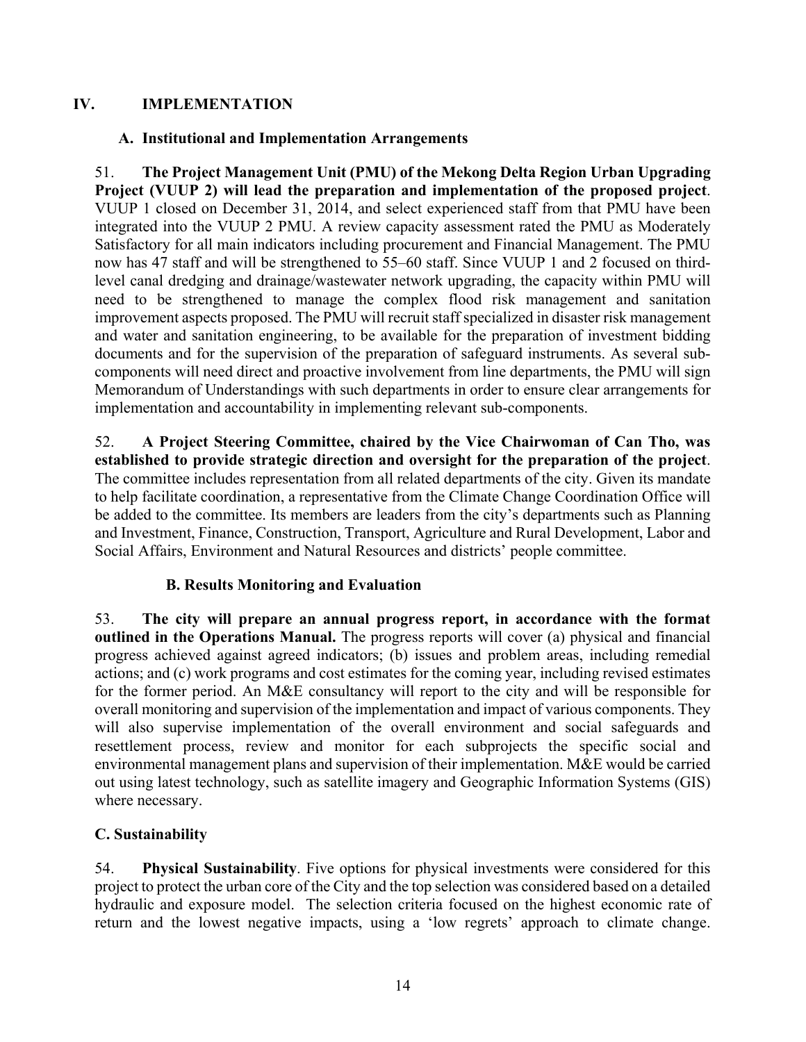## **IV. IMPLEMENTATION**

## **A. Institutional and Implementation Arrangements**

51. **The Project Management Unit (PMU) of the Mekong Delta Region Urban Upgrading Project (VUUP 2) will lead the preparation and implementation of the proposed project**. VUUP 1 closed on December 31, 2014, and select experienced staff from that PMU have been integrated into the VUUP 2 PMU. A review capacity assessment rated the PMU as Moderately Satisfactory for all main indicators including procurement and Financial Management. The PMU now has 47 staff and will be strengthened to 55–60 staff. Since VUUP 1 and 2 focused on thirdlevel canal dredging and drainage/wastewater network upgrading, the capacity within PMU will need to be strengthened to manage the complex flood risk management and sanitation improvement aspects proposed. The PMU will recruit staff specialized in disaster risk management and water and sanitation engineering, to be available for the preparation of investment bidding documents and for the supervision of the preparation of safeguard instruments. As several subcomponents will need direct and proactive involvement from line departments, the PMU will sign Memorandum of Understandings with such departments in order to ensure clear arrangements for implementation and accountability in implementing relevant sub-components.

52. **A Project Steering Committee, chaired by the Vice Chairwoman of Can Tho, was established to provide strategic direction and oversight for the preparation of the project**. The committee includes representation from all related departments of the city. Given its mandate to help facilitate coordination, a representative from the Climate Change Coordination Office will be added to the committee. Its members are leaders from the city's departments such as Planning and Investment, Finance, Construction, Transport, Agriculture and Rural Development, Labor and Social Affairs, Environment and Natural Resources and districts' people committee.

## **B. Results Monitoring and Evaluation**

53. **The city will prepare an annual progress report, in accordance with the format outlined in the Operations Manual.** The progress reports will cover (a) physical and financial progress achieved against agreed indicators; (b) issues and problem areas, including remedial actions; and (c) work programs and cost estimates for the coming year, including revised estimates for the former period. An M&E consultancy will report to the city and will be responsible for overall monitoring and supervision of the implementation and impact of various components. They will also supervise implementation of the overall environment and social safeguards and resettlement process, review and monitor for each subprojects the specific social and environmental management plans and supervision of their implementation. M&E would be carried out using latest technology, such as satellite imagery and Geographic Information Systems (GIS) where necessary.

## **C. Sustainability**

54. **Physical Sustainability**. Five options for physical investments were considered for this project to protect the urban core of the City and the top selection was considered based on a detailed hydraulic and exposure model. The selection criteria focused on the highest economic rate of return and the lowest negative impacts, using a 'low regrets' approach to climate change.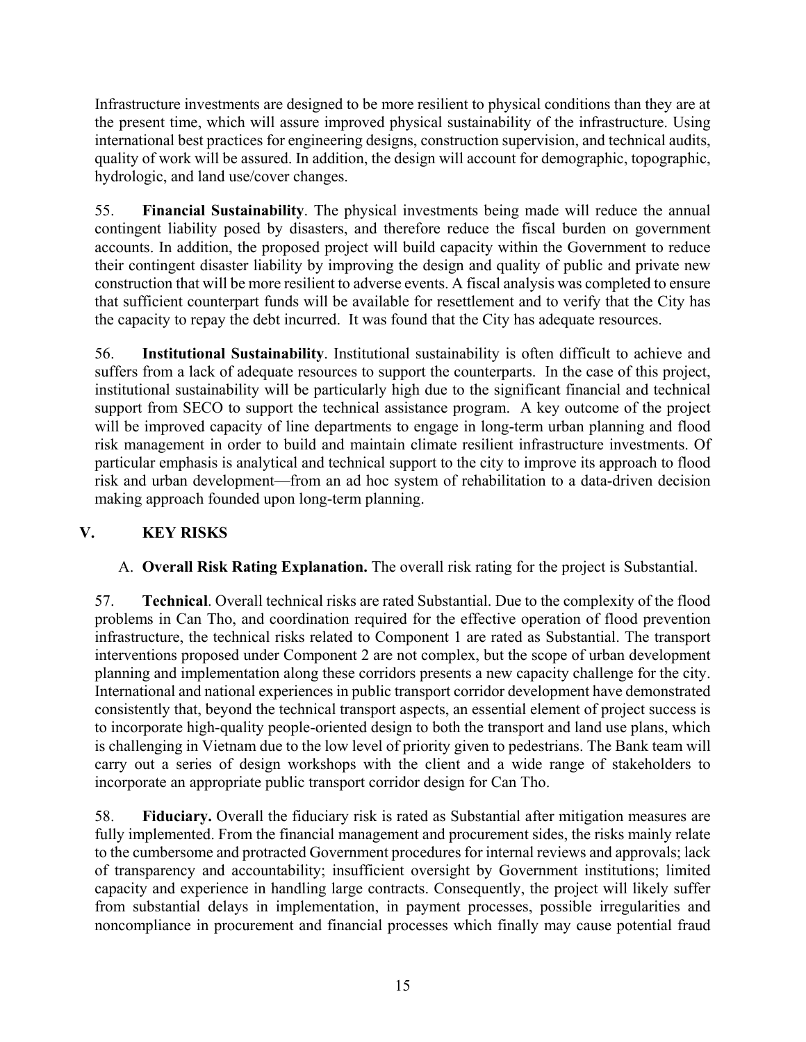Infrastructure investments are designed to be more resilient to physical conditions than they are at the present time, which will assure improved physical sustainability of the infrastructure. Using international best practices for engineering designs, construction supervision, and technical audits, quality of work will be assured. In addition, the design will account for demographic, topographic, hydrologic, and land use/cover changes.

55. **Financial Sustainability**. The physical investments being made will reduce the annual contingent liability posed by disasters, and therefore reduce the fiscal burden on government accounts. In addition, the proposed project will build capacity within the Government to reduce their contingent disaster liability by improving the design and quality of public and private new construction that will be more resilient to adverse events. A fiscal analysis was completed to ensure that sufficient counterpart funds will be available for resettlement and to verify that the City has the capacity to repay the debt incurred. It was found that the City has adequate resources.

56. **Institutional Sustainability**. Institutional sustainability is often difficult to achieve and suffers from a lack of adequate resources to support the counterparts. In the case of this project, institutional sustainability will be particularly high due to the significant financial and technical support from SECO to support the technical assistance program. A key outcome of the project will be improved capacity of line departments to engage in long-term urban planning and flood risk management in order to build and maintain climate resilient infrastructure investments. Of particular emphasis is analytical and technical support to the city to improve its approach to flood risk and urban development—from an ad hoc system of rehabilitation to a data-driven decision making approach founded upon long-term planning.

# **V. KEY RISKS**

A. **Overall Risk Rating Explanation.** The overall risk rating for the project is Substantial.

57. **Technical**. Overall technical risks are rated Substantial. Due to the complexity of the flood problems in Can Tho, and coordination required for the effective operation of flood prevention infrastructure, the technical risks related to Component 1 are rated as Substantial. The transport interventions proposed under Component 2 are not complex, but the scope of urban development planning and implementation along these corridors presents a new capacity challenge for the city. International and national experiences in public transport corridor development have demonstrated consistently that, beyond the technical transport aspects, an essential element of project success is to incorporate high-quality people-oriented design to both the transport and land use plans, which is challenging in Vietnam due to the low level of priority given to pedestrians. The Bank team will carry out a series of design workshops with the client and a wide range of stakeholders to incorporate an appropriate public transport corridor design for Can Tho.

58. **Fiduciary.** Overall the fiduciary risk is rated as Substantial after mitigation measures are fully implemented. From the financial management and procurement sides, the risks mainly relate to the cumbersome and protracted Government procedures for internal reviews and approvals; lack of transparency and accountability; insufficient oversight by Government institutions; limited capacity and experience in handling large contracts. Consequently, the project will likely suffer from substantial delays in implementation, in payment processes, possible irregularities and noncompliance in procurement and financial processes which finally may cause potential fraud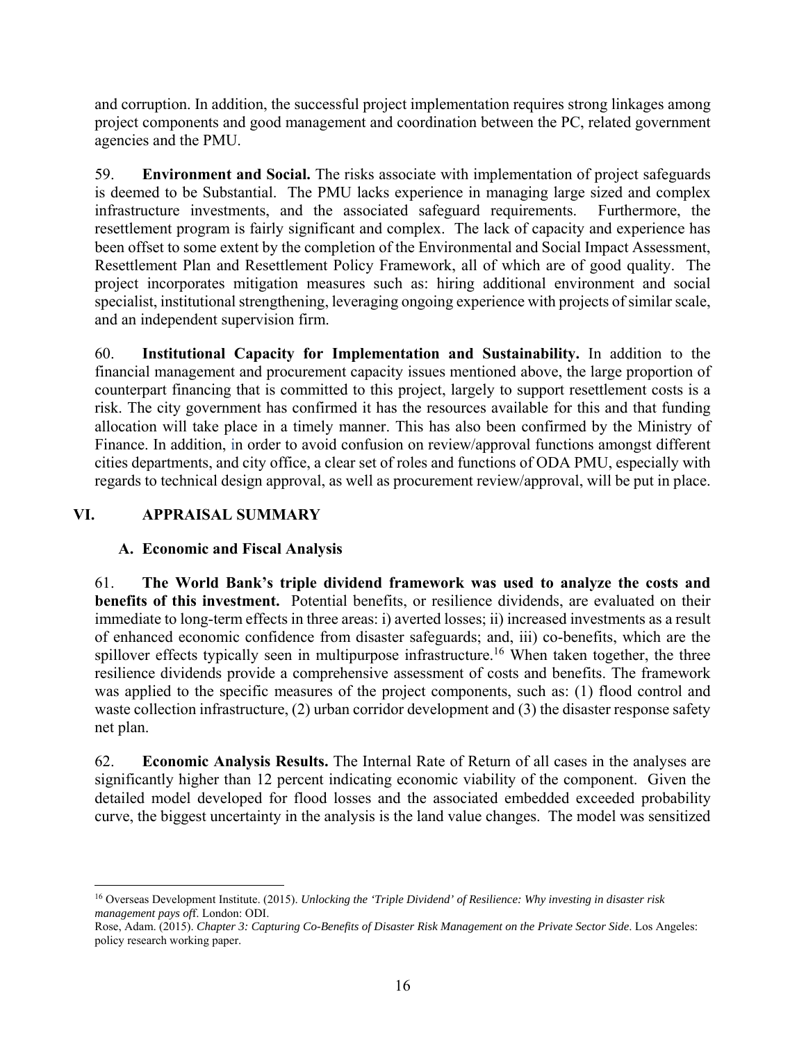and corruption. In addition, the successful project implementation requires strong linkages among project components and good management and coordination between the PC, related government agencies and the PMU.

59. **Environment and Social.** The risks associate with implementation of project safeguards is deemed to be Substantial. The PMU lacks experience in managing large sized and complex infrastructure investments, and the associated safeguard requirements. Furthermore, the resettlement program is fairly significant and complex. The lack of capacity and experience has been offset to some extent by the completion of the Environmental and Social Impact Assessment, Resettlement Plan and Resettlement Policy Framework, all of which are of good quality. The project incorporates mitigation measures such as: hiring additional environment and social specialist, institutional strengthening, leveraging ongoing experience with projects of similar scale, and an independent supervision firm.

60. **Institutional Capacity for Implementation and Sustainability.** In addition to the financial management and procurement capacity issues mentioned above, the large proportion of counterpart financing that is committed to this project, largely to support resettlement costs is a risk. The city government has confirmed it has the resources available for this and that funding allocation will take place in a timely manner. This has also been confirmed by the Ministry of Finance. In addition, in order to avoid confusion on review/approval functions amongst different cities departments, and city office, a clear set of roles and functions of ODA PMU, especially with regards to technical design approval, as well as procurement review/approval, will be put in place.

# **VI. APPRAISAL SUMMARY**

 $\overline{a}$ 

## **A. Economic and Fiscal Analysis**

61. **The World Bank's triple dividend framework was used to analyze the costs and benefits of this investment.** Potential benefits, or resilience dividends, are evaluated on their immediate to long-term effects in three areas: i) averted losses; ii) increased investments as a result of enhanced economic confidence from disaster safeguards; and, iii) co-benefits, which are the spillover effects typically seen in multipurpose infrastructure.<sup>16</sup> When taken together, the three resilience dividends provide a comprehensive assessment of costs and benefits. The framework was applied to the specific measures of the project components, such as: (1) flood control and waste collection infrastructure, (2) urban corridor development and (3) the disaster response safety net plan.

62. **Economic Analysis Results.** The Internal Rate of Return of all cases in the analyses are significantly higher than 12 percent indicating economic viability of the component. Given the detailed model developed for flood losses and the associated embedded exceeded probability curve, the biggest uncertainty in the analysis is the land value changes. The model was sensitized

<sup>16</sup> Overseas Development Institute. (2015). *Unlocking the 'Triple Dividend' of Resilience: Why investing in disaster risk management pays of*f. London: ODI.

Rose, Adam. (2015). *Chapter 3: Capturing Co-Benefits of Disaster Risk Management on the Private Sector Side*. Los Angeles: policy research working paper.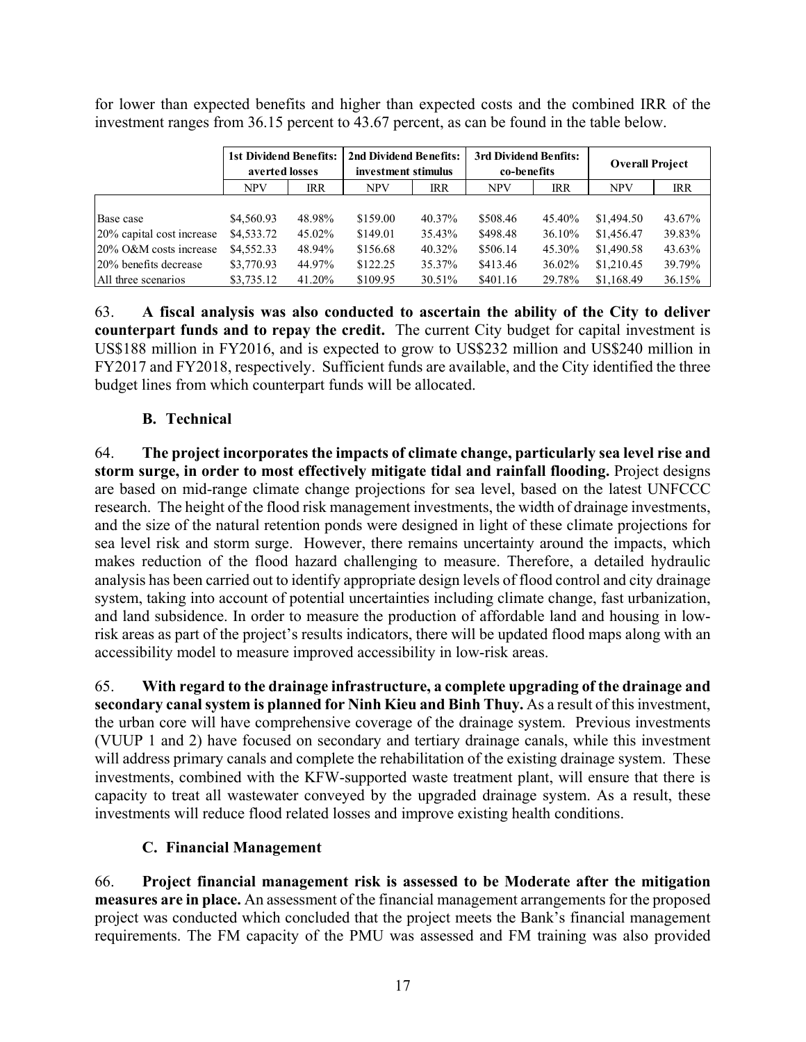|                           | 1st Dividend Benefits:<br>averted losses |            | 2nd Dividend Benefits:<br>investment stimulus |            | 3rd Dividend Benfits:<br>co-benefits |            | <b>Overall Project</b> |            |
|---------------------------|------------------------------------------|------------|-----------------------------------------------|------------|--------------------------------------|------------|------------------------|------------|
|                           | <b>NPV</b>                               | <b>IRR</b> | <b>NPV</b>                                    | <b>IRR</b> | <b>NPV</b>                           | <b>IRR</b> | <b>NPV</b>             | <b>IRR</b> |
|                           |                                          |            |                                               |            |                                      |            |                        |            |
| Base case                 | \$4,560.93                               | 48.98%     | \$159.00                                      | 40.37%     | \$508.46                             | 45.40%     | \$1,494.50             | 43.67%     |
| 20% capital cost increase | \$4,533.72                               | 45.02%     | \$149.01                                      | 35.43%     | \$498.48                             | 36.10%     | \$1,456.47             | 39.83%     |
| 20% O&M costs increase    | \$4,552.33                               | 48.94%     | \$156.68                                      | 40.32%     | \$506.14                             | 45.30%     | \$1,490.58             | 43.63%     |
| 20% benefits decrease     | \$3,770.93                               | 44.97%     | \$122.25                                      | 35.37%     | \$413.46                             | 36.02%     | \$1,210.45             | 39.79%     |
| All three scenarios       | \$3,735.12                               | 41.20%     | \$109.95                                      | 30.51%     | \$401.16                             | 29.78%     | \$1,168.49             | 36.15%     |

for lower than expected benefits and higher than expected costs and the combined IRR of the investment ranges from 36.15 percent to 43.67 percent, as can be found in the table below.

63. **A fiscal analysis was also conducted to ascertain the ability of the City to deliver counterpart funds and to repay the credit.** The current City budget for capital investment is US\$188 million in FY2016, and is expected to grow to US\$232 million and US\$240 million in FY2017 and FY2018, respectively. Sufficient funds are available, and the City identified the three budget lines from which counterpart funds will be allocated.

## **B. Technical**

64. **The project incorporates the impacts of climate change, particularly sea level rise and storm surge, in order to most effectively mitigate tidal and rainfall flooding.** Project designs are based on mid-range climate change projections for sea level, based on the latest UNFCCC research. The height of the flood risk management investments, the width of drainage investments, and the size of the natural retention ponds were designed in light of these climate projections for sea level risk and storm surge. However, there remains uncertainty around the impacts, which makes reduction of the flood hazard challenging to measure. Therefore, a detailed hydraulic analysis has been carried out to identify appropriate design levels of flood control and city drainage system, taking into account of potential uncertainties including climate change, fast urbanization, and land subsidence. In order to measure the production of affordable land and housing in lowrisk areas as part of the project's results indicators, there will be updated flood maps along with an accessibility model to measure improved accessibility in low-risk areas.

65. **With regard to the drainage infrastructure, a complete upgrading of the drainage and secondary canal system is planned for Ninh Kieu and Binh Thuy.** As a result of this investment, the urban core will have comprehensive coverage of the drainage system. Previous investments (VUUP 1 and 2) have focused on secondary and tertiary drainage canals, while this investment will address primary canals and complete the rehabilitation of the existing drainage system. These investments, combined with the KFW-supported waste treatment plant, will ensure that there is capacity to treat all wastewater conveyed by the upgraded drainage system. As a result, these investments will reduce flood related losses and improve existing health conditions.

## **C. Financial Management**

66. **Project financial management risk is assessed to be Moderate after the mitigation measures are in place.** An assessment of the financial management arrangements for the proposed project was conducted which concluded that the project meets the Bank's financial management requirements. The FM capacity of the PMU was assessed and FM training was also provided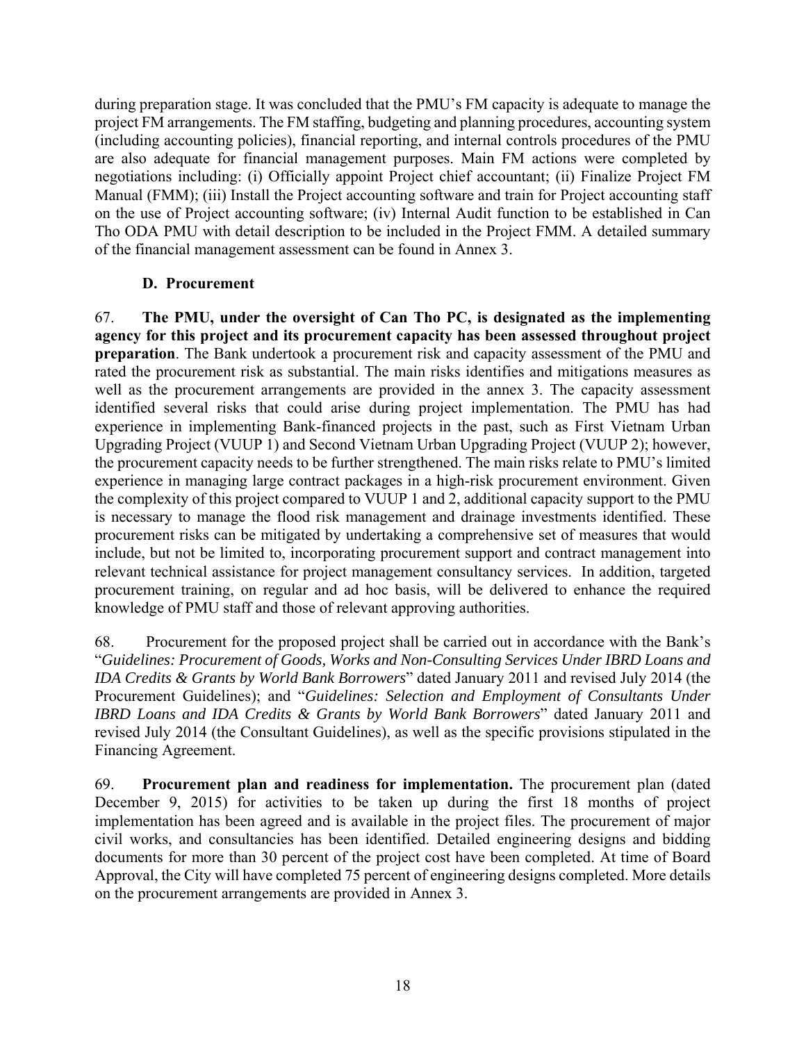during preparation stage. It was concluded that the PMU's FM capacity is adequate to manage the project FM arrangements. The FM staffing, budgeting and planning procedures, accounting system (including accounting policies), financial reporting, and internal controls procedures of the PMU are also adequate for financial management purposes. Main FM actions were completed by negotiations including: (i) Officially appoint Project chief accountant; (ii) Finalize Project FM Manual (FMM); (iii) Install the Project accounting software and train for Project accounting staff on the use of Project accounting software; (iv) Internal Audit function to be established in Can Tho ODA PMU with detail description to be included in the Project FMM. A detailed summary of the financial management assessment can be found in Annex 3.

## **D. Procurement**

67. **The PMU, under the oversight of Can Tho PC, is designated as the implementing agency for this project and its procurement capacity has been assessed throughout project preparation**. The Bank undertook a procurement risk and capacity assessment of the PMU and rated the procurement risk as substantial. The main risks identifies and mitigations measures as well as the procurement arrangements are provided in the annex 3. The capacity assessment identified several risks that could arise during project implementation. The PMU has had experience in implementing Bank-financed projects in the past, such as First Vietnam Urban Upgrading Project (VUUP 1) and Second Vietnam Urban Upgrading Project (VUUP 2); however, the procurement capacity needs to be further strengthened. The main risks relate to PMU's limited experience in managing large contract packages in a high-risk procurement environment. Given the complexity of this project compared to VUUP 1 and 2, additional capacity support to the PMU is necessary to manage the flood risk management and drainage investments identified. These procurement risks can be mitigated by undertaking a comprehensive set of measures that would include, but not be limited to, incorporating procurement support and contract management into relevant technical assistance for project management consultancy services. In addition, targeted procurement training, on regular and ad hoc basis, will be delivered to enhance the required knowledge of PMU staff and those of relevant approving authorities.

68. Procurement for the proposed project shall be carried out in accordance with the Bank's "*Guidelines: Procurement of Goods, Works and Non-Consulting Services Under IBRD Loans and IDA Credits & Grants by World Bank Borrowers*" dated January 2011 and revised July 2014 (the Procurement Guidelines); and "*Guidelines: Selection and Employment of Consultants Under IBRD Loans and IDA Credits & Grants by World Bank Borrowers*" dated January 2011 and revised July 2014 (the Consultant Guidelines), as well as the specific provisions stipulated in the Financing Agreement.

69. **Procurement plan and readiness for implementation.** The procurement plan (dated December 9, 2015) for activities to be taken up during the first 18 months of project implementation has been agreed and is available in the project files. The procurement of major civil works, and consultancies has been identified. Detailed engineering designs and bidding documents for more than 30 percent of the project cost have been completed. At time of Board Approval, the City will have completed 75 percent of engineering designs completed. More details on the procurement arrangements are provided in Annex 3.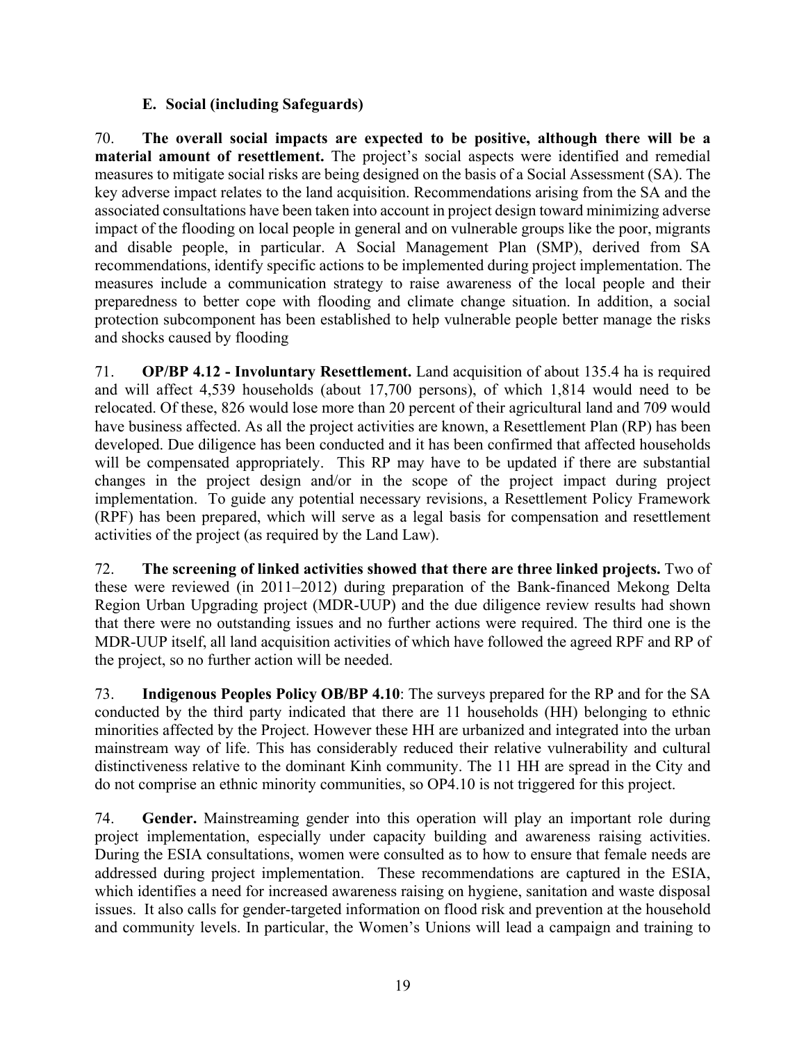## **E. Social (including Safeguards)**

70. **The overall social impacts are expected to be positive, although there will be a material amount of resettlement.** The project's social aspects were identified and remedial measures to mitigate social risks are being designed on the basis of a Social Assessment (SA). The key adverse impact relates to the land acquisition. Recommendations arising from the SA and the associated consultations have been taken into account in project design toward minimizing adverse impact of the flooding on local people in general and on vulnerable groups like the poor, migrants and disable people, in particular. A Social Management Plan (SMP), derived from SA recommendations, identify specific actions to be implemented during project implementation. The measures include a communication strategy to raise awareness of the local people and their preparedness to better cope with flooding and climate change situation. In addition, a social protection subcomponent has been established to help vulnerable people better manage the risks and shocks caused by flooding

71. **OP/BP 4.12 - Involuntary Resettlement.** Land acquisition of about 135.4 ha is required and will affect 4,539 households (about 17,700 persons), of which 1,814 would need to be relocated. Of these, 826 would lose more than 20 percent of their agricultural land and 709 would have business affected. As all the project activities are known, a Resettlement Plan (RP) has been developed. Due diligence has been conducted and it has been confirmed that affected households will be compensated appropriately. This RP may have to be updated if there are substantial changes in the project design and/or in the scope of the project impact during project implementation. To guide any potential necessary revisions, a Resettlement Policy Framework (RPF) has been prepared, which will serve as a legal basis for compensation and resettlement activities of the project (as required by the Land Law).

72. **The screening of linked activities showed that there are three linked projects.** Two of these were reviewed (in 2011–2012) during preparation of the Bank-financed Mekong Delta Region Urban Upgrading project (MDR-UUP) and the due diligence review results had shown that there were no outstanding issues and no further actions were required. The third one is the MDR-UUP itself, all land acquisition activities of which have followed the agreed RPF and RP of the project, so no further action will be needed.

73. **Indigenous Peoples Policy OB/BP 4.10**: The surveys prepared for the RP and for the SA conducted by the third party indicated that there are 11 households (HH) belonging to ethnic minorities affected by the Project. However these HH are urbanized and integrated into the urban mainstream way of life. This has considerably reduced their relative vulnerability and cultural distinctiveness relative to the dominant Kinh community. The 11 HH are spread in the City and do not comprise an ethnic minority communities, so OP4.10 is not triggered for this project.

74. **Gender.** Mainstreaming gender into this operation will play an important role during project implementation, especially under capacity building and awareness raising activities. During the ESIA consultations, women were consulted as to how to ensure that female needs are addressed during project implementation. These recommendations are captured in the ESIA, which identifies a need for increased awareness raising on hygiene, sanitation and waste disposal issues. It also calls for gender-targeted information on flood risk and prevention at the household and community levels. In particular, the Women's Unions will lead a campaign and training to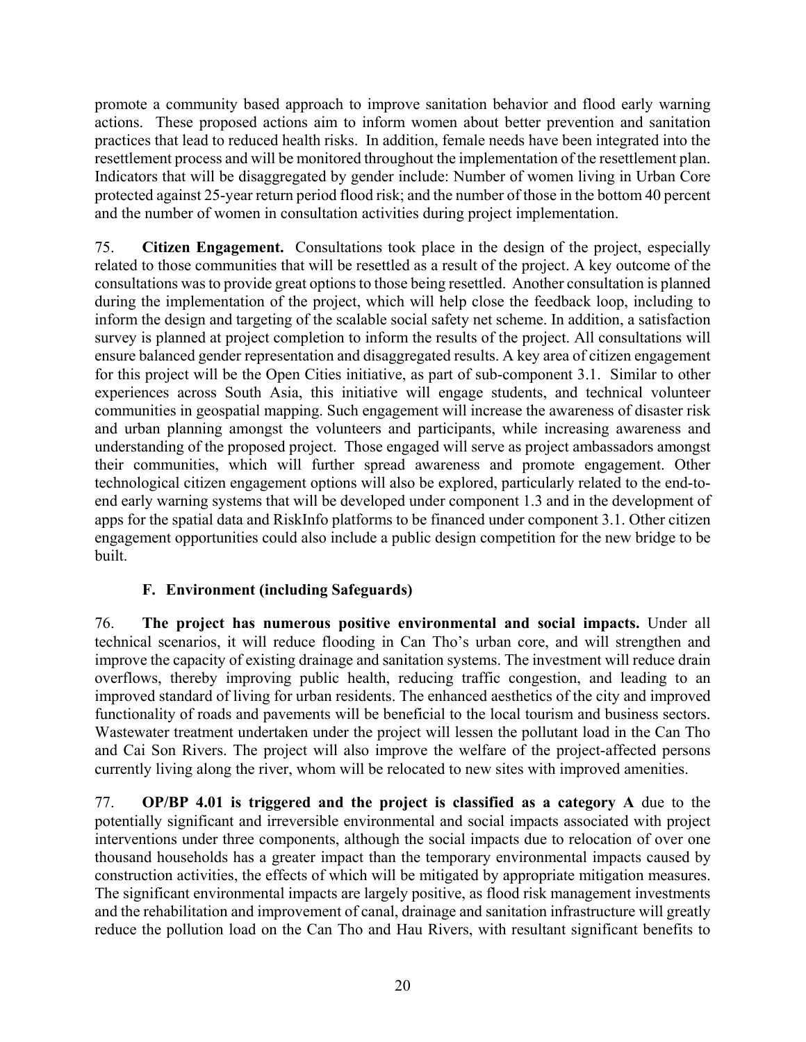promote a community based approach to improve sanitation behavior and flood early warning actions. These proposed actions aim to inform women about better prevention and sanitation practices that lead to reduced health risks. In addition, female needs have been integrated into the resettlement process and will be monitored throughout the implementation of the resettlement plan. Indicators that will be disaggregated by gender include: Number of women living in Urban Core protected against 25-year return period flood risk; and the number of those in the bottom 40 percent and the number of women in consultation activities during project implementation.

75. **Citizen Engagement.** Consultations took place in the design of the project, especially related to those communities that will be resettled as a result of the project. A key outcome of the consultations was to provide great options to those being resettled. Another consultation is planned during the implementation of the project, which will help close the feedback loop, including to inform the design and targeting of the scalable social safety net scheme. In addition, a satisfaction survey is planned at project completion to inform the results of the project. All consultations will ensure balanced gender representation and disaggregated results. A key area of citizen engagement for this project will be the Open Cities initiative, as part of sub-component 3.1. Similar to other experiences across South Asia, this initiative will engage students, and technical volunteer communities in geospatial mapping. Such engagement will increase the awareness of disaster risk and urban planning amongst the volunteers and participants, while increasing awareness and understanding of the proposed project. Those engaged will serve as project ambassadors amongst their communities, which will further spread awareness and promote engagement. Other technological citizen engagement options will also be explored, particularly related to the end-toend early warning systems that will be developed under component 1.3 and in the development of apps for the spatial data and RiskInfo platforms to be financed under component 3.1. Other citizen engagement opportunities could also include a public design competition for the new bridge to be built.

## **F. Environment (including Safeguards)**

76. **The project has numerous positive environmental and social impacts.** Under all technical scenarios, it will reduce flooding in Can Tho's urban core, and will strengthen and improve the capacity of existing drainage and sanitation systems. The investment will reduce drain overflows, thereby improving public health, reducing traffic congestion, and leading to an improved standard of living for urban residents. The enhanced aesthetics of the city and improved functionality of roads and pavements will be beneficial to the local tourism and business sectors. Wastewater treatment undertaken under the project will lessen the pollutant load in the Can Tho and Cai Son Rivers. The project will also improve the welfare of the project-affected persons currently living along the river, whom will be relocated to new sites with improved amenities.

77. **OP/BP 4.01 is triggered and the project is classified as a category A** due to the potentially significant and irreversible environmental and social impacts associated with project interventions under three components, although the social impacts due to relocation of over one thousand households has a greater impact than the temporary environmental impacts caused by construction activities, the effects of which will be mitigated by appropriate mitigation measures. The significant environmental impacts are largely positive, as flood risk management investments and the rehabilitation and improvement of canal, drainage and sanitation infrastructure will greatly reduce the pollution load on the Can Tho and Hau Rivers, with resultant significant benefits to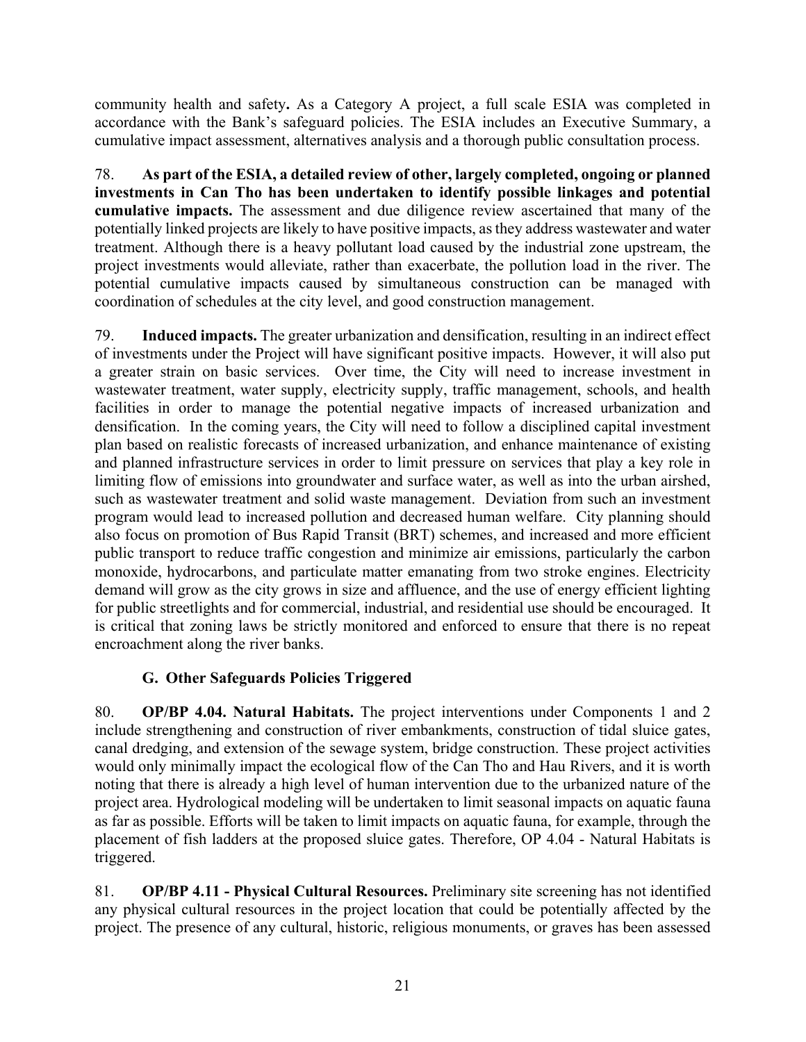community health and safety**.** As a Category A project, a full scale ESIA was completed in accordance with the Bank's safeguard policies. The ESIA includes an Executive Summary, a cumulative impact assessment, alternatives analysis and a thorough public consultation process.

78. **As part of the ESIA, a detailed review of other, largely completed, ongoing or planned investments in Can Tho has been undertaken to identify possible linkages and potential cumulative impacts.** The assessment and due diligence review ascertained that many of the potentially linked projects are likely to have positive impacts, as they address wastewater and water treatment. Although there is a heavy pollutant load caused by the industrial zone upstream, the project investments would alleviate, rather than exacerbate, the pollution load in the river. The potential cumulative impacts caused by simultaneous construction can be managed with coordination of schedules at the city level, and good construction management.

79. **Induced impacts.** The greater urbanization and densification, resulting in an indirect effect of investments under the Project will have significant positive impacts. However, it will also put a greater strain on basic services. Over time, the City will need to increase investment in wastewater treatment, water supply, electricity supply, traffic management, schools, and health facilities in order to manage the potential negative impacts of increased urbanization and densification. In the coming years, the City will need to follow a disciplined capital investment plan based on realistic forecasts of increased urbanization, and enhance maintenance of existing and planned infrastructure services in order to limit pressure on services that play a key role in limiting flow of emissions into groundwater and surface water, as well as into the urban airshed, such as wastewater treatment and solid waste management. Deviation from such an investment program would lead to increased pollution and decreased human welfare. City planning should also focus on promotion of Bus Rapid Transit (BRT) schemes, and increased and more efficient public transport to reduce traffic congestion and minimize air emissions, particularly the carbon monoxide, hydrocarbons, and particulate matter emanating from two stroke engines. Electricity demand will grow as the city grows in size and affluence, and the use of energy efficient lighting for public streetlights and for commercial, industrial, and residential use should be encouraged. It is critical that zoning laws be strictly monitored and enforced to ensure that there is no repeat encroachment along the river banks.

## **G. Other Safeguards Policies Triggered**

80. **OP/BP 4.04. Natural Habitats.** The project interventions under Components 1 and 2 include strengthening and construction of river embankments, construction of tidal sluice gates, canal dredging, and extension of the sewage system, bridge construction. These project activities would only minimally impact the ecological flow of the Can Tho and Hau Rivers, and it is worth noting that there is already a high level of human intervention due to the urbanized nature of the project area. Hydrological modeling will be undertaken to limit seasonal impacts on aquatic fauna as far as possible. Efforts will be taken to limit impacts on aquatic fauna, for example, through the placement of fish ladders at the proposed sluice gates. Therefore, OP 4.04 - Natural Habitats is triggered.

81. **OP/BP 4.11 - Physical Cultural Resources.** Preliminary site screening has not identified any physical cultural resources in the project location that could be potentially affected by the project. The presence of any cultural, historic, religious monuments, or graves has been assessed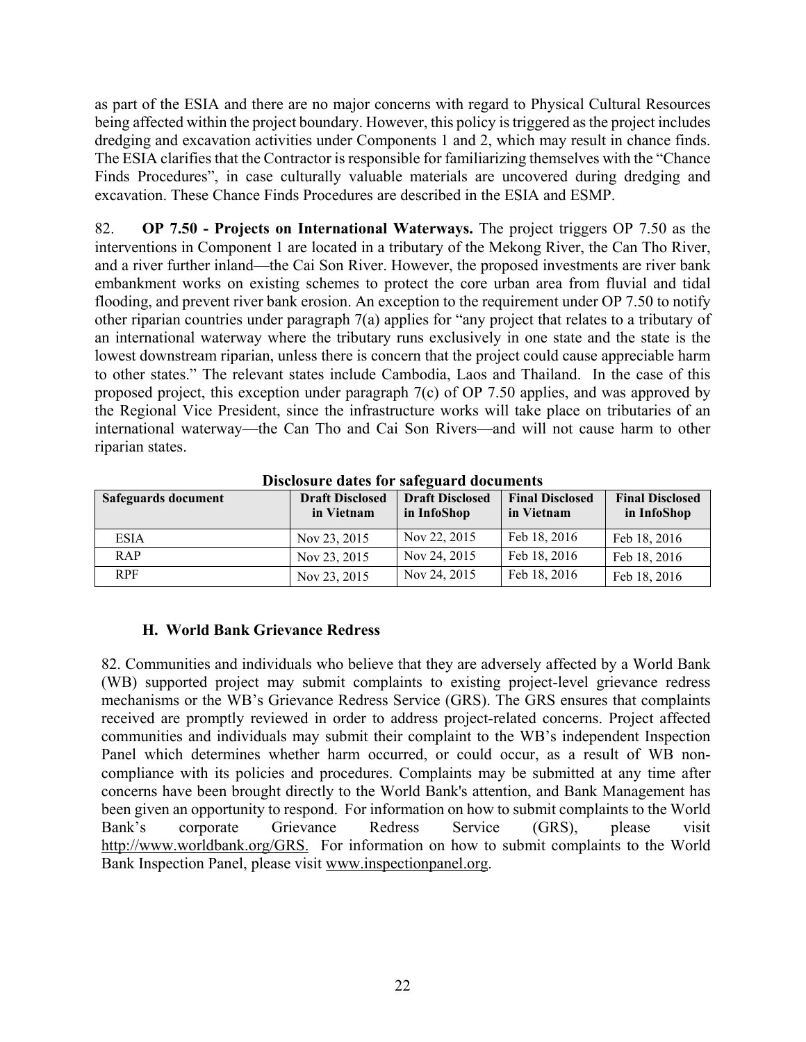as part of the ESIA and there are no major concerns with regard to Physical Cultural Resources being affected within the project boundary. However, this policy is triggered as the project includes dredging and excavation activities under Components 1 and 2, which may result in chance finds. The ESIA clarifies that the Contractor is responsible for familiarizing themselves with the "Chance Finds Procedures", in case culturally valuable materials are uncovered during dredging and excavation. These Chance Finds Procedures are described in the ESIA and ESMP.

82. **OP 7.50 - Projects on International Waterways.** The project triggers OP 7.50 as the interventions in Component 1 are located in a tributary of the Mekong River, the Can Tho River, and a river further inland—the Cai Son River. However, the proposed investments are river bank embankment works on existing schemes to protect the core urban area from fluvial and tidal flooding, and prevent river bank erosion. An exception to the requirement under OP 7.50 to notify other riparian countries under paragraph 7(a) applies for "any project that relates to a tributary of an international waterway where the tributary runs exclusively in one state and the state is the lowest downstream riparian, unless there is concern that the project could cause appreciable harm to other states." The relevant states include Cambodia, Laos and Thailand. In the case of this proposed project, this exception under paragraph 7(c) of OP 7.50 applies, and was approved by the Regional Vice President, since the infrastructure works will take place on tributaries of an international waterway—the Can Tho and Cai Son Rivers—and will not cause harm to other riparian states.

| Safeguards document | <b>Draft Disclosed</b><br>in Vietnam | <b>Draft Disclosed</b><br>in InfoShop | <b>Final Disclosed</b><br>in Vietnam | <b>Final Disclosed</b><br>in InfoShop |
|---------------------|--------------------------------------|---------------------------------------|--------------------------------------|---------------------------------------|
| <b>ESIA</b>         | Nov 23, 2015                         | Nov 22, 2015                          | Feb 18, 2016                         | Feb 18, 2016                          |
| <b>RAP</b>          | Nov 23, 2015                         | Nov 24, 2015                          | Feb 18, 2016                         | Feb 18, 2016                          |
| <b>RPF</b>          | Nov 23, 2015                         | Nov 24, 2015                          | Feb 18, 2016                         | Feb 18, 2016                          |

**Disclosure dates for safeguard documents** 

## **H. World Bank Grievance Redress**

82. Communities and individuals who believe that they are adversely affected by a World Bank (WB) supported project may submit complaints to existing project-level grievance redress mechanisms or the WB's Grievance Redress Service (GRS). The GRS ensures that complaints received are promptly reviewed in order to address project-related concerns. Project affected communities and individuals may submit their complaint to the WB's independent Inspection Panel which determines whether harm occurred, or could occur, as a result of WB noncompliance with its policies and procedures. Complaints may be submitted at any time after concerns have been brought directly to the World Bank's attention, and Bank Management has been given an opportunity to respond. For information on how to submit complaints to the World Bank's corporate Grievance Redress Service (GRS), please visit http://www.worldbank.org/GRS. For information on how to submit complaints to the World Bank Inspection Panel, please visit www.inspectionpanel.org.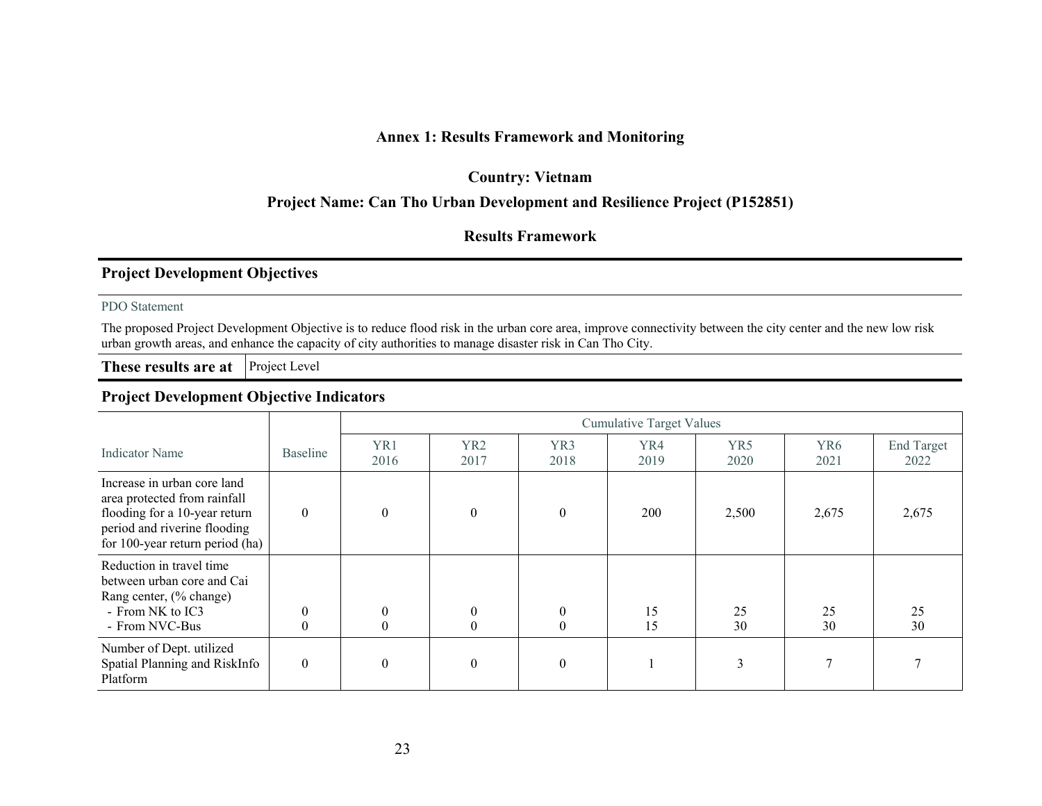## **Annex 1: Results Framework and Monitoring**

#### **Country: Vietnam**

## **Project Name: Can Tho Urban Development and Resilience Project (P152851)**

#### **Results Framework**

### **Project Development Objectives**

#### PDO Statement

The proposed Project Development Objective is to reduce flood risk in the urban core area, improve connectivity between the city center and the new low risk urban growth areas, and enhance the capacity of city authorities to manage disaster risk in Can Tho City.

**These results are at** Project Level

#### **Project Development Objective Indicators**

|                                                                                                                                                                   |                      | <b>Cumulative Target Values</b> |                                  |                                      |             |                         |                         |                           |  |
|-------------------------------------------------------------------------------------------------------------------------------------------------------------------|----------------------|---------------------------------|----------------------------------|--------------------------------------|-------------|-------------------------|-------------------------|---------------------------|--|
| <b>Indicator Name</b>                                                                                                                                             | <b>Baseline</b>      | YR1<br>2016                     | YR <sub>2</sub><br>2017          | YR <sub>3</sub><br>2018              | YR4<br>2019 | YR <sub>5</sub><br>2020 | YR <sub>6</sub><br>2021 | <b>End Target</b><br>2022 |  |
| Increase in urban core land<br>area protected from rainfall<br>flooding for a 10-year return<br>period and riverine flooding<br>for 100-year return period $(ha)$ | $\Omega$             | $\theta$                        | $\boldsymbol{0}$                 | $\theta$                             | 200         | 2,500                   | 2,675                   | 2,675                     |  |
| Reduction in travel time<br>between urban core and Cai<br>Rang center, (% change)<br>- From NK to IC3<br>- From NVC-Bus                                           | $\theta$<br>$\theta$ | $\overline{0}$<br>$\mathbf{0}$  | $\mathbf{0}$<br>$\boldsymbol{0}$ | $\boldsymbol{0}$<br>$\boldsymbol{0}$ | 15<br>15    | 25<br>30                | 25<br>30                | 25<br>30                  |  |
| Number of Dept. utilized<br>Spatial Planning and RiskInfo<br>Platform                                                                                             | $\theta$             | $\theta$                        | $\mathbf{0}$                     | $\theta$                             |             | 3                       |                         |                           |  |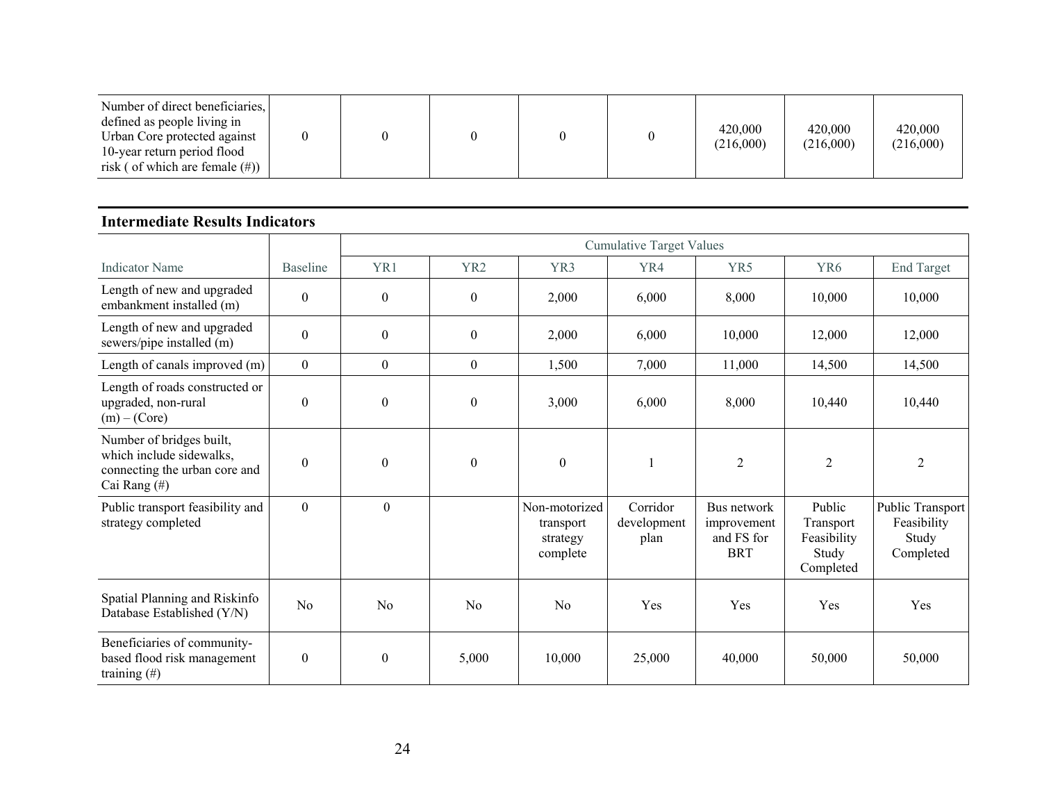| Number of direct beneficiaries,<br>defined as people living in<br>Urban Core protected against<br>10-year return period flood<br>risk (of which are female $(\#)$ ) |  |  |  |  |  | 420,000<br>(216,000) | 420,000<br>(216,000) | 420,000<br>(216,000) |
|---------------------------------------------------------------------------------------------------------------------------------------------------------------------|--|--|--|--|--|----------------------|----------------------|----------------------|
|---------------------------------------------------------------------------------------------------------------------------------------------------------------------|--|--|--|--|--|----------------------|----------------------|----------------------|

#### **Intermediate Results Indicators**

|                                                                                                       |                  | <b>Cumulative Target Values</b> |                  |                                                    |                                 |                                                        |                                                          |                                                       |
|-------------------------------------------------------------------------------------------------------|------------------|---------------------------------|------------------|----------------------------------------------------|---------------------------------|--------------------------------------------------------|----------------------------------------------------------|-------------------------------------------------------|
| <b>Indicator Name</b>                                                                                 | <b>Baseline</b>  | YR1                             | YR <sub>2</sub>  | YR3                                                | YR4                             | YR5                                                    | YR <sub>6</sub>                                          | <b>End Target</b>                                     |
| Length of new and upgraded<br>embankment installed (m)                                                | $\theta$         | $\mathbf{0}$                    | $\boldsymbol{0}$ | 2,000                                              | 6,000                           | 8,000                                                  | 10,000                                                   | 10,000                                                |
| Length of new and upgraded<br>sewers/pipe installed (m)                                               | $\mathbf{0}$     | $\boldsymbol{0}$                | $\mathbf{0}$     | 2,000                                              | 6,000                           | 10,000                                                 | 12,000                                                   | 12,000                                                |
| Length of canals improved (m)                                                                         | $\mathbf{0}$     | $\boldsymbol{0}$                | $\mathbf{0}$     | 1,500                                              | 7,000                           | 11,000                                                 | 14,500                                                   | 14,500                                                |
| Length of roads constructed or<br>upgraded, non-rural<br>$(m) - (Core)$                               | $\boldsymbol{0}$ | $\boldsymbol{0}$                | $\boldsymbol{0}$ | 3,000                                              | 6,000                           | 8,000                                                  | 10,440                                                   | 10,440                                                |
| Number of bridges built,<br>which include sidewalks,<br>connecting the urban core and<br>Cai Rang (#) | $\theta$         | $\mathbf{0}$                    | $\boldsymbol{0}$ | $\theta$                                           |                                 | $\overline{2}$                                         | $\overline{2}$                                           | $\overline{2}$                                        |
| Public transport feasibility and<br>strategy completed                                                | $\overline{0}$   | $\boldsymbol{0}$                |                  | Non-motorized<br>transport<br>strategy<br>complete | Corridor<br>development<br>plan | Bus network<br>improvement<br>and FS for<br><b>BRT</b> | Public<br>Transport<br>Feasibility<br>Study<br>Completed | Public Transport<br>Feasibility<br>Study<br>Completed |
| Spatial Planning and Riskinfo<br>Database Established (Y/N)                                           | N <sub>o</sub>   | N <sub>0</sub>                  | N <sub>0</sub>   | N <sub>o</sub>                                     | Yes                             | Yes                                                    | Yes                                                      | Yes                                                   |
| Beneficiaries of community-<br>based flood risk management<br>training $(\#)$                         | $\boldsymbol{0}$ | $\mathbf{0}$                    | 5,000            | 10,000                                             | 25,000                          | 40,000                                                 | 50,000                                                   | 50,000                                                |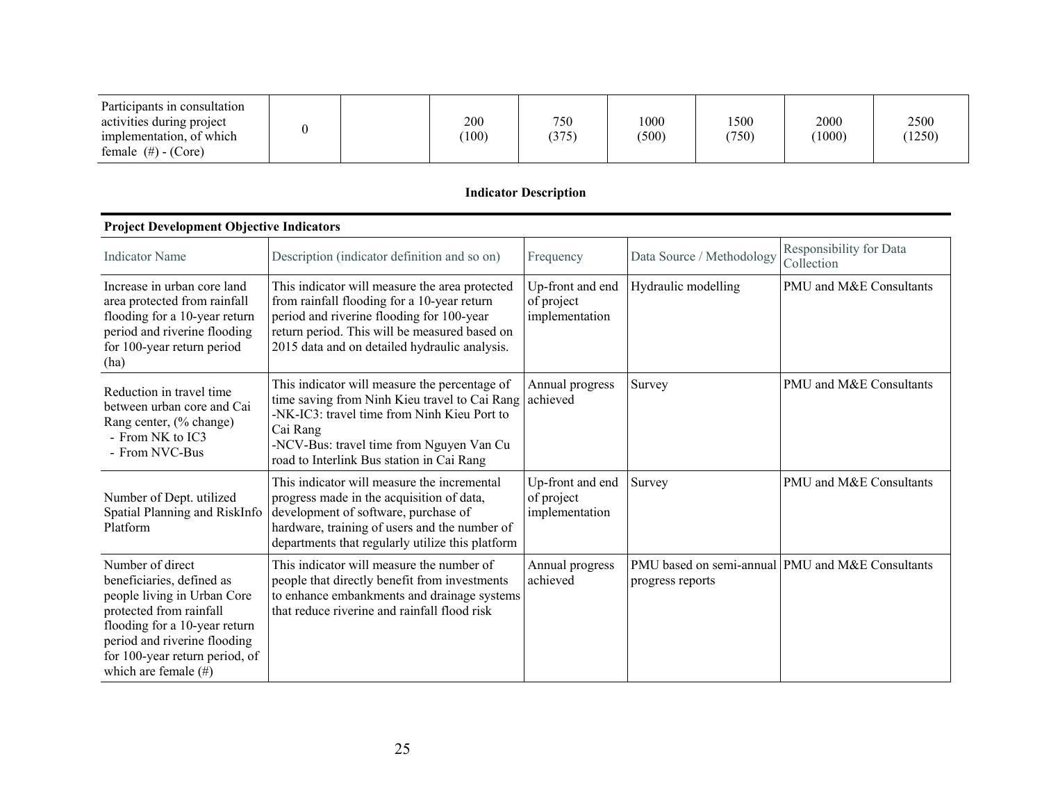| Participants in consultation<br>activities during project |  | 200   | 750   | 1000  | 500   | 2000   | 2500   |
|-----------------------------------------------------------|--|-------|-------|-------|-------|--------|--------|
| implementation, of which<br>female $(\#)$ - (Core)        |  | (100) | (375) | (500) | (750) | (1000) | (1250) |

## **Indicator Description**

| т гојест Беуевринент Објеси уе пинсатог з                                                                                                                                                                                             |                                                                                                                                                                                                                                                    |                                                  |                     |                                                  |  |  |  |  |  |
|---------------------------------------------------------------------------------------------------------------------------------------------------------------------------------------------------------------------------------------|----------------------------------------------------------------------------------------------------------------------------------------------------------------------------------------------------------------------------------------------------|--------------------------------------------------|---------------------|--------------------------------------------------|--|--|--|--|--|
| <b>Indicator Name</b>                                                                                                                                                                                                                 | Description (indicator definition and so on)                                                                                                                                                                                                       | Data Source / Methodology<br>Frequency           |                     | Responsibility for Data<br>Collection            |  |  |  |  |  |
| Increase in urban core land<br>area protected from rainfall<br>flooding for a 10-year return<br>period and riverine flooding<br>for 100-year return period<br>(ha)                                                                    | This indicator will measure the area protected<br>from rainfall flooding for a 10-year return<br>period and riverine flooding for 100-year<br>return period. This will be measured based on<br>2015 data and on detailed hydraulic analysis.       | Up-front and end<br>of project<br>implementation | Hydraulic modelling | PMU and M&E Consultants                          |  |  |  |  |  |
| Reduction in travel time<br>between urban core and Cai<br>Rang center, (% change)<br>- From NK to IC3<br>- From NVC-Bus                                                                                                               | This indicator will measure the percentage of<br>time saving from Ninh Kieu travel to Cai Rang<br>-NK-IC3: travel time from Ninh Kieu Port to<br>Cai Rang<br>-NCV-Bus: travel time from Nguyen Van Cu<br>road to Interlink Bus station in Cai Rang | Annual progress<br>achieved                      | Survey              | PMU and M&E Consultants                          |  |  |  |  |  |
| Number of Dept. utilized<br>Spatial Planning and RiskInfo<br>Platform                                                                                                                                                                 | This indicator will measure the incremental<br>progress made in the acquisition of data,<br>development of software, purchase of<br>hardware, training of users and the number of<br>departments that regularly utilize this platform              | Up-front and end<br>of project<br>implementation | Survey              | PMU and M&E Consultants                          |  |  |  |  |  |
| Number of direct<br>beneficiaries, defined as<br>people living in Urban Core<br>protected from rainfall<br>flooding for a 10-year return<br>period and riverine flooding<br>for 100-year return period, of<br>which are female $(\#)$ | This indicator will measure the number of<br>people that directly benefit from investments<br>to enhance embankments and drainage systems<br>that reduce riverine and rainfall flood risk                                                          | Annual progress<br>achieved                      | progress reports    | PMU based on semi-annual PMU and M&E Consultants |  |  |  |  |  |

#### **Project Development Objective Indicators**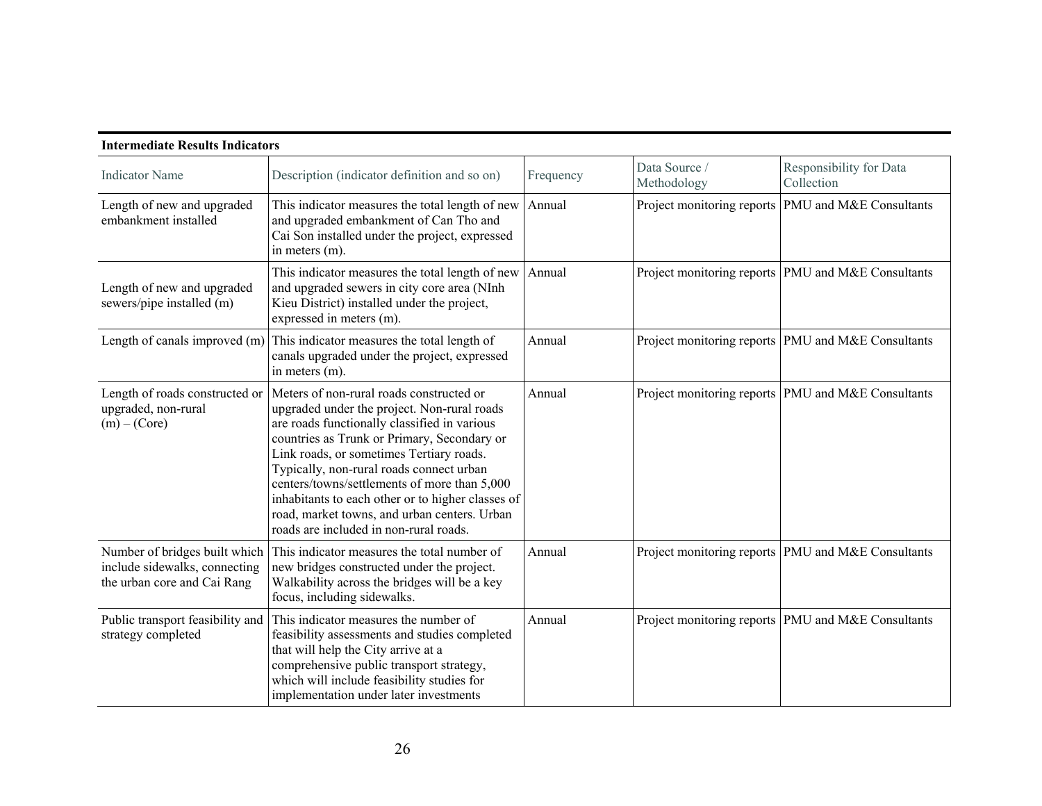| Description (indicator definition and so on)                                                                                                                                                                                                                                                                                                                                                                                                                                  | Frequency | Data Source /<br>Methodology | Responsibility for Data<br>Collection                |
|-------------------------------------------------------------------------------------------------------------------------------------------------------------------------------------------------------------------------------------------------------------------------------------------------------------------------------------------------------------------------------------------------------------------------------------------------------------------------------|-----------|------------------------------|------------------------------------------------------|
| This indicator measures the total length of new<br>and upgraded embankment of Can Tho and<br>Cai Son installed under the project, expressed<br>in meters (m).                                                                                                                                                                                                                                                                                                                 | Annual    |                              | Project monitoring reports PMU and M&E Consultants   |
| This indicator measures the total length of new<br>and upgraded sewers in city core area (NInh<br>Kieu District) installed under the project,<br>expressed in meters (m).                                                                                                                                                                                                                                                                                                     | Annual    |                              | Project monitoring reports PMU and M&E Consultants   |
| This indicator measures the total length of<br>canals upgraded under the project, expressed<br>in meters (m).                                                                                                                                                                                                                                                                                                                                                                 | Annual    |                              | Project monitoring reports PMU and M&E Consultants   |
| Meters of non-rural roads constructed or<br>upgraded under the project. Non-rural roads<br>are roads functionally classified in various<br>countries as Trunk or Primary, Secondary or<br>Link roads, or sometimes Tertiary roads.<br>Typically, non-rural roads connect urban<br>centers/towns/settlements of more than 5,000<br>inhabitants to each other or to higher classes of<br>road, market towns, and urban centers. Urban<br>roads are included in non-rural roads. | Annual    |                              | Project monitoring reports   PMU and M&E Consultants |
| This indicator measures the total number of<br>new bridges constructed under the project.<br>Walkability across the bridges will be a key<br>focus, including sidewalks.                                                                                                                                                                                                                                                                                                      | Annual    |                              | Project monitoring reports PMU and M&E Consultants   |
| This indicator measures the number of<br>feasibility assessments and studies completed<br>that will help the City arrive at a<br>comprehensive public transport strategy,<br>which will include feasibility studies for<br>implementation under later investments                                                                                                                                                                                                             | Annual    |                              | Project monitoring reports PMU and M&E Consultants   |
|                                                                                                                                                                                                                                                                                                                                                                                                                                                                               |           |                              |                                                      |

#### **Intermediate Results Indicators**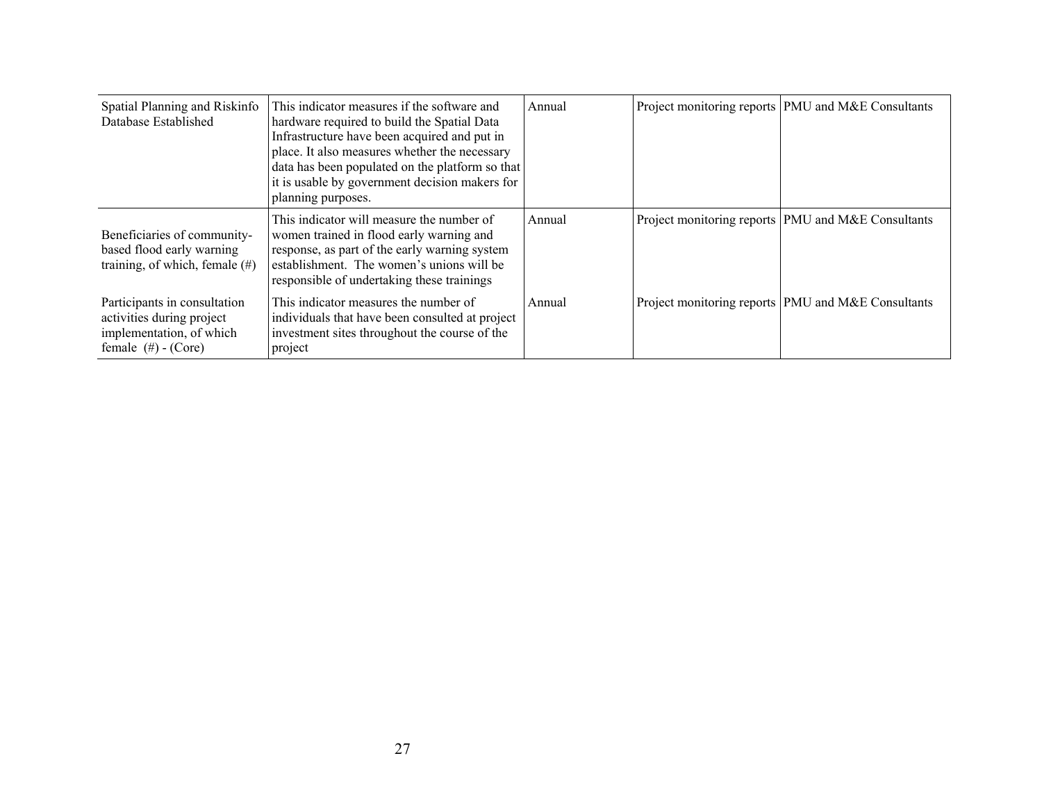| Spatial Planning and Riskinfo<br>Database Established                                                           | This indicator measures if the software and<br>hardware required to build the Spatial Data<br>Infrastructure have been acquired and put in<br>place. It also measures whether the necessary<br>data has been populated on the platform so that<br>it is usable by government decision makers for<br>planning purposes. | Annual | Project monitoring reports PMU and M&E Consultants |
|-----------------------------------------------------------------------------------------------------------------|------------------------------------------------------------------------------------------------------------------------------------------------------------------------------------------------------------------------------------------------------------------------------------------------------------------------|--------|----------------------------------------------------|
| Beneficiaries of community-<br>based flood early warning<br>training, of which, female $(\#)$                   | This indicator will measure the number of<br>women trained in flood early warning and<br>response, as part of the early warning system<br>establishment. The women's unions will be<br>responsible of undertaking these trainings                                                                                      | Annual | Project monitoring reports PMU and M&E Consultants |
| Participants in consultation<br>activities during project<br>implementation, of which<br>female $(\#)$ - (Core) | This indicator measures the number of<br>individuals that have been consulted at project<br>investment sites throughout the course of the<br>project                                                                                                                                                                   | Annual | Project monitoring reports PMU and M&E Consultants |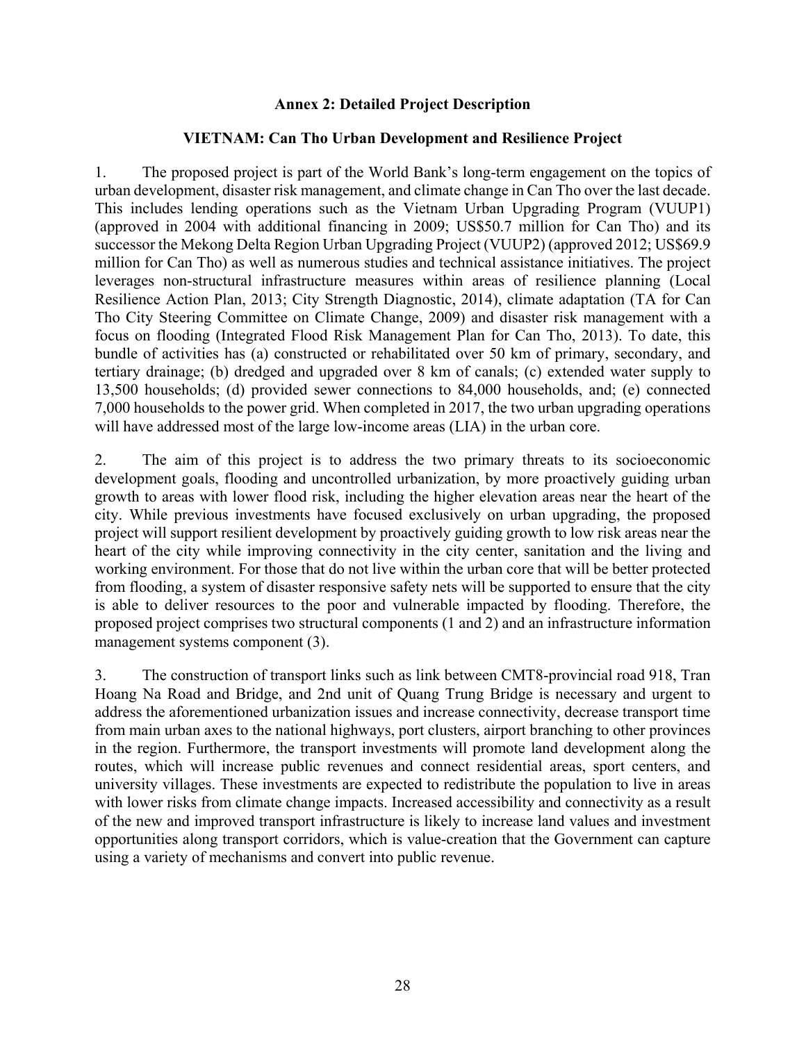### **Annex 2: Detailed Project Description**

#### **VIETNAM: Can Tho Urban Development and Resilience Project**

1. The proposed project is part of the World Bank's long-term engagement on the topics of urban development, disaster risk management, and climate change in Can Tho over the last decade. This includes lending operations such as the Vietnam Urban Upgrading Program (VUUP1) (approved in 2004 with additional financing in 2009; US\$50.7 million for Can Tho) and its successor the Mekong Delta Region Urban Upgrading Project (VUUP2) (approved 2012; US\$69.9 million for Can Tho) as well as numerous studies and technical assistance initiatives. The project leverages non-structural infrastructure measures within areas of resilience planning (Local Resilience Action Plan, 2013; City Strength Diagnostic, 2014), climate adaptation (TA for Can Tho City Steering Committee on Climate Change, 2009) and disaster risk management with a focus on flooding (Integrated Flood Risk Management Plan for Can Tho, 2013). To date, this bundle of activities has (a) constructed or rehabilitated over 50 km of primary, secondary, and tertiary drainage; (b) dredged and upgraded over 8 km of canals; (c) extended water supply to 13,500 households; (d) provided sewer connections to 84,000 households, and; (e) connected 7,000 households to the power grid. When completed in 2017, the two urban upgrading operations will have addressed most of the large low-income areas (LIA) in the urban core.

2. The aim of this project is to address the two primary threats to its socioeconomic development goals, flooding and uncontrolled urbanization, by more proactively guiding urban growth to areas with lower flood risk, including the higher elevation areas near the heart of the city. While previous investments have focused exclusively on urban upgrading, the proposed project will support resilient development by proactively guiding growth to low risk areas near the heart of the city while improving connectivity in the city center, sanitation and the living and working environment. For those that do not live within the urban core that will be better protected from flooding, a system of disaster responsive safety nets will be supported to ensure that the city is able to deliver resources to the poor and vulnerable impacted by flooding. Therefore, the proposed project comprises two structural components (1 and 2) and an infrastructure information management systems component (3).

3. The construction of transport links such as link between CMT8-provincial road 918, Tran Hoang Na Road and Bridge, and 2nd unit of Quang Trung Bridge is necessary and urgent to address the aforementioned urbanization issues and increase connectivity, decrease transport time from main urban axes to the national highways, port clusters, airport branching to other provinces in the region. Furthermore, the transport investments will promote land development along the routes, which will increase public revenues and connect residential areas, sport centers, and university villages. These investments are expected to redistribute the population to live in areas with lower risks from climate change impacts. Increased accessibility and connectivity as a result of the new and improved transport infrastructure is likely to increase land values and investment opportunities along transport corridors, which is value-creation that the Government can capture using a variety of mechanisms and convert into public revenue.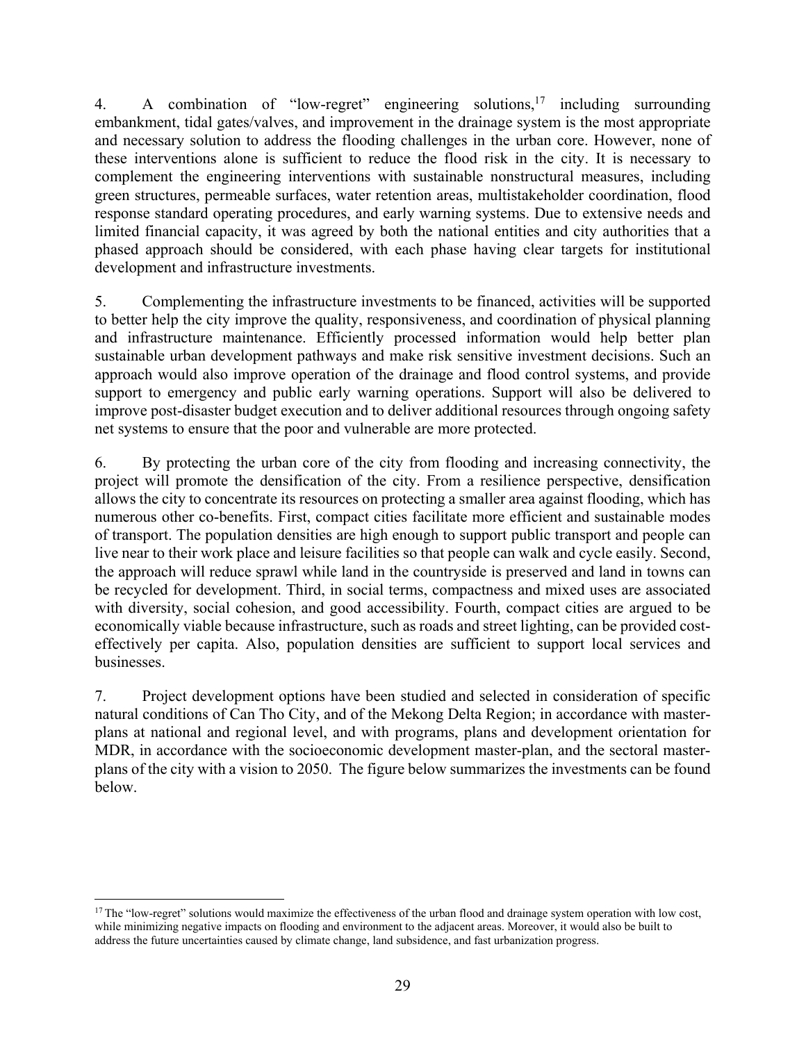4. A combination of "low-regret" engineering solutions,<sup>17</sup> including surrounding embankment, tidal gates/valves, and improvement in the drainage system is the most appropriate and necessary solution to address the flooding challenges in the urban core. However, none of these interventions alone is sufficient to reduce the flood risk in the city. It is necessary to complement the engineering interventions with sustainable nonstructural measures, including green structures, permeable surfaces, water retention areas, multistakeholder coordination, flood response standard operating procedures, and early warning systems. Due to extensive needs and limited financial capacity, it was agreed by both the national entities and city authorities that a phased approach should be considered, with each phase having clear targets for institutional development and infrastructure investments.

5. Complementing the infrastructure investments to be financed, activities will be supported to better help the city improve the quality, responsiveness, and coordination of physical planning and infrastructure maintenance. Efficiently processed information would help better plan sustainable urban development pathways and make risk sensitive investment decisions. Such an approach would also improve operation of the drainage and flood control systems, and provide support to emergency and public early warning operations. Support will also be delivered to improve post-disaster budget execution and to deliver additional resources through ongoing safety net systems to ensure that the poor and vulnerable are more protected.

6. By protecting the urban core of the city from flooding and increasing connectivity, the project will promote the densification of the city. From a resilience perspective, densification allows the city to concentrate its resources on protecting a smaller area against flooding, which has numerous other co-benefits. First, compact cities facilitate more efficient and sustainable modes of transport. The population densities are high enough to support public transport and people can live near to their work place and leisure facilities so that people can walk and cycle easily. Second, the approach will reduce sprawl while land in the countryside is preserved and land in towns can be recycled for development. Third, in social terms, compactness and mixed uses are associated with diversity, social cohesion, and good accessibility. Fourth, compact cities are argued to be economically viable because infrastructure, such as roads and street lighting, can be provided costeffectively per capita. Also, population densities are sufficient to support local services and businesses.

7. Project development options have been studied and selected in consideration of specific natural conditions of Can Tho City, and of the Mekong Delta Region; in accordance with masterplans at national and regional level, and with programs, plans and development orientation for MDR, in accordance with the socioeconomic development master-plan, and the sectoral masterplans of the city with a vision to 2050. The figure below summarizes the investments can be found below.

 $\overline{a}$ 

<sup>&</sup>lt;sup>17</sup> The "low-regret" solutions would maximize the effectiveness of the urban flood and drainage system operation with low cost, while minimizing negative impacts on flooding and environment to the adjacent areas. Moreover, it would also be built to address the future uncertainties caused by climate change, land subsidence, and fast urbanization progress.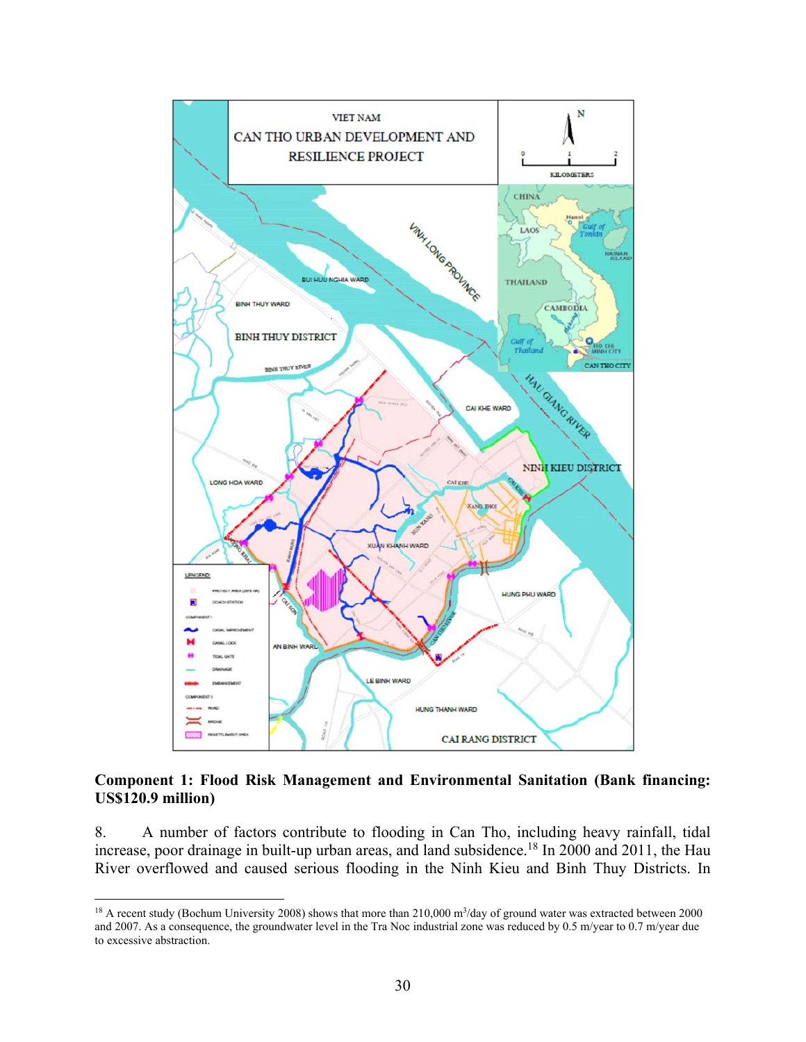

### **Component 1: Flood Risk Management and Environmental Sanitation (Bank financing: US\$120.9 million)**

8. A number of factors contribute to flooding in Can Tho, including heavy rainfall, tidal increase, poor drainage in built-up urban areas, and land subsidence.<sup>18</sup> In 2000 and 2011, the Hau River overflowed and caused serious flooding in the Ninh Kieu and Binh Thuy Districts. In

1

<sup>&</sup>lt;sup>18</sup> A recent study (Bochum University 2008) shows that more than  $210,000$  m<sup>3</sup>/day of ground water was extracted between 2000 and 2007. As a consequence, the groundwater level in the Tra Noc industrial zone was reduced by 0.5 m/year to 0.7 m/year due to excessive abstraction.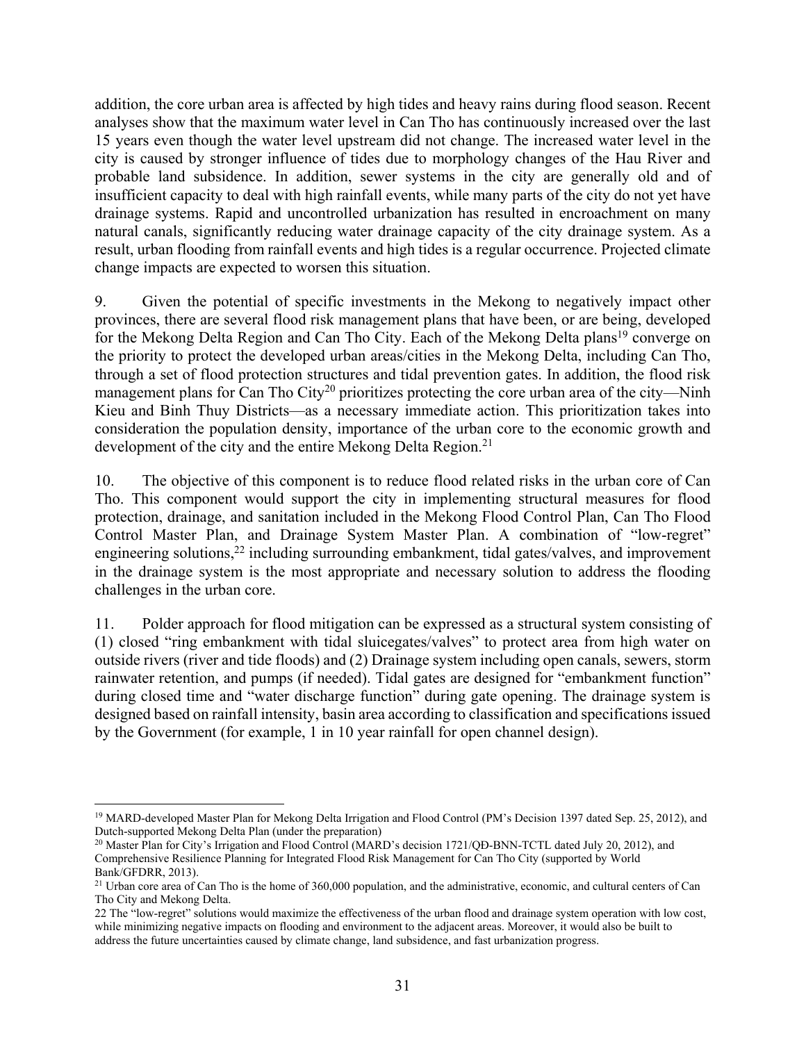addition, the core urban area is affected by high tides and heavy rains during flood season. Recent analyses show that the maximum water level in Can Tho has continuously increased over the last 15 years even though the water level upstream did not change. The increased water level in the city is caused by stronger influence of tides due to morphology changes of the Hau River and probable land subsidence. In addition, sewer systems in the city are generally old and of insufficient capacity to deal with high rainfall events, while many parts of the city do not yet have drainage systems. Rapid and uncontrolled urbanization has resulted in encroachment on many natural canals, significantly reducing water drainage capacity of the city drainage system. As a result, urban flooding from rainfall events and high tides is a regular occurrence. Projected climate change impacts are expected to worsen this situation.

9. Given the potential of specific investments in the Mekong to negatively impact other provinces, there are several flood risk management plans that have been, or are being, developed for the Mekong Delta Region and Can Tho City. Each of the Mekong Delta plans<sup>19</sup> converge on the priority to protect the developed urban areas/cities in the Mekong Delta, including Can Tho, through a set of flood protection structures and tidal prevention gates. In addition, the flood risk management plans for Can Tho City<sup>20</sup> prioritizes protecting the core urban area of the city—Ninh Kieu and Binh Thuy Districts—as a necessary immediate action. This prioritization takes into consideration the population density, importance of the urban core to the economic growth and development of the city and the entire Mekong Delta Region.<sup>21</sup>

10. The objective of this component is to reduce flood related risks in the urban core of Can Tho. This component would support the city in implementing structural measures for flood protection, drainage, and sanitation included in the Mekong Flood Control Plan, Can Tho Flood Control Master Plan, and Drainage System Master Plan. A combination of "low-regret" engineering solutions,<sup>22</sup> including surrounding embankment, tidal gates/valves, and improvement in the drainage system is the most appropriate and necessary solution to address the flooding challenges in the urban core.

11. Polder approach for flood mitigation can be expressed as a structural system consisting of (1) closed "ring embankment with tidal sluicegates/valves" to protect area from high water on outside rivers (river and tide floods) and (2) Drainage system including open canals, sewers, storm rainwater retention, and pumps (if needed). Tidal gates are designed for "embankment function" during closed time and "water discharge function" during gate opening. The drainage system is designed based on rainfall intensity, basin area according to classification and specifications issued by the Government (for example, 1 in 10 year rainfall for open channel design).

 $\overline{a}$ 

<sup>&</sup>lt;sup>19</sup> MARD-developed Master Plan for Mekong Delta Irrigation and Flood Control (PM's Decision 1397 dated Sep. 25, 2012), and Dutch-supported Mekong Delta Plan (under the preparation)

<sup>&</sup>lt;sup>20</sup> Master Plan for City's Irrigation and Flood Control (MARD's decision 1721/OĐ-BNN-TCTL dated July 20, 2012), and Comprehensive Resilience Planning for Integrated Flood Risk Management for Can Tho City (supported by World Bank/GFDRR, 2013).

<sup>&</sup>lt;sup>21</sup> Urban core area of Can Tho is the home of 360,000 population, and the administrative, economic, and cultural centers of Can Tho City and Mekong Delta.

<sup>22</sup> The "low-regret" solutions would maximize the effectiveness of the urban flood and drainage system operation with low cost, while minimizing negative impacts on flooding and environment to the adjacent areas. Moreover, it would also be built to address the future uncertainties caused by climate change, land subsidence, and fast urbanization progress.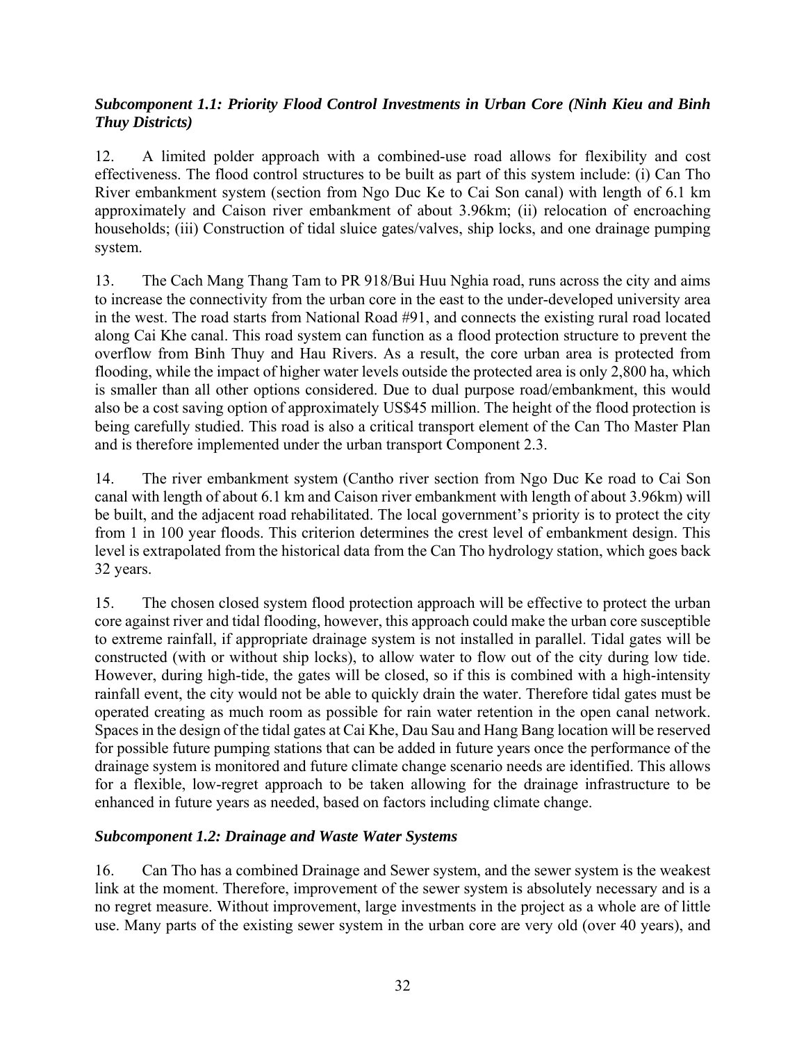## *Subcomponent 1.1: Priority Flood Control Investments in Urban Core (Ninh Kieu and Binh Thuy Districts)*

12. A limited polder approach with a combined-use road allows for flexibility and cost effectiveness. The flood control structures to be built as part of this system include: (i) Can Tho River embankment system (section from Ngo Duc Ke to Cai Son canal) with length of 6.1 km approximately and Caison river embankment of about 3.96km; (ii) relocation of encroaching households; (iii) Construction of tidal sluice gates/valves, ship locks, and one drainage pumping system.

13. The Cach Mang Thang Tam to PR 918/Bui Huu Nghia road, runs across the city and aims to increase the connectivity from the urban core in the east to the under-developed university area in the west. The road starts from National Road #91, and connects the existing rural road located along Cai Khe canal. This road system can function as a flood protection structure to prevent the overflow from Binh Thuy and Hau Rivers. As a result, the core urban area is protected from flooding, while the impact of higher water levels outside the protected area is only 2,800 ha, which is smaller than all other options considered. Due to dual purpose road/embankment, this would also be a cost saving option of approximately US\$45 million. The height of the flood protection is being carefully studied. This road is also a critical transport element of the Can Tho Master Plan and is therefore implemented under the urban transport Component 2.3.

14. The river embankment system (Cantho river section from Ngo Duc Ke road to Cai Son canal with length of about 6.1 km and Caison river embankment with length of about 3.96km) will be built, and the adjacent road rehabilitated. The local government's priority is to protect the city from 1 in 100 year floods. This criterion determines the crest level of embankment design. This level is extrapolated from the historical data from the Can Tho hydrology station, which goes back 32 years.

15. The chosen closed system flood protection approach will be effective to protect the urban core against river and tidal flooding, however, this approach could make the urban core susceptible to extreme rainfall, if appropriate drainage system is not installed in parallel. Tidal gates will be constructed (with or without ship locks), to allow water to flow out of the city during low tide. However, during high-tide, the gates will be closed, so if this is combined with a high-intensity rainfall event, the city would not be able to quickly drain the water. Therefore tidal gates must be operated creating as much room as possible for rain water retention in the open canal network. Spaces in the design of the tidal gates at Cai Khe, Dau Sau and Hang Bang location will be reserved for possible future pumping stations that can be added in future years once the performance of the drainage system is monitored and future climate change scenario needs are identified. This allows for a flexible, low-regret approach to be taken allowing for the drainage infrastructure to be enhanced in future years as needed, based on factors including climate change.

## *Subcomponent 1.2: Drainage and Waste Water Systems*

16. Can Tho has a combined Drainage and Sewer system, and the sewer system is the weakest link at the moment. Therefore, improvement of the sewer system is absolutely necessary and is a no regret measure. Without improvement, large investments in the project as a whole are of little use. Many parts of the existing sewer system in the urban core are very old (over 40 years), and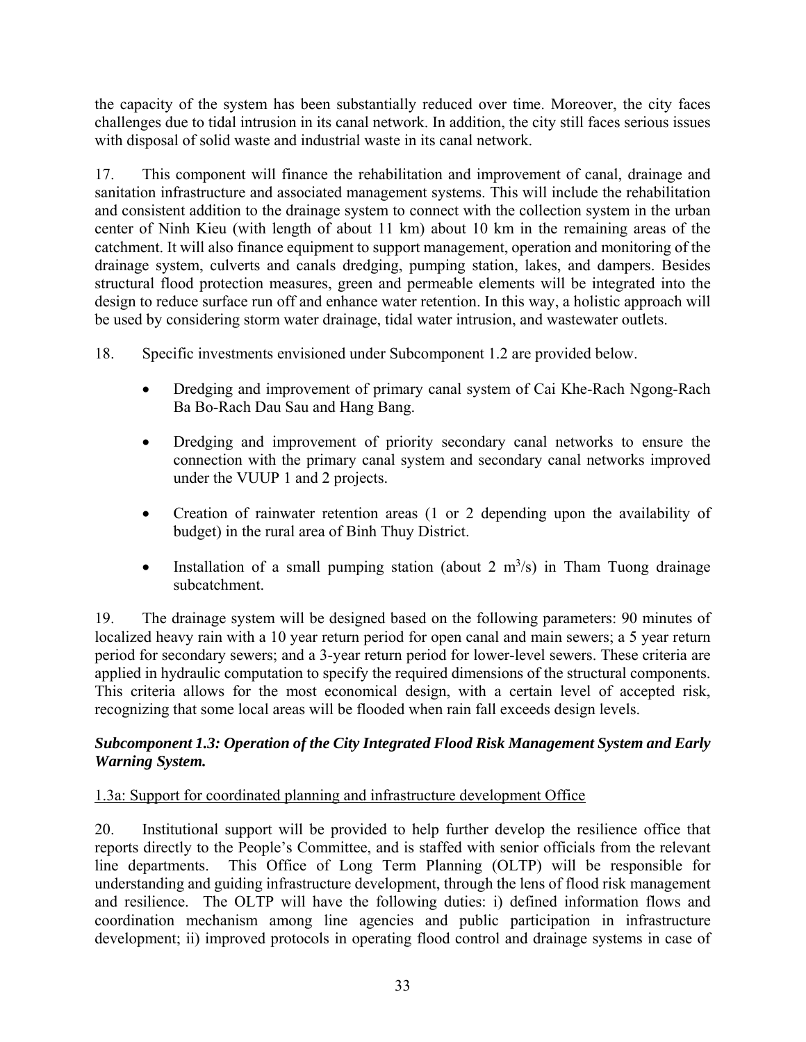the capacity of the system has been substantially reduced over time. Moreover, the city faces challenges due to tidal intrusion in its canal network. In addition, the city still faces serious issues with disposal of solid waste and industrial waste in its canal network.

17. This component will finance the rehabilitation and improvement of canal, drainage and sanitation infrastructure and associated management systems. This will include the rehabilitation and consistent addition to the drainage system to connect with the collection system in the urban center of Ninh Kieu (with length of about 11 km) about 10 km in the remaining areas of the catchment. It will also finance equipment to support management, operation and monitoring of the drainage system, culverts and canals dredging, pumping station, lakes, and dampers. Besides structural flood protection measures, green and permeable elements will be integrated into the design to reduce surface run off and enhance water retention. In this way, a holistic approach will be used by considering storm water drainage, tidal water intrusion, and wastewater outlets.

18. Specific investments envisioned under Subcomponent 1.2 are provided below.

- Dredging and improvement of primary canal system of Cai Khe-Rach Ngong-Rach Ba Bo-Rach Dau Sau and Hang Bang.
- Dredging and improvement of priority secondary canal networks to ensure the connection with the primary canal system and secondary canal networks improved under the VUUP 1 and 2 projects.
- Creation of rainwater retention areas (1 or 2 depending upon the availability of budget) in the rural area of Binh Thuy District.
- Installation of a small pumping station (about 2  $m<sup>3</sup>/s$ ) in Tham Tuong drainage subcatchment.

19. The drainage system will be designed based on the following parameters: 90 minutes of localized heavy rain with a 10 year return period for open canal and main sewers; a 5 year return period for secondary sewers; and a 3-year return period for lower-level sewers. These criteria are applied in hydraulic computation to specify the required dimensions of the structural components. This criteria allows for the most economical design, with a certain level of accepted risk, recognizing that some local areas will be flooded when rain fall exceeds design levels.

## *Subcomponent 1.3: Operation of the City Integrated Flood Risk Management System and Early Warning System.*

# 1.3a: Support for coordinated planning and infrastructure development Office

20. Institutional support will be provided to help further develop the resilience office that reports directly to the People's Committee, and is staffed with senior officials from the relevant line departments. This Office of Long Term Planning (OLTP) will be responsible for understanding and guiding infrastructure development, through the lens of flood risk management and resilience. The OLTP will have the following duties: i) defined information flows and coordination mechanism among line agencies and public participation in infrastructure development; ii) improved protocols in operating flood control and drainage systems in case of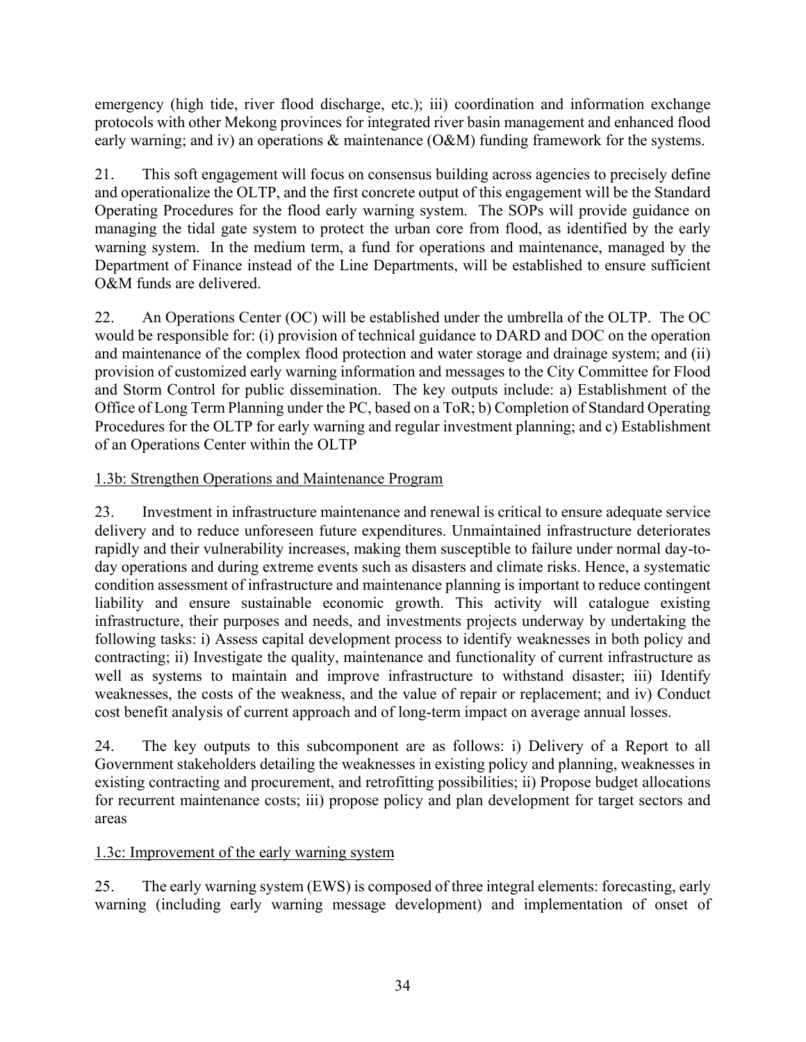emergency (high tide, river flood discharge, etc.); iii) coordination and information exchange protocols with other Mekong provinces for integrated river basin management and enhanced flood early warning; and iv) an operations & maintenance (O&M) funding framework for the systems.

21. This soft engagement will focus on consensus building across agencies to precisely define and operationalize the OLTP, and the first concrete output of this engagement will be the Standard Operating Procedures for the flood early warning system. The SOPs will provide guidance on managing the tidal gate system to protect the urban core from flood, as identified by the early warning system. In the medium term, a fund for operations and maintenance, managed by the Department of Finance instead of the Line Departments, will be established to ensure sufficient O&M funds are delivered.

22. An Operations Center (OC) will be established under the umbrella of the OLTP. The OC would be responsible for: (i) provision of technical guidance to DARD and DOC on the operation and maintenance of the complex flood protection and water storage and drainage system; and (ii) provision of customized early warning information and messages to the City Committee for Flood and Storm Control for public dissemination. The key outputs include: a) Establishment of the Office of Long Term Planning under the PC, based on a ToR; b) Completion of Standard Operating Procedures for the OLTP for early warning and regular investment planning; and c) Establishment of an Operations Center within the OLTP

# 1.3b: Strengthen Operations and Maintenance Program

23. Investment in infrastructure maintenance and renewal is critical to ensure adequate service delivery and to reduce unforeseen future expenditures. Unmaintained infrastructure deteriorates rapidly and their vulnerability increases, making them susceptible to failure under normal day-today operations and during extreme events such as disasters and climate risks. Hence, a systematic condition assessment of infrastructure and maintenance planning is important to reduce contingent liability and ensure sustainable economic growth. This activity will catalogue existing infrastructure, their purposes and needs, and investments projects underway by undertaking the following tasks: i) Assess capital development process to identify weaknesses in both policy and contracting; ii) Investigate the quality, maintenance and functionality of current infrastructure as well as systems to maintain and improve infrastructure to withstand disaster; iii) Identify weaknesses, the costs of the weakness, and the value of repair or replacement; and iv) Conduct cost benefit analysis of current approach and of long-term impact on average annual losses.

24. The key outputs to this subcomponent are as follows: i) Delivery of a Report to all Government stakeholders detailing the weaknesses in existing policy and planning, weaknesses in existing contracting and procurement, and retrofitting possibilities; ii) Propose budget allocations for recurrent maintenance costs; iii) propose policy and plan development for target sectors and areas

# 1.3c: Improvement of the early warning system

25. The early warning system (EWS) is composed of three integral elements: forecasting, early warning (including early warning message development) and implementation of onset of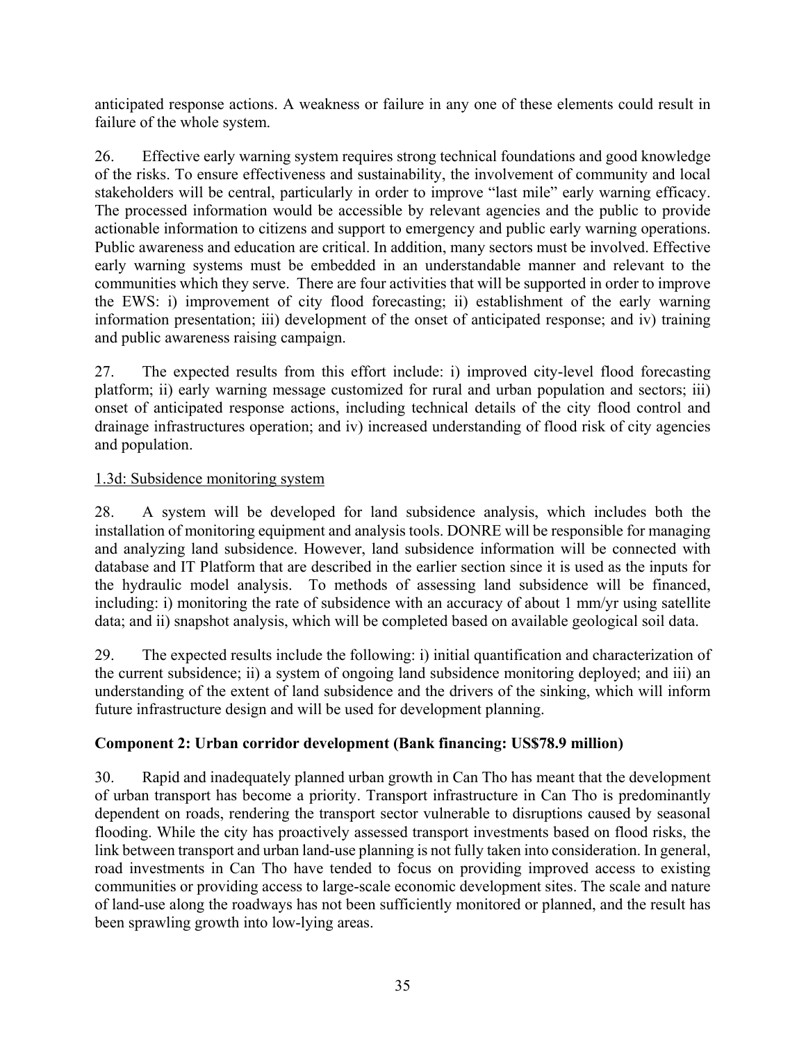anticipated response actions. A weakness or failure in any one of these elements could result in failure of the whole system.

26. Effective early warning system requires strong technical foundations and good knowledge of the risks. To ensure effectiveness and sustainability, the involvement of community and local stakeholders will be central, particularly in order to improve "last mile" early warning efficacy. The processed information would be accessible by relevant agencies and the public to provide actionable information to citizens and support to emergency and public early warning operations. Public awareness and education are critical. In addition, many sectors must be involved. Effective early warning systems must be embedded in an understandable manner and relevant to the communities which they serve. There are four activities that will be supported in order to improve the EWS: i) improvement of city flood forecasting; ii) establishment of the early warning information presentation; iii) development of the onset of anticipated response; and iv) training and public awareness raising campaign.

27. The expected results from this effort include: i) improved city-level flood forecasting platform; ii) early warning message customized for rural and urban population and sectors; iii) onset of anticipated response actions, including technical details of the city flood control and drainage infrastructures operation; and iv) increased understanding of flood risk of city agencies and population.

## 1.3d: Subsidence monitoring system

28. A system will be developed for land subsidence analysis, which includes both the installation of monitoring equipment and analysis tools. DONRE will be responsible for managing and analyzing land subsidence. However, land subsidence information will be connected with database and IT Platform that are described in the earlier section since it is used as the inputs for the hydraulic model analysis. To methods of assessing land subsidence will be financed, including: i) monitoring the rate of subsidence with an accuracy of about 1 mm/yr using satellite data; and ii) snapshot analysis, which will be completed based on available geological soil data.

29. The expected results include the following: i) initial quantification and characterization of the current subsidence; ii) a system of ongoing land subsidence monitoring deployed; and iii) an understanding of the extent of land subsidence and the drivers of the sinking, which will inform future infrastructure design and will be used for development planning.

## **Component 2: Urban corridor development (Bank financing: US\$78.9 million)**

30. Rapid and inadequately planned urban growth in Can Tho has meant that the development of urban transport has become a priority. Transport infrastructure in Can Tho is predominantly dependent on roads, rendering the transport sector vulnerable to disruptions caused by seasonal flooding. While the city has proactively assessed transport investments based on flood risks, the link between transport and urban land-use planning is not fully taken into consideration. In general, road investments in Can Tho have tended to focus on providing improved access to existing communities or providing access to large-scale economic development sites. The scale and nature of land-use along the roadways has not been sufficiently monitored or planned, and the result has been sprawling growth into low-lying areas.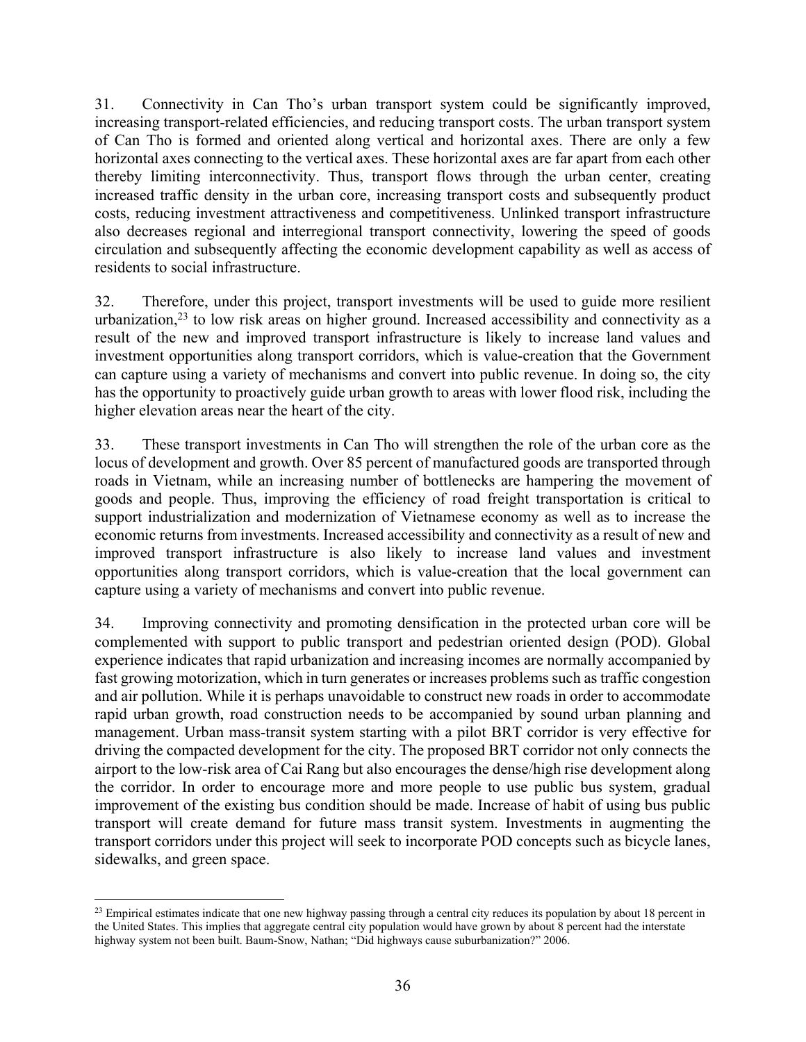31. Connectivity in Can Tho's urban transport system could be significantly improved, increasing transport-related efficiencies, and reducing transport costs. The urban transport system of Can Tho is formed and oriented along vertical and horizontal axes. There are only a few horizontal axes connecting to the vertical axes. These horizontal axes are far apart from each other thereby limiting interconnectivity. Thus, transport flows through the urban center, creating increased traffic density in the urban core, increasing transport costs and subsequently product costs, reducing investment attractiveness and competitiveness. Unlinked transport infrastructure also decreases regional and interregional transport connectivity, lowering the speed of goods circulation and subsequently affecting the economic development capability as well as access of residents to social infrastructure.

32. Therefore, under this project, transport investments will be used to guide more resilient urbanization, $2<sup>3</sup>$  to low risk areas on higher ground. Increased accessibility and connectivity as a result of the new and improved transport infrastructure is likely to increase land values and investment opportunities along transport corridors, which is value-creation that the Government can capture using a variety of mechanisms and convert into public revenue. In doing so, the city has the opportunity to proactively guide urban growth to areas with lower flood risk, including the higher elevation areas near the heart of the city.

33. These transport investments in Can Tho will strengthen the role of the urban core as the locus of development and growth. Over 85 percent of manufactured goods are transported through roads in Vietnam, while an increasing number of bottlenecks are hampering the movement of goods and people. Thus, improving the efficiency of road freight transportation is critical to support industrialization and modernization of Vietnamese economy as well as to increase the economic returns from investments. Increased accessibility and connectivity as a result of new and improved transport infrastructure is also likely to increase land values and investment opportunities along transport corridors, which is value-creation that the local government can capture using a variety of mechanisms and convert into public revenue.

34. Improving connectivity and promoting densification in the protected urban core will be complemented with support to public transport and pedestrian oriented design (POD). Global experience indicates that rapid urbanization and increasing incomes are normally accompanied by fast growing motorization, which in turn generates or increases problems such as traffic congestion and air pollution. While it is perhaps unavoidable to construct new roads in order to accommodate rapid urban growth, road construction needs to be accompanied by sound urban planning and management. Urban mass-transit system starting with a pilot BRT corridor is very effective for driving the compacted development for the city. The proposed BRT corridor not only connects the airport to the low-risk area of Cai Rang but also encourages the dense/high rise development along the corridor. In order to encourage more and more people to use public bus system, gradual improvement of the existing bus condition should be made. Increase of habit of using bus public transport will create demand for future mass transit system. Investments in augmenting the transport corridors under this project will seek to incorporate POD concepts such as bicycle lanes, sidewalks, and green space.

 $\overline{a}$ 

 $23$  Empirical estimates indicate that one new highway passing through a central city reduces its population by about 18 percent in the United States. This implies that aggregate central city population would have grown by about 8 percent had the interstate highway system not been built. Baum-Snow, Nathan; "Did highways cause suburbanization?" 2006.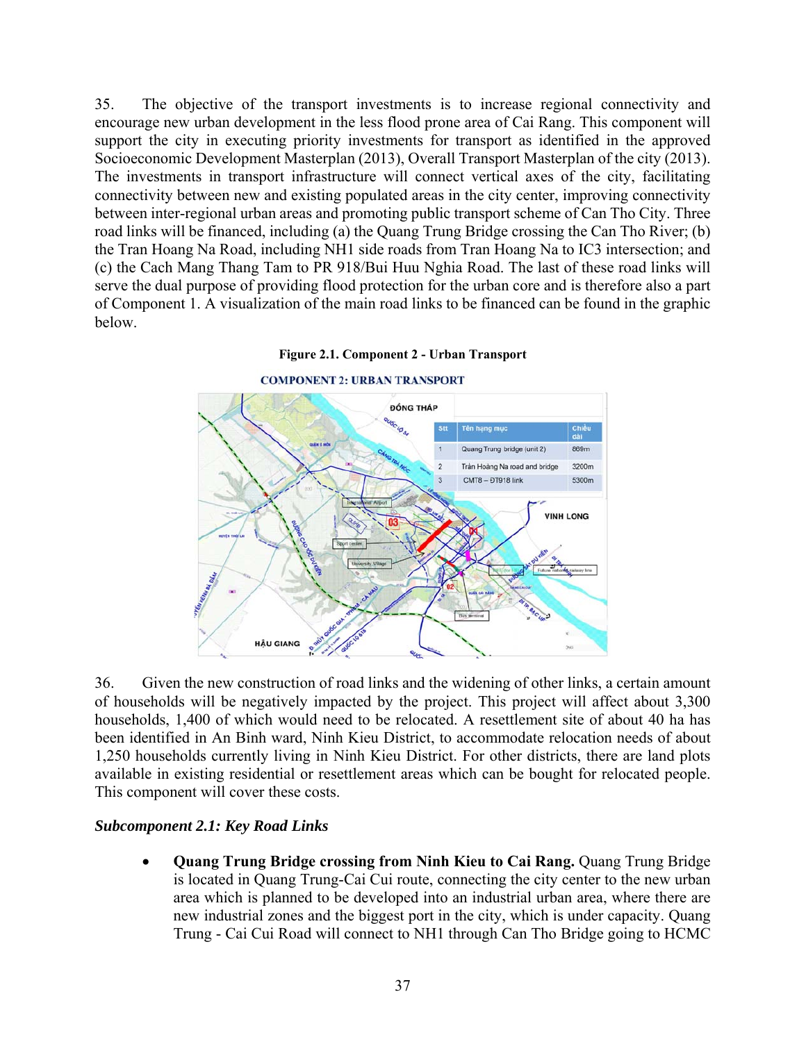35. The objective of the transport investments is to increase regional connectivity and encourage new urban development in the less flood prone area of Cai Rang. This component will support the city in executing priority investments for transport as identified in the approved Socioeconomic Development Masterplan (2013), Overall Transport Masterplan of the city (2013). The investments in transport infrastructure will connect vertical axes of the city, facilitating connectivity between new and existing populated areas in the city center, improving connectivity between inter-regional urban areas and promoting public transport scheme of Can Tho City. Three road links will be financed, including (a) the Quang Trung Bridge crossing the Can Tho River; (b) the Tran Hoang Na Road, including NH1 side roads from Tran Hoang Na to IC3 intersection; and (c) the Cach Mang Thang Tam to PR 918/Bui Huu Nghia Road. The last of these road links will serve the dual purpose of providing flood protection for the urban core and is therefore also a part of Component 1. A visualization of the main road links to be financed can be found in the graphic below.



#### **Figure 2.1. Component 2 - Urban Transport**

36. Given the new construction of road links and the widening of other links, a certain amount of households will be negatively impacted by the project. This project will affect about 3,300 households, 1,400 of which would need to be relocated. A resettlement site of about 40 ha has been identified in An Binh ward, Ninh Kieu District, to accommodate relocation needs of about 1,250 households currently living in Ninh Kieu District. For other districts, there are land plots available in existing residential or resettlement areas which can be bought for relocated people. This component will cover these costs.

#### *Subcomponent 2.1: Key Road Links*

 **Quang Trung Bridge crossing from Ninh Kieu to Cai Rang.** Quang Trung Bridge is located in Quang Trung-Cai Cui route, connecting the city center to the new urban area which is planned to be developed into an industrial urban area, where there are new industrial zones and the biggest port in the city, which is under capacity. Quang Trung - Cai Cui Road will connect to NH1 through Can Tho Bridge going to HCMC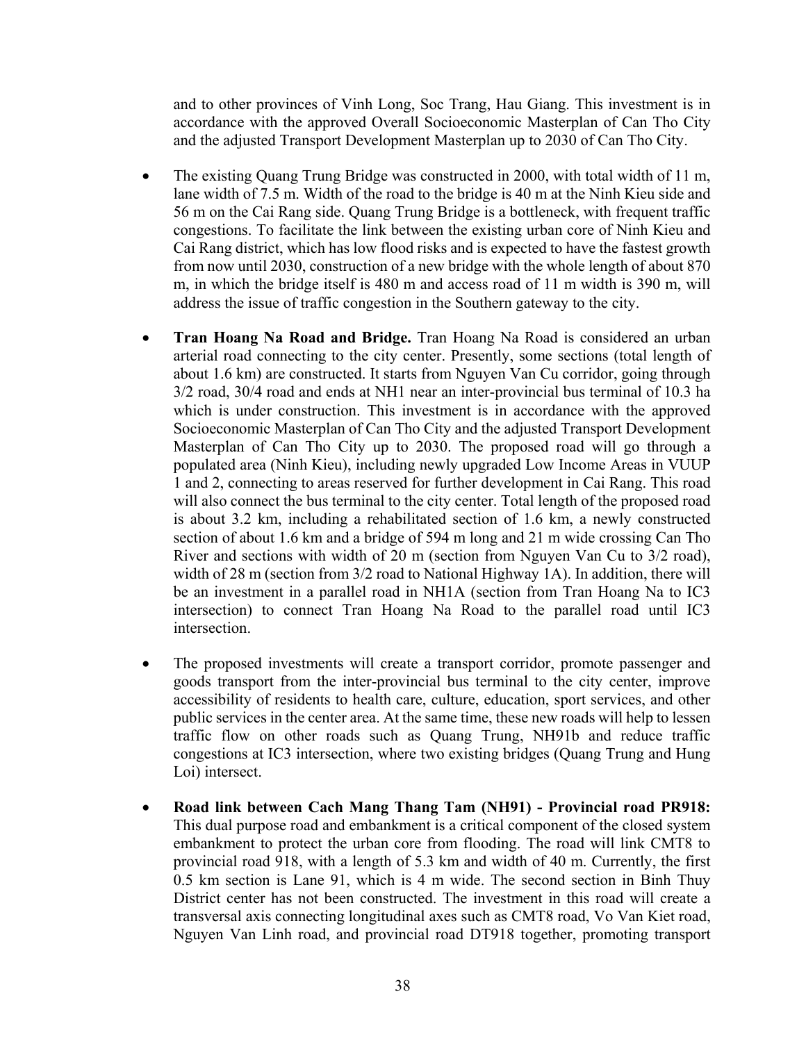and to other provinces of Vinh Long, Soc Trang, Hau Giang. This investment is in accordance with the approved Overall Socioeconomic Masterplan of Can Tho City and the adjusted Transport Development Masterplan up to 2030 of Can Tho City.

- The existing Quang Trung Bridge was constructed in 2000, with total width of 11 m, lane width of 7.5 m. Width of the road to the bridge is 40 m at the Ninh Kieu side and 56 m on the Cai Rang side. Quang Trung Bridge is a bottleneck, with frequent traffic congestions. To facilitate the link between the existing urban core of Ninh Kieu and Cai Rang district, which has low flood risks and is expected to have the fastest growth from now until 2030, construction of a new bridge with the whole length of about 870 m, in which the bridge itself is 480 m and access road of 11 m width is 390 m, will address the issue of traffic congestion in the Southern gateway to the city.
- **Tran Hoang Na Road and Bridge.** Tran Hoang Na Road is considered an urban arterial road connecting to the city center. Presently, some sections (total length of about 1.6 km) are constructed. It starts from Nguyen Van Cu corridor, going through 3/2 road, 30/4 road and ends at NH1 near an inter-provincial bus terminal of 10.3 ha which is under construction. This investment is in accordance with the approved Socioeconomic Masterplan of Can Tho City and the adjusted Transport Development Masterplan of Can Tho City up to 2030. The proposed road will go through a populated area (Ninh Kieu), including newly upgraded Low Income Areas in VUUP 1 and 2, connecting to areas reserved for further development in Cai Rang. This road will also connect the bus terminal to the city center. Total length of the proposed road is about 3.2 km, including a rehabilitated section of 1.6 km, a newly constructed section of about 1.6 km and a bridge of 594 m long and 21 m wide crossing Can Tho River and sections with width of 20 m (section from Nguyen Van Cu to 3/2 road), width of 28 m (section from  $3/2$  road to National Highway 1A). In addition, there will be an investment in a parallel road in NH1A (section from Tran Hoang Na to IC3 intersection) to connect Tran Hoang Na Road to the parallel road until IC3 intersection.
- The proposed investments will create a transport corridor, promote passenger and goods transport from the inter-provincial bus terminal to the city center, improve accessibility of residents to health care, culture, education, sport services, and other public services in the center area. At the same time, these new roads will help to lessen traffic flow on other roads such as Quang Trung, NH91b and reduce traffic congestions at IC3 intersection, where two existing bridges (Quang Trung and Hung Loi) intersect.
- **Road link between Cach Mang Thang Tam (NH91) Provincial road PR918:** This dual purpose road and embankment is a critical component of the closed system embankment to protect the urban core from flooding. The road will link CMT8 to provincial road 918, with a length of 5.3 km and width of 40 m. Currently, the first 0.5 km section is Lane 91, which is 4 m wide. The second section in Binh Thuy District center has not been constructed. The investment in this road will create a transversal axis connecting longitudinal axes such as CMT8 road, Vo Van Kiet road, Nguyen Van Linh road, and provincial road DT918 together, promoting transport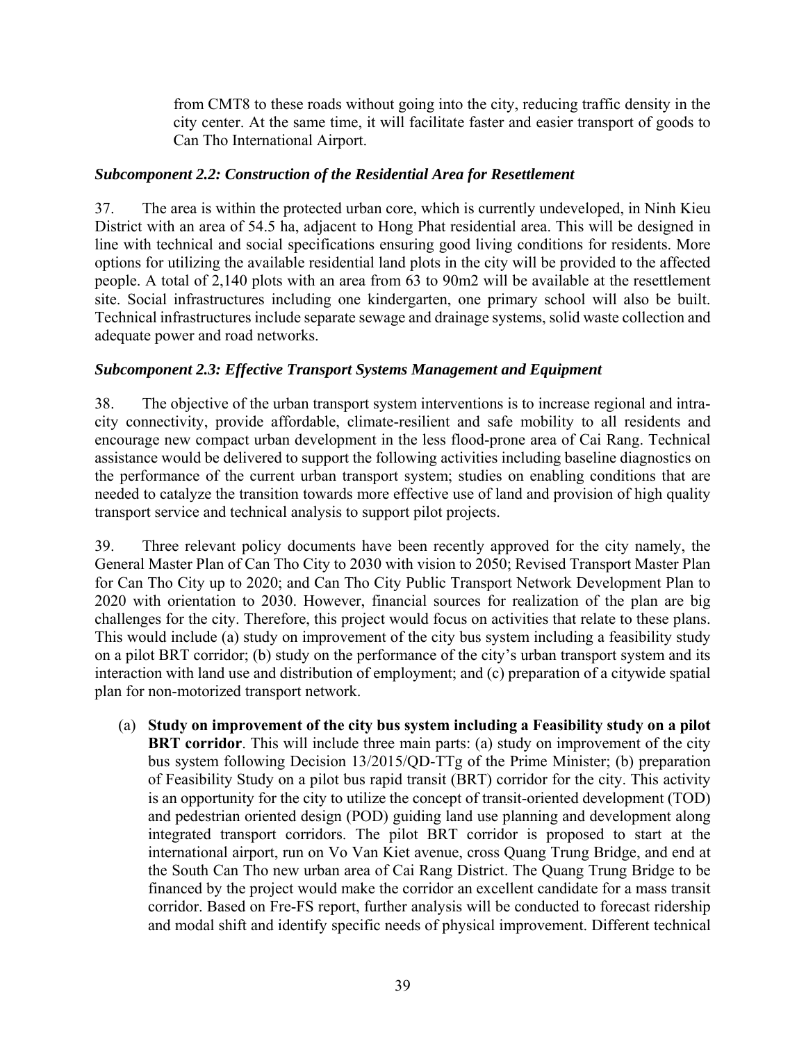from CMT8 to these roads without going into the city, reducing traffic density in the city center. At the same time, it will facilitate faster and easier transport of goods to Can Tho International Airport.

## *Subcomponent 2.2: Construction of the Residential Area for Resettlement*

37. The area is within the protected urban core, which is currently undeveloped, in Ninh Kieu District with an area of 54.5 ha, adjacent to Hong Phat residential area. This will be designed in line with technical and social specifications ensuring good living conditions for residents. More options for utilizing the available residential land plots in the city will be provided to the affected people. A total of 2,140 plots with an area from 63 to 90m2 will be available at the resettlement site. Social infrastructures including one kindergarten, one primary school will also be built. Technical infrastructures include separate sewage and drainage systems, solid waste collection and adequate power and road networks.

# *Subcomponent 2.3: Effective Transport Systems Management and Equipment*

38. The objective of the urban transport system interventions is to increase regional and intracity connectivity, provide affordable, climate-resilient and safe mobility to all residents and encourage new compact urban development in the less flood-prone area of Cai Rang. Technical assistance would be delivered to support the following activities including baseline diagnostics on the performance of the current urban transport system; studies on enabling conditions that are needed to catalyze the transition towards more effective use of land and provision of high quality transport service and technical analysis to support pilot projects.

39. Three relevant policy documents have been recently approved for the city namely, the General Master Plan of Can Tho City to 2030 with vision to 2050; Revised Transport Master Plan for Can Tho City up to 2020; and Can Tho City Public Transport Network Development Plan to 2020 with orientation to 2030. However, financial sources for realization of the plan are big challenges for the city. Therefore, this project would focus on activities that relate to these plans. This would include (a) study on improvement of the city bus system including a feasibility study on a pilot BRT corridor; (b) study on the performance of the city's urban transport system and its interaction with land use and distribution of employment; and (c) preparation of a citywide spatial plan for non-motorized transport network.

(a) **Study on improvement of the city bus system including a Feasibility study on a pilot BRT corridor**. This will include three main parts: (a) study on improvement of the city bus system following Decision 13/2015/QD-TTg of the Prime Minister; (b) preparation of Feasibility Study on a pilot bus rapid transit (BRT) corridor for the city. This activity is an opportunity for the city to utilize the concept of transit-oriented development (TOD) and pedestrian oriented design (POD) guiding land use planning and development along integrated transport corridors. The pilot BRT corridor is proposed to start at the international airport, run on Vo Van Kiet avenue, cross Quang Trung Bridge, and end at the South Can Tho new urban area of Cai Rang District. The Quang Trung Bridge to be financed by the project would make the corridor an excellent candidate for a mass transit corridor. Based on Fre-FS report, further analysis will be conducted to forecast ridership and modal shift and identify specific needs of physical improvement. Different technical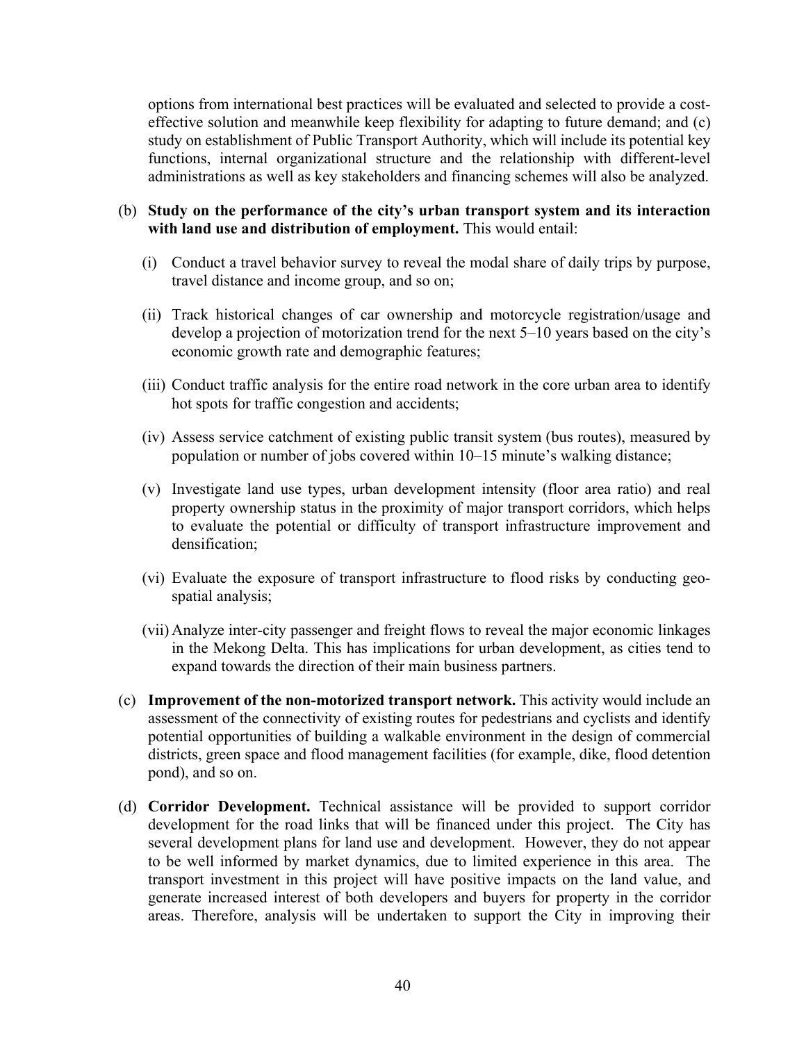options from international best practices will be evaluated and selected to provide a costeffective solution and meanwhile keep flexibility for adapting to future demand; and (c) study on establishment of Public Transport Authority, which will include its potential key functions, internal organizational structure and the relationship with different-level administrations as well as key stakeholders and financing schemes will also be analyzed.

### (b) **Study on the performance of the city's urban transport system and its interaction with land use and distribution of employment.** This would entail:

- (i) Conduct a travel behavior survey to reveal the modal share of daily trips by purpose, travel distance and income group, and so on;
- (ii) Track historical changes of car ownership and motorcycle registration/usage and develop a projection of motorization trend for the next 5–10 years based on the city's economic growth rate and demographic features;
- (iii) Conduct traffic analysis for the entire road network in the core urban area to identify hot spots for traffic congestion and accidents;
- (iv) Assess service catchment of existing public transit system (bus routes), measured by population or number of jobs covered within 10–15 minute's walking distance;
- (v) Investigate land use types, urban development intensity (floor area ratio) and real property ownership status in the proximity of major transport corridors, which helps to evaluate the potential or difficulty of transport infrastructure improvement and densification;
- (vi) Evaluate the exposure of transport infrastructure to flood risks by conducting geospatial analysis;
- (vii) Analyze inter-city passenger and freight flows to reveal the major economic linkages in the Mekong Delta. This has implications for urban development, as cities tend to expand towards the direction of their main business partners.
- (c) **Improvement of the non-motorized transport network.** This activity would include an assessment of the connectivity of existing routes for pedestrians and cyclists and identify potential opportunities of building a walkable environment in the design of commercial districts, green space and flood management facilities (for example, dike, flood detention pond), and so on.
- (d) **Corridor Development.** Technical assistance will be provided to support corridor development for the road links that will be financed under this project. The City has several development plans for land use and development. However, they do not appear to be well informed by market dynamics, due to limited experience in this area. The transport investment in this project will have positive impacts on the land value, and generate increased interest of both developers and buyers for property in the corridor areas. Therefore, analysis will be undertaken to support the City in improving their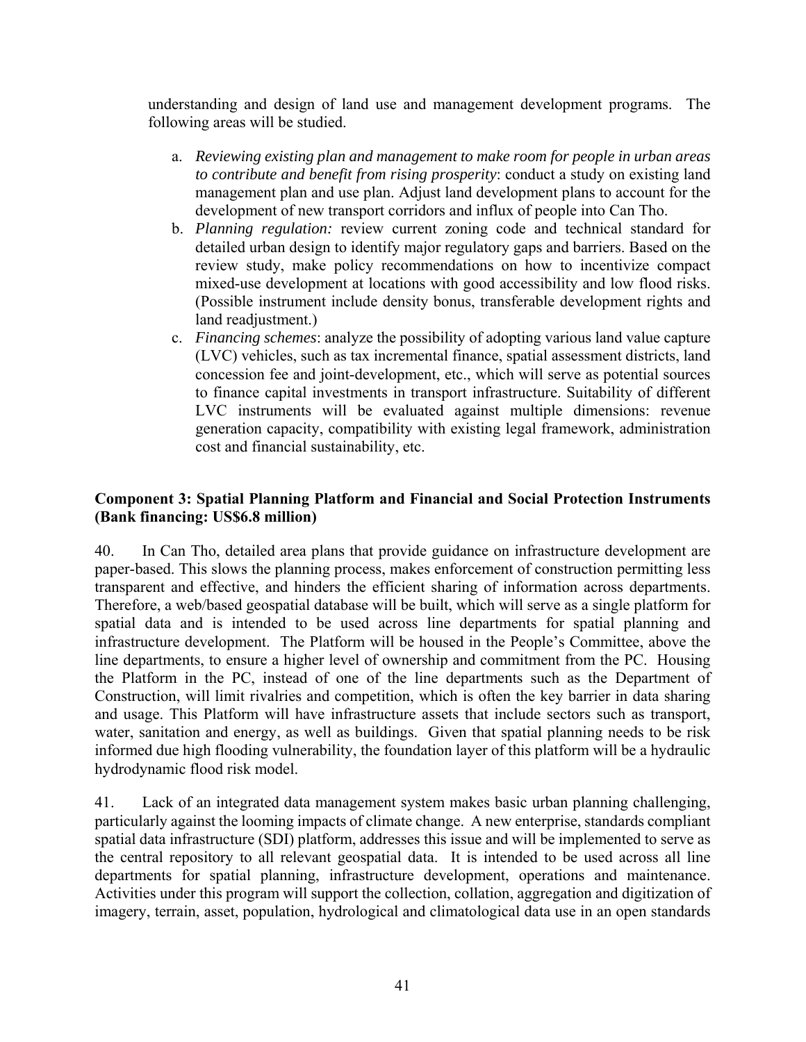understanding and design of land use and management development programs. The following areas will be studied.

- a. *Reviewing existing plan and management to make room for people in urban areas to contribute and benefit from rising prosperity*: conduct a study on existing land management plan and use plan. Adjust land development plans to account for the development of new transport corridors and influx of people into Can Tho.
- b. *Planning regulation:* review current zoning code and technical standard for detailed urban design to identify major regulatory gaps and barriers. Based on the review study, make policy recommendations on how to incentivize compact mixed-use development at locations with good accessibility and low flood risks. (Possible instrument include density bonus, transferable development rights and land readiustment.)
- c. *Financing schemes*: analyze the possibility of adopting various land value capture (LVC) vehicles, such as tax incremental finance, spatial assessment districts, land concession fee and joint-development, etc., which will serve as potential sources to finance capital investments in transport infrastructure. Suitability of different LVC instruments will be evaluated against multiple dimensions: revenue generation capacity, compatibility with existing legal framework, administration cost and financial sustainability, etc.

## **Component 3: Spatial Planning Platform and Financial and Social Protection Instruments (Bank financing: US\$6.8 million)**

40. In Can Tho, detailed area plans that provide guidance on infrastructure development are paper-based. This slows the planning process, makes enforcement of construction permitting less transparent and effective, and hinders the efficient sharing of information across departments. Therefore, a web/based geospatial database will be built, which will serve as a single platform for spatial data and is intended to be used across line departments for spatial planning and infrastructure development. The Platform will be housed in the People's Committee, above the line departments, to ensure a higher level of ownership and commitment from the PC. Housing the Platform in the PC, instead of one of the line departments such as the Department of Construction, will limit rivalries and competition, which is often the key barrier in data sharing and usage. This Platform will have infrastructure assets that include sectors such as transport, water, sanitation and energy, as well as buildings. Given that spatial planning needs to be risk informed due high flooding vulnerability, the foundation layer of this platform will be a hydraulic hydrodynamic flood risk model.

41. Lack of an integrated data management system makes basic urban planning challenging, particularly against the looming impacts of climate change. A new enterprise, standards compliant spatial data infrastructure (SDI) platform, addresses this issue and will be implemented to serve as the central repository to all relevant geospatial data. It is intended to be used across all line departments for spatial planning, infrastructure development, operations and maintenance. Activities under this program will support the collection, collation, aggregation and digitization of imagery, terrain, asset, population, hydrological and climatological data use in an open standards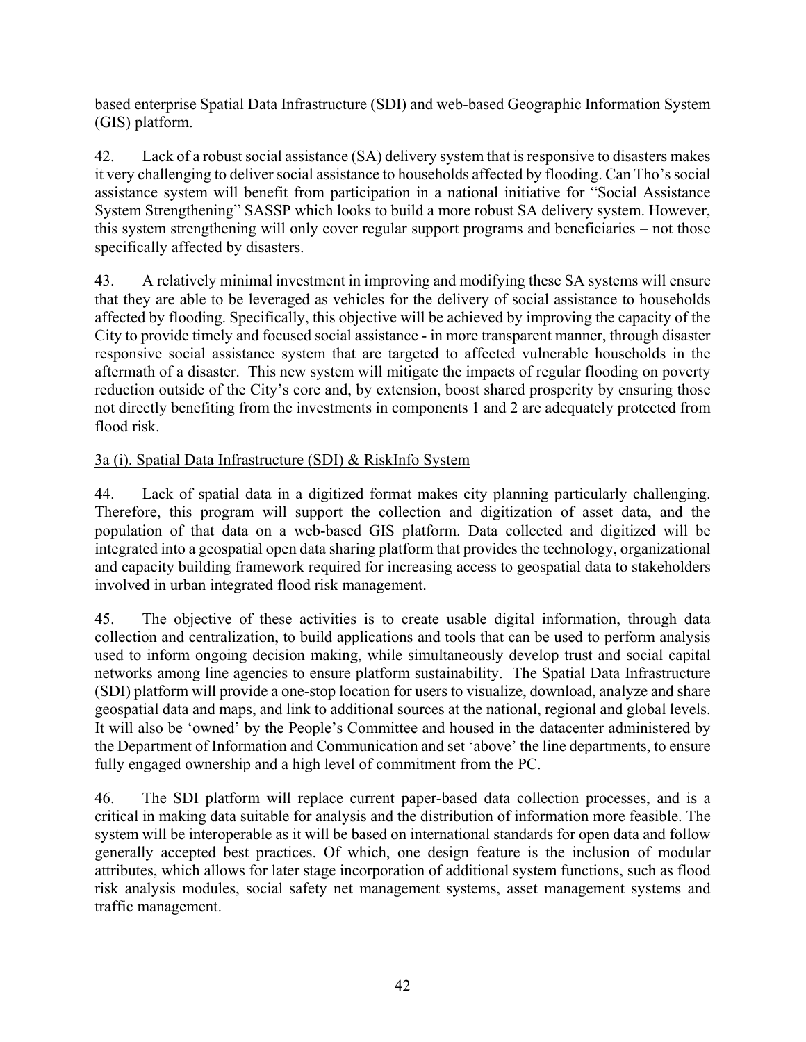based enterprise Spatial Data Infrastructure (SDI) and web-based Geographic Information System (GIS) platform.

42. Lack of a robust social assistance (SA) delivery system that is responsive to disasters makes it very challenging to deliver social assistance to households affected by flooding. Can Tho's social assistance system will benefit from participation in a national initiative for "Social Assistance System Strengthening" SASSP which looks to build a more robust SA delivery system. However, this system strengthening will only cover regular support programs and beneficiaries – not those specifically affected by disasters.

43. A relatively minimal investment in improving and modifying these SA systems will ensure that they are able to be leveraged as vehicles for the delivery of social assistance to households affected by flooding. Specifically, this objective will be achieved by improving the capacity of the City to provide timely and focused social assistance - in more transparent manner, through disaster responsive social assistance system that are targeted to affected vulnerable households in the aftermath of a disaster. This new system will mitigate the impacts of regular flooding on poverty reduction outside of the City's core and, by extension, boost shared prosperity by ensuring those not directly benefiting from the investments in components 1 and 2 are adequately protected from flood risk.

# 3a (i). Spatial Data Infrastructure (SDI) & RiskInfo System

44. Lack of spatial data in a digitized format makes city planning particularly challenging. Therefore, this program will support the collection and digitization of asset data, and the population of that data on a web-based GIS platform. Data collected and digitized will be integrated into a geospatial open data sharing platform that provides the technology, organizational and capacity building framework required for increasing access to geospatial data to stakeholders involved in urban integrated flood risk management.

45. The objective of these activities is to create usable digital information, through data collection and centralization, to build applications and tools that can be used to perform analysis used to inform ongoing decision making, while simultaneously develop trust and social capital networks among line agencies to ensure platform sustainability. The Spatial Data Infrastructure (SDI) platform will provide a one-stop location for users to visualize, download, analyze and share geospatial data and maps, and link to additional sources at the national, regional and global levels. It will also be 'owned' by the People's Committee and housed in the datacenter administered by the Department of Information and Communication and set 'above' the line departments, to ensure fully engaged ownership and a high level of commitment from the PC.

46. The SDI platform will replace current paper-based data collection processes, and is a critical in making data suitable for analysis and the distribution of information more feasible. The system will be interoperable as it will be based on international standards for open data and follow generally accepted best practices. Of which, one design feature is the inclusion of modular attributes, which allows for later stage incorporation of additional system functions, such as flood risk analysis modules, social safety net management systems, asset management systems and traffic management.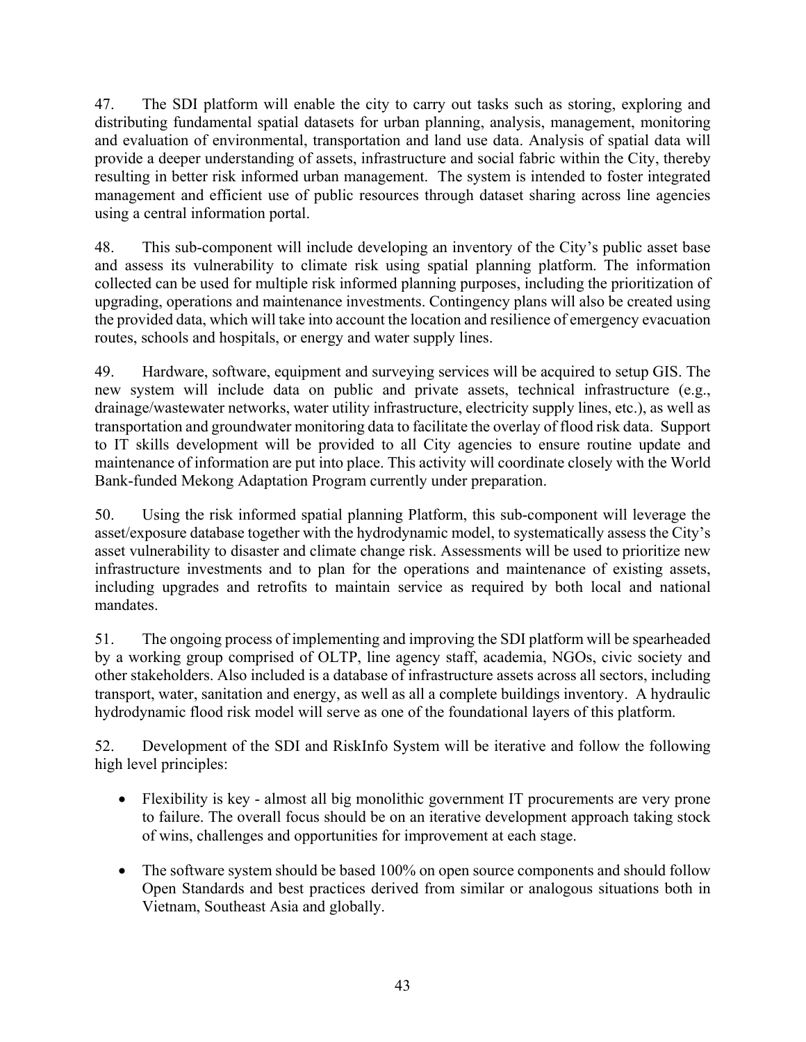47. The SDI platform will enable the city to carry out tasks such as storing, exploring and distributing fundamental spatial datasets for urban planning, analysis, management, monitoring and evaluation of environmental, transportation and land use data. Analysis of spatial data will provide a deeper understanding of assets, infrastructure and social fabric within the City, thereby resulting in better risk informed urban management. The system is intended to foster integrated management and efficient use of public resources through dataset sharing across line agencies using a central information portal.

48. This sub-component will include developing an inventory of the City's public asset base and assess its vulnerability to climate risk using spatial planning platform. The information collected can be used for multiple risk informed planning purposes, including the prioritization of upgrading, operations and maintenance investments. Contingency plans will also be created using the provided data, which will take into account the location and resilience of emergency evacuation routes, schools and hospitals, or energy and water supply lines.

49. Hardware, software, equipment and surveying services will be acquired to setup GIS. The new system will include data on public and private assets, technical infrastructure (e.g., drainage/wastewater networks, water utility infrastructure, electricity supply lines, etc.), as well as transportation and groundwater monitoring data to facilitate the overlay of flood risk data. Support to IT skills development will be provided to all City agencies to ensure routine update and maintenance of information are put into place. This activity will coordinate closely with the World Bank-funded Mekong Adaptation Program currently under preparation.

50. Using the risk informed spatial planning Platform, this sub-component will leverage the asset/exposure database together with the hydrodynamic model, to systematically assess the City's asset vulnerability to disaster and climate change risk. Assessments will be used to prioritize new infrastructure investments and to plan for the operations and maintenance of existing assets, including upgrades and retrofits to maintain service as required by both local and national mandates.

51. The ongoing process of implementing and improving the SDI platform will be spearheaded by a working group comprised of OLTP, line agency staff, academia, NGOs, civic society and other stakeholders. Also included is a database of infrastructure assets across all sectors, including transport, water, sanitation and energy, as well as all a complete buildings inventory. A hydraulic hydrodynamic flood risk model will serve as one of the foundational layers of this platform.

52. Development of the SDI and RiskInfo System will be iterative and follow the following high level principles:

- Flexibility is key almost all big monolithic government IT procurements are very prone to failure. The overall focus should be on an iterative development approach taking stock of wins, challenges and opportunities for improvement at each stage.
- The software system should be based 100% on open source components and should follow Open Standards and best practices derived from similar or analogous situations both in Vietnam, Southeast Asia and globally.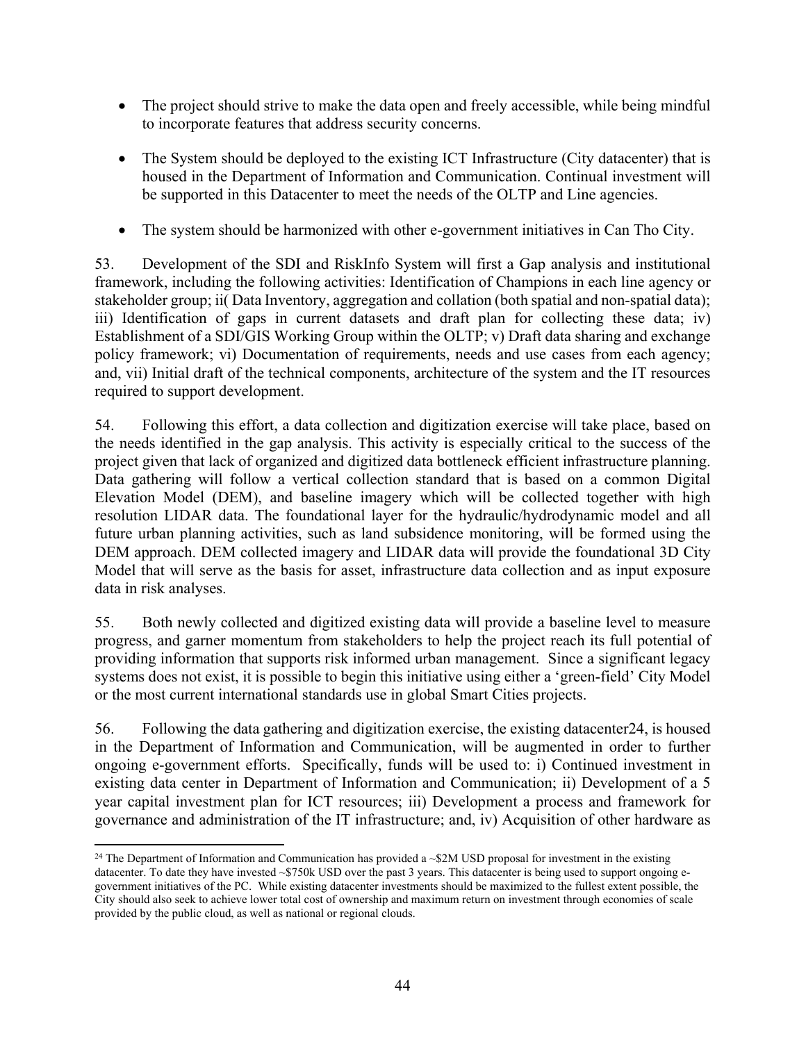- The project should strive to make the data open and freely accessible, while being mindful to incorporate features that address security concerns.
- The System should be deployed to the existing ICT Infrastructure (City datacenter) that is housed in the Department of Information and Communication. Continual investment will be supported in this Datacenter to meet the needs of the OLTP and Line agencies.
- The system should be harmonized with other e-government initiatives in Can Tho City.

53. Development of the SDI and RiskInfo System will first a Gap analysis and institutional framework, including the following activities: Identification of Champions in each line agency or stakeholder group; ii( Data Inventory, aggregation and collation (both spatial and non-spatial data); iii) Identification of gaps in current datasets and draft plan for collecting these data; iv) Establishment of a SDI/GIS Working Group within the OLTP; v) Draft data sharing and exchange policy framework; vi) Documentation of requirements, needs and use cases from each agency; and, vii) Initial draft of the technical components, architecture of the system and the IT resources required to support development.

54. Following this effort, a data collection and digitization exercise will take place, based on the needs identified in the gap analysis. This activity is especially critical to the success of the project given that lack of organized and digitized data bottleneck efficient infrastructure planning. Data gathering will follow a vertical collection standard that is based on a common Digital Elevation Model (DEM), and baseline imagery which will be collected together with high resolution LIDAR data. The foundational layer for the hydraulic/hydrodynamic model and all future urban planning activities, such as land subsidence monitoring, will be formed using the DEM approach. DEM collected imagery and LIDAR data will provide the foundational 3D City Model that will serve as the basis for asset, infrastructure data collection and as input exposure data in risk analyses.

55. Both newly collected and digitized existing data will provide a baseline level to measure progress, and garner momentum from stakeholders to help the project reach its full potential of providing information that supports risk informed urban management. Since a significant legacy systems does not exist, it is possible to begin this initiative using either a 'green-field' City Model or the most current international standards use in global Smart Cities projects.

56. Following the data gathering and digitization exercise, the existing datacenter24, is housed in the Department of Information and Communication, will be augmented in order to further ongoing e-government efforts. Specifically, funds will be used to: i) Continued investment in existing data center in Department of Information and Communication; ii) Development of a 5 year capital investment plan for ICT resources; iii) Development a process and framework for governance and administration of the IT infrastructure; and, iv) Acquisition of other hardware as

 $\overline{a}$ <sup>24</sup> The Department of Information and Communication has provided a  $\sim$ \$2M USD proposal for investment in the existing datacenter. To date they have invested ~\$750k USD over the past 3 years. This datacenter is being used to support ongoing egovernment initiatives of the PC. While existing datacenter investments should be maximized to the fullest extent possible, the City should also seek to achieve lower total cost of ownership and maximum return on investment through economies of scale provided by the public cloud, as well as national or regional clouds.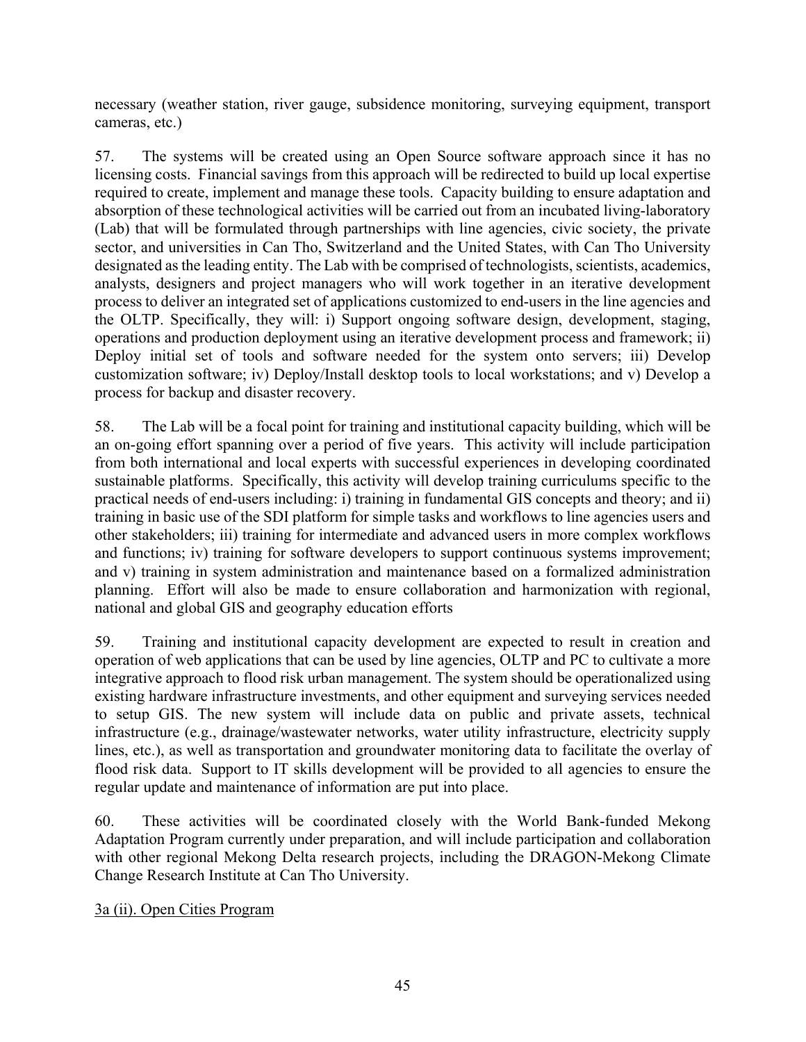necessary (weather station, river gauge, subsidence monitoring, surveying equipment, transport cameras, etc.)

57. The systems will be created using an Open Source software approach since it has no licensing costs. Financial savings from this approach will be redirected to build up local expertise required to create, implement and manage these tools. Capacity building to ensure adaptation and absorption of these technological activities will be carried out from an incubated living-laboratory (Lab) that will be formulated through partnerships with line agencies, civic society, the private sector, and universities in Can Tho, Switzerland and the United States, with Can Tho University designated as the leading entity. The Lab with be comprised of technologists, scientists, academics, analysts, designers and project managers who will work together in an iterative development process to deliver an integrated set of applications customized to end-users in the line agencies and the OLTP. Specifically, they will: i) Support ongoing software design, development, staging, operations and production deployment using an iterative development process and framework; ii) Deploy initial set of tools and software needed for the system onto servers; iii) Develop customization software; iv) Deploy/Install desktop tools to local workstations; and v) Develop a process for backup and disaster recovery.

58. The Lab will be a focal point for training and institutional capacity building, which will be an on-going effort spanning over a period of five years. This activity will include participation from both international and local experts with successful experiences in developing coordinated sustainable platforms. Specifically, this activity will develop training curriculums specific to the practical needs of end-users including: i) training in fundamental GIS concepts and theory; and ii) training in basic use of the SDI platform for simple tasks and workflows to line agencies users and other stakeholders; iii) training for intermediate and advanced users in more complex workflows and functions; iv) training for software developers to support continuous systems improvement; and v) training in system administration and maintenance based on a formalized administration planning. Effort will also be made to ensure collaboration and harmonization with regional, national and global GIS and geography education efforts

59. Training and institutional capacity development are expected to result in creation and operation of web applications that can be used by line agencies, OLTP and PC to cultivate a more integrative approach to flood risk urban management. The system should be operationalized using existing hardware infrastructure investments, and other equipment and surveying services needed to setup GIS. The new system will include data on public and private assets, technical infrastructure (e.g., drainage/wastewater networks, water utility infrastructure, electricity supply lines, etc.), as well as transportation and groundwater monitoring data to facilitate the overlay of flood risk data. Support to IT skills development will be provided to all agencies to ensure the regular update and maintenance of information are put into place.

60. These activities will be coordinated closely with the World Bank-funded Mekong Adaptation Program currently under preparation, and will include participation and collaboration with other regional Mekong Delta research projects, including the DRAGON-Mekong Climate Change Research Institute at Can Tho University.

3a (ii). Open Cities Program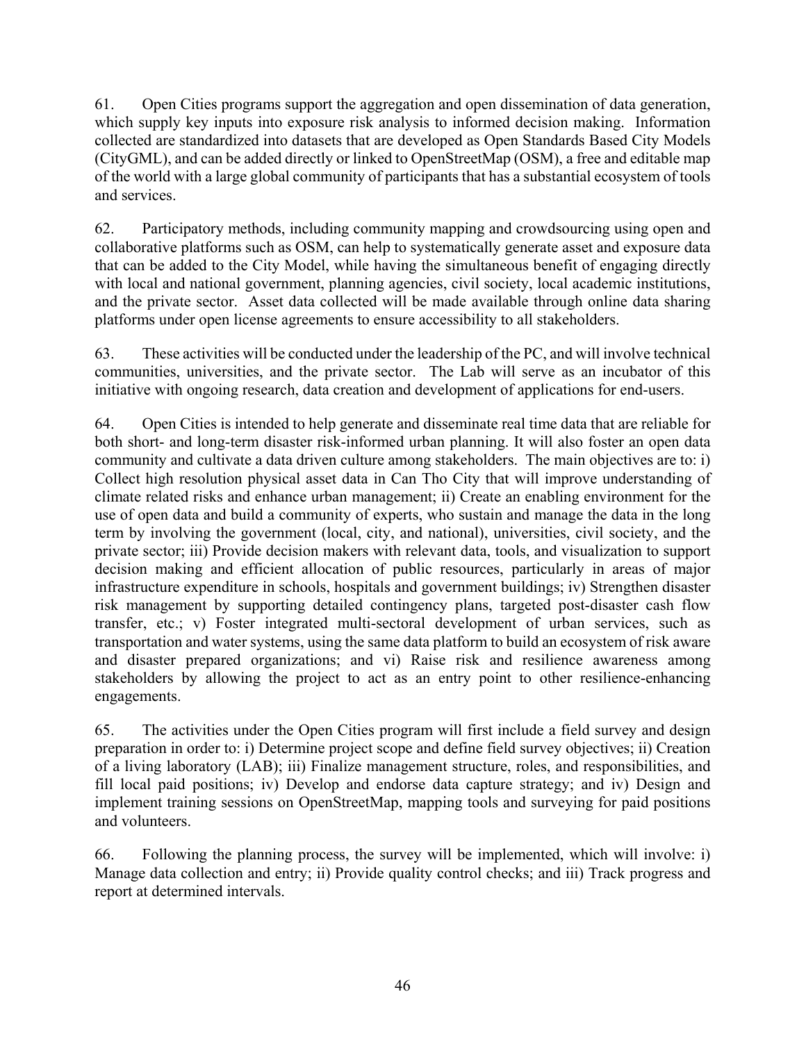61. Open Cities programs support the aggregation and open dissemination of data generation, which supply key inputs into exposure risk analysis to informed decision making. Information collected are standardized into datasets that are developed as Open Standards Based City Models (CityGML), and can be added directly or linked to OpenStreetMap (OSM), a free and editable map of the world with a large global community of participants that has a substantial ecosystem of tools and services.

62. Participatory methods, including community mapping and crowdsourcing using open and collaborative platforms such as OSM, can help to systematically generate asset and exposure data that can be added to the City Model, while having the simultaneous benefit of engaging directly with local and national government, planning agencies, civil society, local academic institutions, and the private sector. Asset data collected will be made available through online data sharing platforms under open license agreements to ensure accessibility to all stakeholders.

63. These activities will be conducted under the leadership of the PC, and will involve technical communities, universities, and the private sector. The Lab will serve as an incubator of this initiative with ongoing research, data creation and development of applications for end-users.

64. Open Cities is intended to help generate and disseminate real time data that are reliable for both short- and long-term disaster risk-informed urban planning. It will also foster an open data community and cultivate a data driven culture among stakeholders. The main objectives are to: i) Collect high resolution physical asset data in Can Tho City that will improve understanding of climate related risks and enhance urban management; ii) Create an enabling environment for the use of open data and build a community of experts, who sustain and manage the data in the long term by involving the government (local, city, and national), universities, civil society, and the private sector; iii) Provide decision makers with relevant data, tools, and visualization to support decision making and efficient allocation of public resources, particularly in areas of major infrastructure expenditure in schools, hospitals and government buildings; iv) Strengthen disaster risk management by supporting detailed contingency plans, targeted post-disaster cash flow transfer, etc.; v) Foster integrated multi-sectoral development of urban services, such as transportation and water systems, using the same data platform to build an ecosystem of risk aware and disaster prepared organizations; and vi) Raise risk and resilience awareness among stakeholders by allowing the project to act as an entry point to other resilience-enhancing engagements.

65. The activities under the Open Cities program will first include a field survey and design preparation in order to: i) Determine project scope and define field survey objectives; ii) Creation of a living laboratory (LAB); iii) Finalize management structure, roles, and responsibilities, and fill local paid positions; iv) Develop and endorse data capture strategy; and iv) Design and implement training sessions on OpenStreetMap, mapping tools and surveying for paid positions and volunteers.

66. Following the planning process, the survey will be implemented, which will involve: i) Manage data collection and entry; ii) Provide quality control checks; and iii) Track progress and report at determined intervals.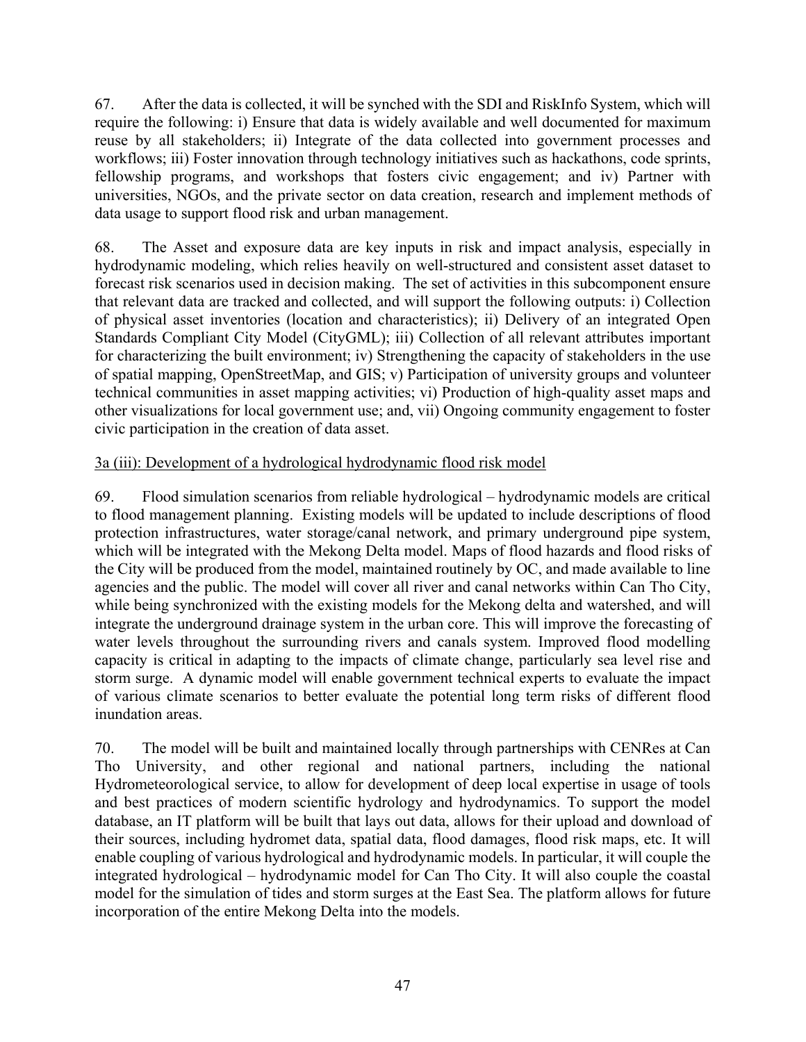67. After the data is collected, it will be synched with the SDI and RiskInfo System, which will require the following: i) Ensure that data is widely available and well documented for maximum reuse by all stakeholders; ii) Integrate of the data collected into government processes and workflows; iii) Foster innovation through technology initiatives such as hackathons, code sprints, fellowship programs, and workshops that fosters civic engagement; and iv) Partner with universities, NGOs, and the private sector on data creation, research and implement methods of data usage to support flood risk and urban management.

68. The Asset and exposure data are key inputs in risk and impact analysis, especially in hydrodynamic modeling, which relies heavily on well-structured and consistent asset dataset to forecast risk scenarios used in decision making. The set of activities in this subcomponent ensure that relevant data are tracked and collected, and will support the following outputs: i) Collection of physical asset inventories (location and characteristics); ii) Delivery of an integrated Open Standards Compliant City Model (CityGML); iii) Collection of all relevant attributes important for characterizing the built environment; iv) Strengthening the capacity of stakeholders in the use of spatial mapping, OpenStreetMap, and GIS; v) Participation of university groups and volunteer technical communities in asset mapping activities; vi) Production of high-quality asset maps and other visualizations for local government use; and, vii) Ongoing community engagement to foster civic participation in the creation of data asset.

## 3a (iii): Development of a hydrological hydrodynamic flood risk model

69. Flood simulation scenarios from reliable hydrological – hydrodynamic models are critical to flood management planning. Existing models will be updated to include descriptions of flood protection infrastructures, water storage/canal network, and primary underground pipe system, which will be integrated with the Mekong Delta model. Maps of flood hazards and flood risks of the City will be produced from the model, maintained routinely by OC, and made available to line agencies and the public. The model will cover all river and canal networks within Can Tho City, while being synchronized with the existing models for the Mekong delta and watershed, and will integrate the underground drainage system in the urban core. This will improve the forecasting of water levels throughout the surrounding rivers and canals system. Improved flood modelling capacity is critical in adapting to the impacts of climate change, particularly sea level rise and storm surge. A dynamic model will enable government technical experts to evaluate the impact of various climate scenarios to better evaluate the potential long term risks of different flood inundation areas.

70. The model will be built and maintained locally through partnerships with CENRes at Can Tho University, and other regional and national partners, including the national Hydrometeorological service, to allow for development of deep local expertise in usage of tools and best practices of modern scientific hydrology and hydrodynamics. To support the model database, an IT platform will be built that lays out data, allows for their upload and download of their sources, including hydromet data, spatial data, flood damages, flood risk maps, etc. It will enable coupling of various hydrological and hydrodynamic models. In particular, it will couple the integrated hydrological – hydrodynamic model for Can Tho City. It will also couple the coastal model for the simulation of tides and storm surges at the East Sea. The platform allows for future incorporation of the entire Mekong Delta into the models.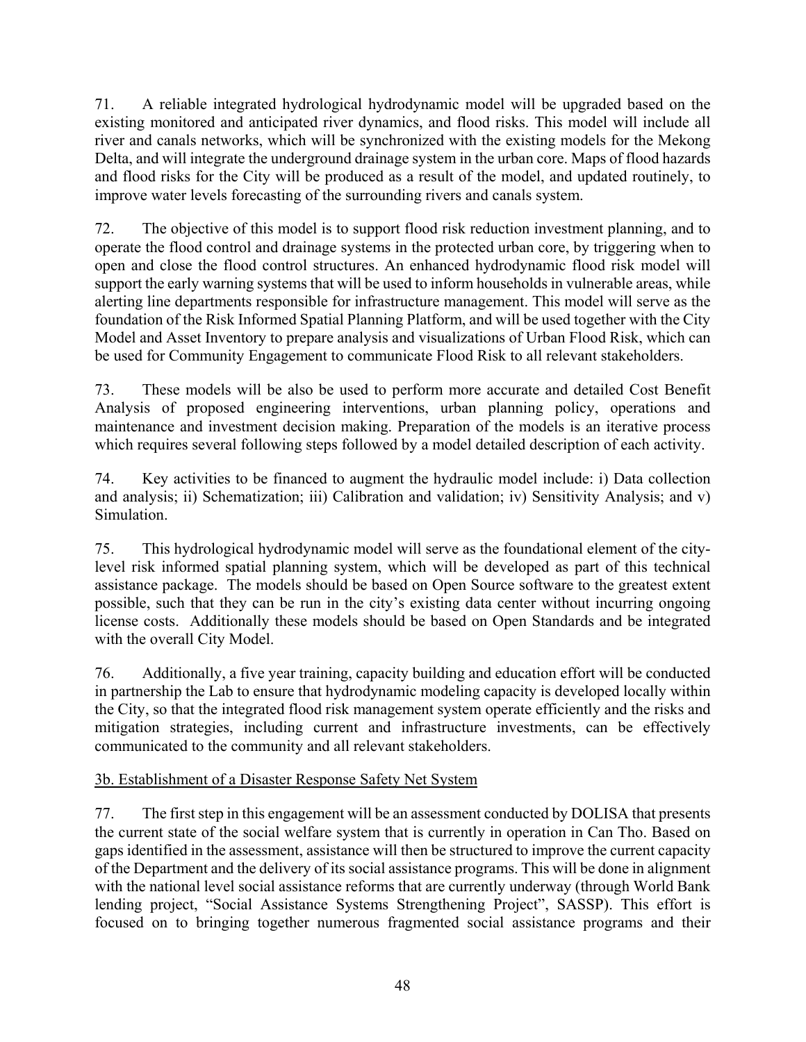71. A reliable integrated hydrological hydrodynamic model will be upgraded based on the existing monitored and anticipated river dynamics, and flood risks. This model will include all river and canals networks, which will be synchronized with the existing models for the Mekong Delta, and will integrate the underground drainage system in the urban core. Maps of flood hazards and flood risks for the City will be produced as a result of the model, and updated routinely, to improve water levels forecasting of the surrounding rivers and canals system.

72. The objective of this model is to support flood risk reduction investment planning, and to operate the flood control and drainage systems in the protected urban core, by triggering when to open and close the flood control structures. An enhanced hydrodynamic flood risk model will support the early warning systems that will be used to inform households in vulnerable areas, while alerting line departments responsible for infrastructure management. This model will serve as the foundation of the Risk Informed Spatial Planning Platform, and will be used together with the City Model and Asset Inventory to prepare analysis and visualizations of Urban Flood Risk, which can be used for Community Engagement to communicate Flood Risk to all relevant stakeholders.

73. These models will be also be used to perform more accurate and detailed Cost Benefit Analysis of proposed engineering interventions, urban planning policy, operations and maintenance and investment decision making. Preparation of the models is an iterative process which requires several following steps followed by a model detailed description of each activity.

74. Key activities to be financed to augment the hydraulic model include: i) Data collection and analysis; ii) Schematization; iii) Calibration and validation; iv) Sensitivity Analysis; and v) Simulation.

75. This hydrological hydrodynamic model will serve as the foundational element of the citylevel risk informed spatial planning system, which will be developed as part of this technical assistance package. The models should be based on Open Source software to the greatest extent possible, such that they can be run in the city's existing data center without incurring ongoing license costs. Additionally these models should be based on Open Standards and be integrated with the overall City Model.

76. Additionally, a five year training, capacity building and education effort will be conducted in partnership the Lab to ensure that hydrodynamic modeling capacity is developed locally within the City, so that the integrated flood risk management system operate efficiently and the risks and mitigation strategies, including current and infrastructure investments, can be effectively communicated to the community and all relevant stakeholders.

# 3b. Establishment of a Disaster Response Safety Net System

77. The first step in this engagement will be an assessment conducted by DOLISA that presents the current state of the social welfare system that is currently in operation in Can Tho. Based on gaps identified in the assessment, assistance will then be structured to improve the current capacity of the Department and the delivery of its social assistance programs. This will be done in alignment with the national level social assistance reforms that are currently underway (through World Bank lending project, "Social Assistance Systems Strengthening Project", SASSP). This effort is focused on to bringing together numerous fragmented social assistance programs and their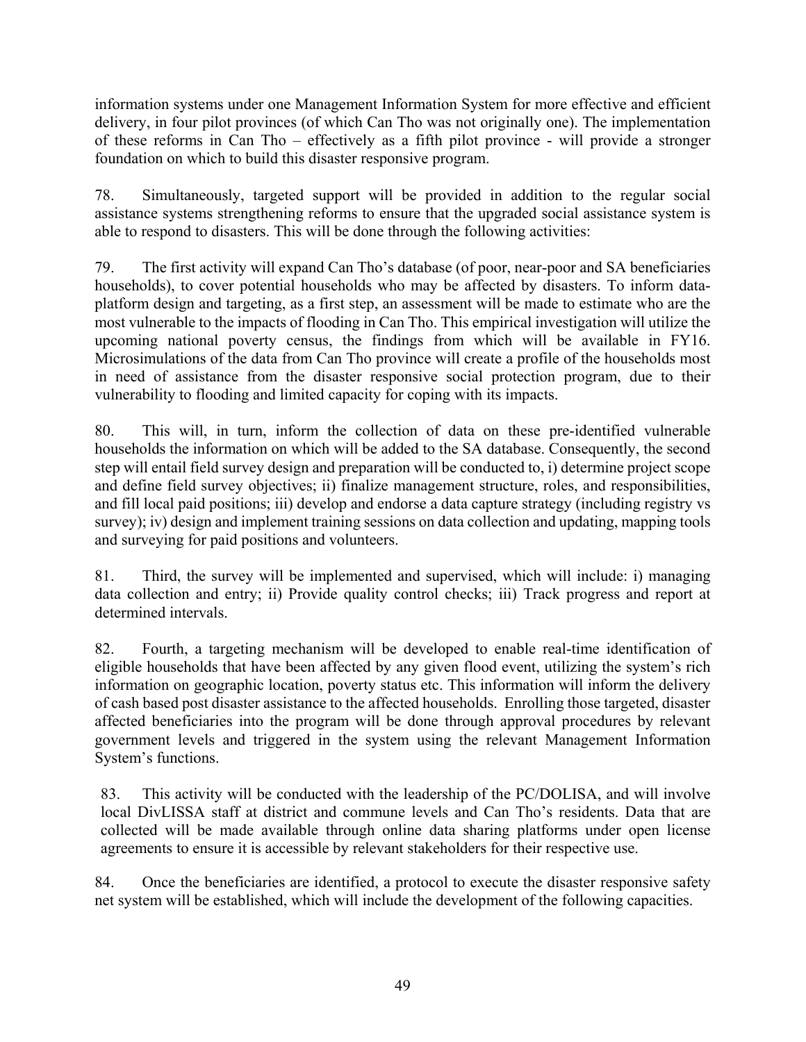information systems under one Management Information System for more effective and efficient delivery, in four pilot provinces (of which Can Tho was not originally one). The implementation of these reforms in Can Tho – effectively as a fifth pilot province - will provide a stronger foundation on which to build this disaster responsive program.

78. Simultaneously, targeted support will be provided in addition to the regular social assistance systems strengthening reforms to ensure that the upgraded social assistance system is able to respond to disasters. This will be done through the following activities:

79. The first activity will expand Can Tho's database (of poor, near-poor and SA beneficiaries households), to cover potential households who may be affected by disasters. To inform dataplatform design and targeting, as a first step, an assessment will be made to estimate who are the most vulnerable to the impacts of flooding in Can Tho. This empirical investigation will utilize the upcoming national poverty census, the findings from which will be available in FY16. Microsimulations of the data from Can Tho province will create a profile of the households most in need of assistance from the disaster responsive social protection program, due to their vulnerability to flooding and limited capacity for coping with its impacts.

80. This will, in turn, inform the collection of data on these pre-identified vulnerable households the information on which will be added to the SA database. Consequently, the second step will entail field survey design and preparation will be conducted to, i) determine project scope and define field survey objectives; ii) finalize management structure, roles, and responsibilities, and fill local paid positions; iii) develop and endorse a data capture strategy (including registry vs survey); iv) design and implement training sessions on data collection and updating, mapping tools and surveying for paid positions and volunteers.

81. Third, the survey will be implemented and supervised, which will include: i) managing data collection and entry; ii) Provide quality control checks; iii) Track progress and report at determined intervals.

82. Fourth, a targeting mechanism will be developed to enable real-time identification of eligible households that have been affected by any given flood event, utilizing the system's rich information on geographic location, poverty status etc. This information will inform the delivery of cash based post disaster assistance to the affected households. Enrolling those targeted, disaster affected beneficiaries into the program will be done through approval procedures by relevant government levels and triggered in the system using the relevant Management Information System's functions.

83. This activity will be conducted with the leadership of the PC/DOLISA, and will involve local DivLISSA staff at district and commune levels and Can Tho's residents. Data that are collected will be made available through online data sharing platforms under open license agreements to ensure it is accessible by relevant stakeholders for their respective use.

84. Once the beneficiaries are identified, a protocol to execute the disaster responsive safety net system will be established, which will include the development of the following capacities.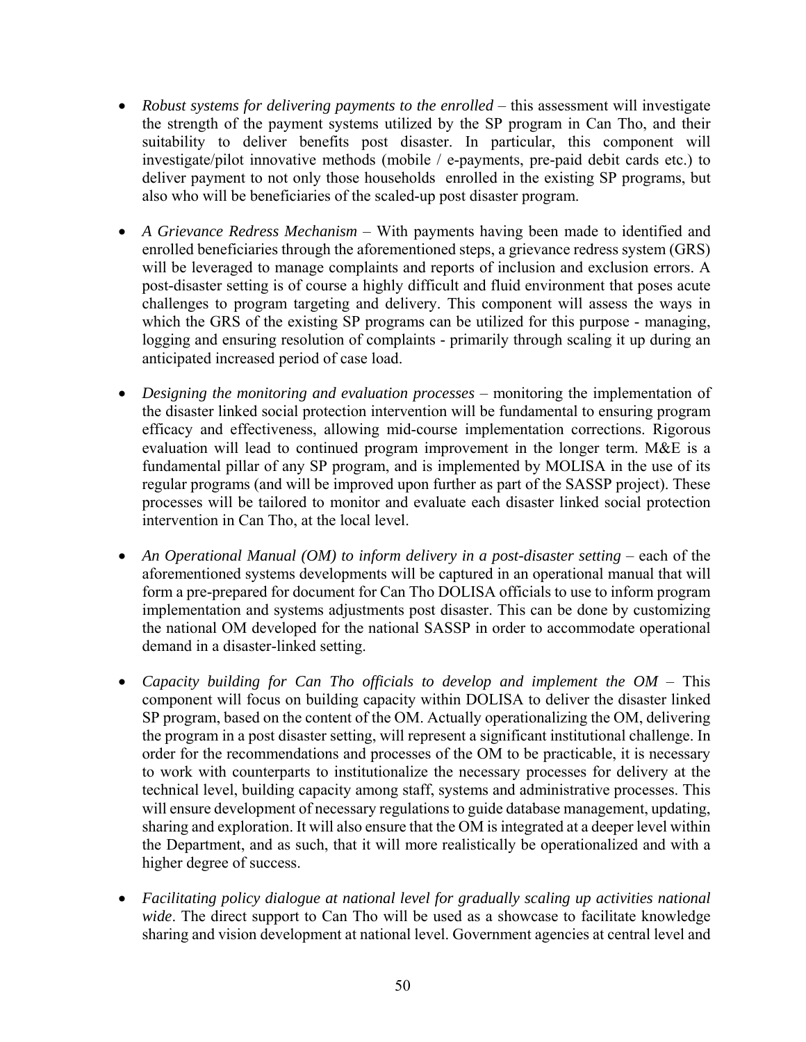- *Robust systems for delivering payments to the enrolled* this assessment will investigate the strength of the payment systems utilized by the SP program in Can Tho, and their suitability to deliver benefits post disaster. In particular, this component will investigate/pilot innovative methods (mobile / e-payments, pre-paid debit cards etc.) to deliver payment to not only those households enrolled in the existing SP programs, but also who will be beneficiaries of the scaled-up post disaster program.
- *A Grievance Redress Mechanism* With payments having been made to identified and enrolled beneficiaries through the aforementioned steps, a grievance redress system (GRS) will be leveraged to manage complaints and reports of inclusion and exclusion errors. A post-disaster setting is of course a highly difficult and fluid environment that poses acute challenges to program targeting and delivery. This component will assess the ways in which the GRS of the existing SP programs can be utilized for this purpose - managing, logging and ensuring resolution of complaints - primarily through scaling it up during an anticipated increased period of case load.
- *Designing the monitoring and evaluation processes* monitoring the implementation of the disaster linked social protection intervention will be fundamental to ensuring program efficacy and effectiveness, allowing mid-course implementation corrections. Rigorous evaluation will lead to continued program improvement in the longer term. M&E is a fundamental pillar of any SP program, and is implemented by MOLISA in the use of its regular programs (and will be improved upon further as part of the SASSP project). These processes will be tailored to monitor and evaluate each disaster linked social protection intervention in Can Tho, at the local level.
- An *Operational Manual (OM) to inform delivery in a post-disaster setting* each of the aforementioned systems developments will be captured in an operational manual that will form a pre-prepared for document for Can Tho DOLISA officials to use to inform program implementation and systems adjustments post disaster. This can be done by customizing the national OM developed for the national SASSP in order to accommodate operational demand in a disaster-linked setting.
- *Capacity building for Can Tho officials to develop and implement the OM* This component will focus on building capacity within DOLISA to deliver the disaster linked SP program, based on the content of the OM. Actually operationalizing the OM, delivering the program in a post disaster setting, will represent a significant institutional challenge. In order for the recommendations and processes of the OM to be practicable, it is necessary to work with counterparts to institutionalize the necessary processes for delivery at the technical level, building capacity among staff, systems and administrative processes. This will ensure development of necessary regulations to guide database management, updating, sharing and exploration. It will also ensure that the OM is integrated at a deeper level within the Department, and as such, that it will more realistically be operationalized and with a higher degree of success.
- *Facilitating policy dialogue at national level for gradually scaling up activities national wide*. The direct support to Can Tho will be used as a showcase to facilitate knowledge sharing and vision development at national level. Government agencies at central level and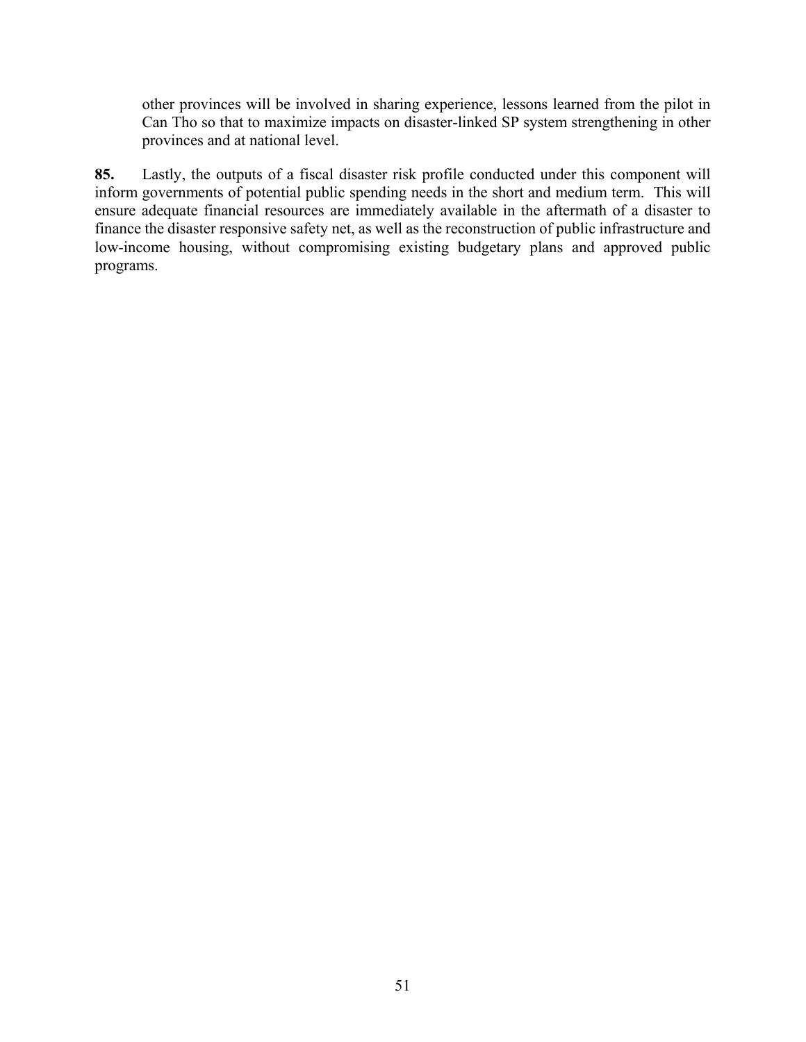other provinces will be involved in sharing experience, lessons learned from the pilot in Can Tho so that to maximize impacts on disaster-linked SP system strengthening in other provinces and at national level.

**85.** Lastly, the outputs of a fiscal disaster risk profile conducted under this component will inform governments of potential public spending needs in the short and medium term. This will ensure adequate financial resources are immediately available in the aftermath of a disaster to finance the disaster responsive safety net, as well as the reconstruction of public infrastructure and low-income housing, without compromising existing budgetary plans and approved public programs.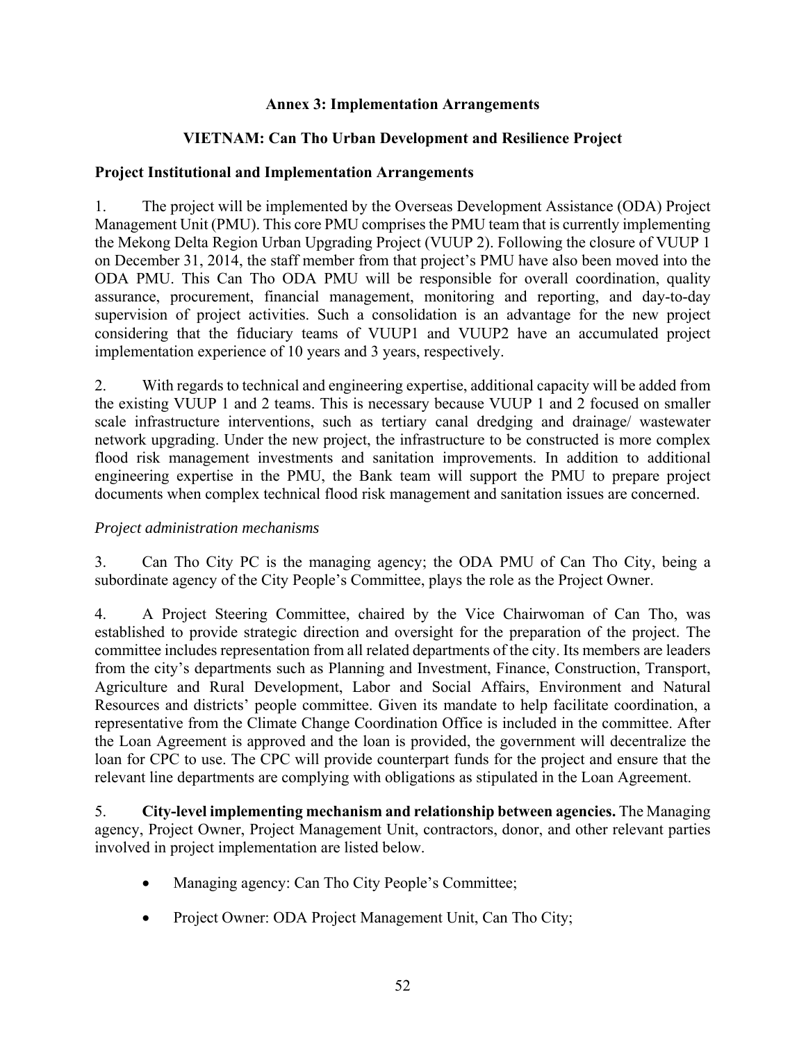### **Annex 3: Implementation Arrangements**

## **VIETNAM: Can Tho Urban Development and Resilience Project**

#### **Project Institutional and Implementation Arrangements**

1. The project will be implemented by the Overseas Development Assistance (ODA) Project Management Unit (PMU). This core PMU comprises the PMU team that is currently implementing the Mekong Delta Region Urban Upgrading Project (VUUP 2). Following the closure of VUUP 1 on December 31, 2014, the staff member from that project's PMU have also been moved into the ODA PMU. This Can Tho ODA PMU will be responsible for overall coordination, quality assurance, procurement, financial management, monitoring and reporting, and day-to-day supervision of project activities. Such a consolidation is an advantage for the new project considering that the fiduciary teams of VUUP1 and VUUP2 have an accumulated project implementation experience of 10 years and 3 years, respectively.

2. With regards to technical and engineering expertise, additional capacity will be added from the existing VUUP 1 and 2 teams. This is necessary because VUUP 1 and 2 focused on smaller scale infrastructure interventions, such as tertiary canal dredging and drainage/ wastewater network upgrading. Under the new project, the infrastructure to be constructed is more complex flood risk management investments and sanitation improvements. In addition to additional engineering expertise in the PMU, the Bank team will support the PMU to prepare project documents when complex technical flood risk management and sanitation issues are concerned.

#### *Project administration mechanisms*

3. Can Tho City PC is the managing agency; the ODA PMU of Can Tho City, being a subordinate agency of the City People's Committee, plays the role as the Project Owner.

4. A Project Steering Committee, chaired by the Vice Chairwoman of Can Tho, was established to provide strategic direction and oversight for the preparation of the project. The committee includes representation from all related departments of the city. Its members are leaders from the city's departments such as Planning and Investment, Finance, Construction, Transport, Agriculture and Rural Development, Labor and Social Affairs, Environment and Natural Resources and districts' people committee. Given its mandate to help facilitate coordination, a representative from the Climate Change Coordination Office is included in the committee. After the Loan Agreement is approved and the loan is provided, the government will decentralize the loan for CPC to use. The CPC will provide counterpart funds for the project and ensure that the relevant line departments are complying with obligations as stipulated in the Loan Agreement.

5. **City-level implementing mechanism and relationship between agencies.** The Managing agency, Project Owner, Project Management Unit, contractors, donor, and other relevant parties involved in project implementation are listed below.

- Managing agency: Can Tho City People's Committee;
- Project Owner: ODA Project Management Unit, Can Tho City;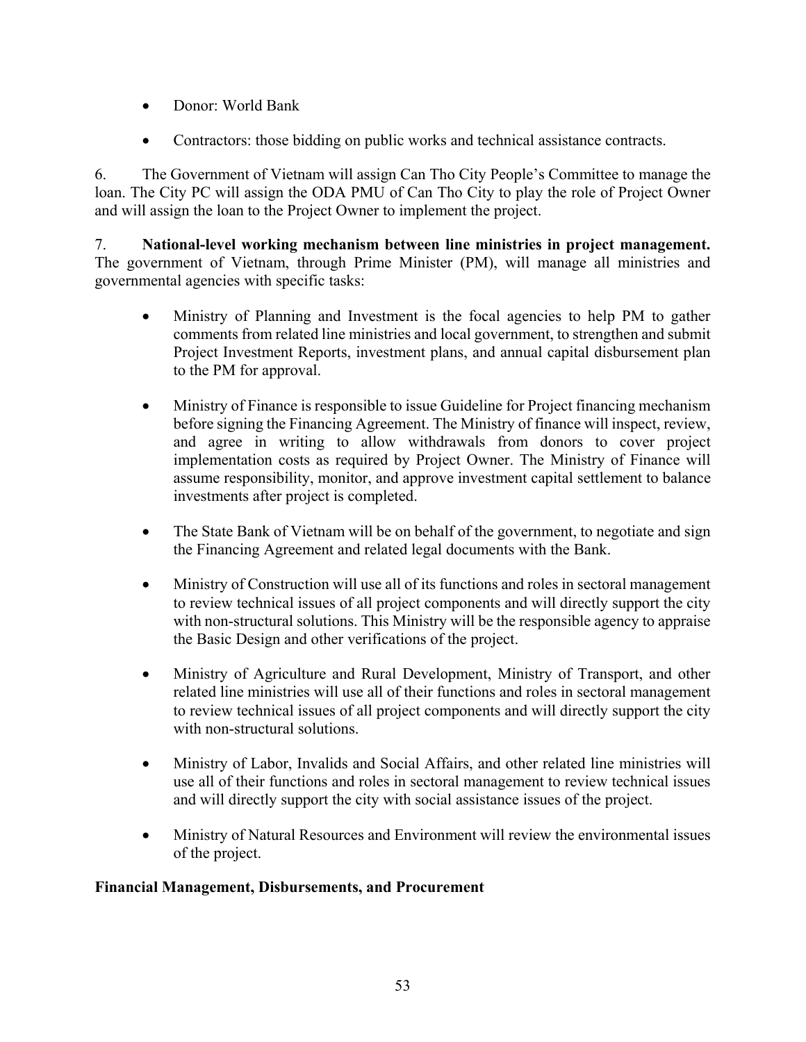- Donor: World Bank
- Contractors: those bidding on public works and technical assistance contracts.

6. The Government of Vietnam will assign Can Tho City People's Committee to manage the loan. The City PC will assign the ODA PMU of Can Tho City to play the role of Project Owner and will assign the loan to the Project Owner to implement the project.

7. **National-level working mechanism between line ministries in project management.** The government of Vietnam, through Prime Minister (PM), will manage all ministries and governmental agencies with specific tasks:

- Ministry of Planning and Investment is the focal agencies to help PM to gather comments from related line ministries and local government, to strengthen and submit Project Investment Reports, investment plans, and annual capital disbursement plan to the PM for approval.
- Ministry of Finance is responsible to issue Guideline for Project financing mechanism before signing the Financing Agreement. The Ministry of finance will inspect, review, and agree in writing to allow withdrawals from donors to cover project implementation costs as required by Project Owner. The Ministry of Finance will assume responsibility, monitor, and approve investment capital settlement to balance investments after project is completed.
- The State Bank of Vietnam will be on behalf of the government, to negotiate and sign the Financing Agreement and related legal documents with the Bank.
- Ministry of Construction will use all of its functions and roles in sectoral management to review technical issues of all project components and will directly support the city with non-structural solutions. This Ministry will be the responsible agency to appraise the Basic Design and other verifications of the project.
- Ministry of Agriculture and Rural Development, Ministry of Transport, and other related line ministries will use all of their functions and roles in sectoral management to review technical issues of all project components and will directly support the city with non-structural solutions.
- Ministry of Labor, Invalids and Social Affairs, and other related line ministries will use all of their functions and roles in sectoral management to review technical issues and will directly support the city with social assistance issues of the project.
- Ministry of Natural Resources and Environment will review the environmental issues of the project.

## **Financial Management, Disbursements, and Procurement**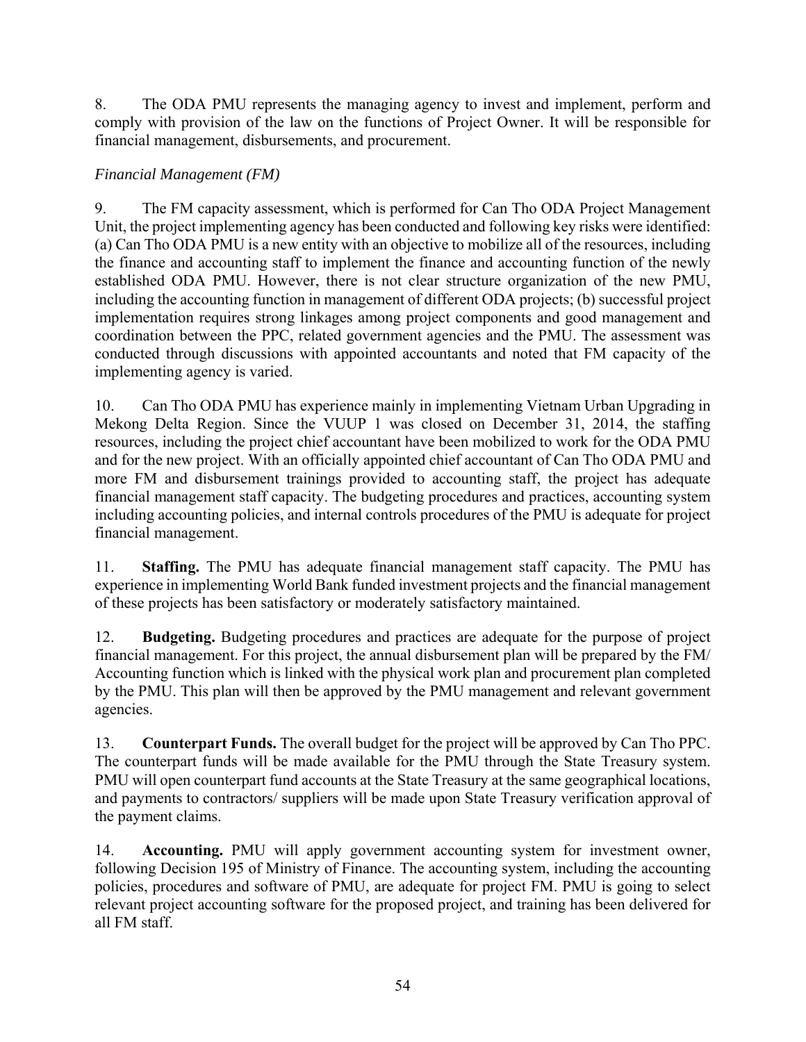8. The ODA PMU represents the managing agency to invest and implement, perform and comply with provision of the law on the functions of Project Owner. It will be responsible for financial management, disbursements, and procurement.

# *Financial Management (FM)*

9. The FM capacity assessment, which is performed for Can Tho ODA Project Management Unit, the project implementing agency has been conducted and following key risks were identified: (a) Can Tho ODA PMU is a new entity with an objective to mobilize all of the resources, including the finance and accounting staff to implement the finance and accounting function of the newly established ODA PMU. However, there is not clear structure organization of the new PMU, including the accounting function in management of different ODA projects; (b) successful project implementation requires strong linkages among project components and good management and coordination between the PPC, related government agencies and the PMU. The assessment was conducted through discussions with appointed accountants and noted that FM capacity of the implementing agency is varied.

10. Can Tho ODA PMU has experience mainly in implementing Vietnam Urban Upgrading in Mekong Delta Region. Since the VUUP 1 was closed on December 31, 2014, the staffing resources, including the project chief accountant have been mobilized to work for the ODA PMU and for the new project. With an officially appointed chief accountant of Can Tho ODA PMU and more FM and disbursement trainings provided to accounting staff, the project has adequate financial management staff capacity. The budgeting procedures and practices, accounting system including accounting policies, and internal controls procedures of the PMU is adequate for project financial management.

11. **Staffing.** The PMU has adequate financial management staff capacity. The PMU has experience in implementing World Bank funded investment projects and the financial management of these projects has been satisfactory or moderately satisfactory maintained.

12. **Budgeting.** Budgeting procedures and practices are adequate for the purpose of project financial management. For this project, the annual disbursement plan will be prepared by the FM/ Accounting function which is linked with the physical work plan and procurement plan completed by the PMU. This plan will then be approved by the PMU management and relevant government agencies.

13. **Counterpart Funds.** The overall budget for the project will be approved by Can Tho PPC. The counterpart funds will be made available for the PMU through the State Treasury system. PMU will open counterpart fund accounts at the State Treasury at the same geographical locations, and payments to contractors/ suppliers will be made upon State Treasury verification approval of the payment claims.

14. **Accounting.** PMU will apply government accounting system for investment owner, following Decision 195 of Ministry of Finance. The accounting system, including the accounting policies, procedures and software of PMU, are adequate for project FM. PMU is going to select relevant project accounting software for the proposed project, and training has been delivered for all FM staff.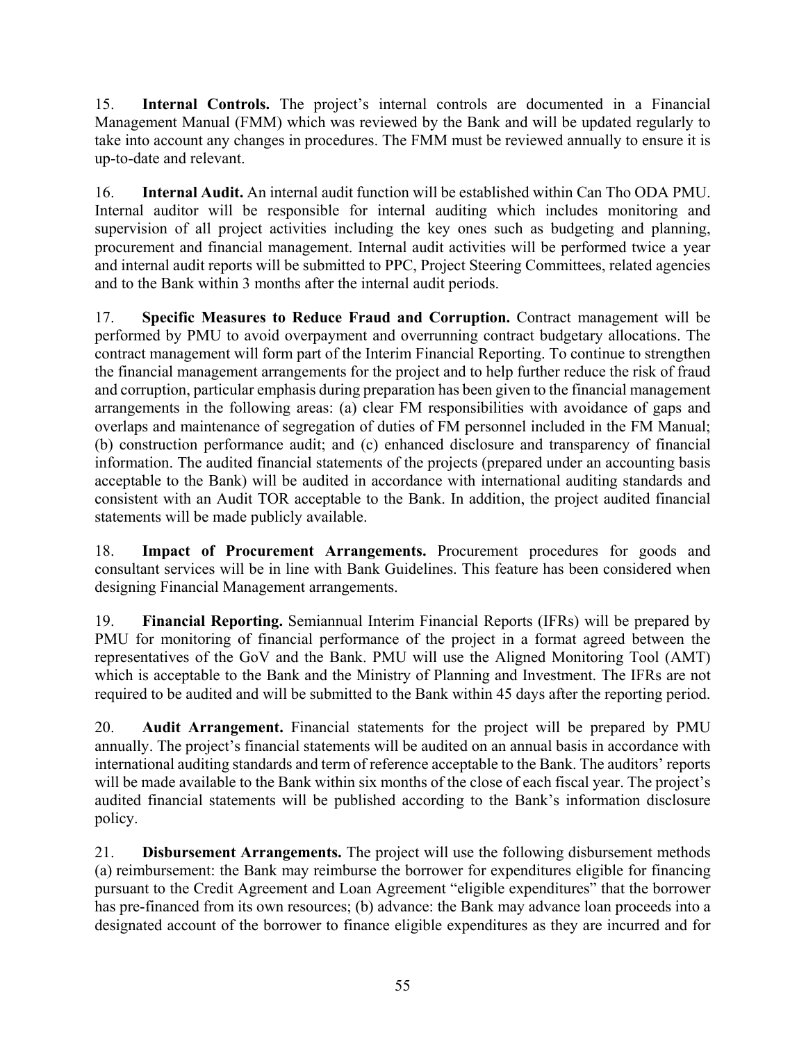15. **Internal Controls.** The project's internal controls are documented in a Financial Management Manual (FMM) which was reviewed by the Bank and will be updated regularly to take into account any changes in procedures. The FMM must be reviewed annually to ensure it is up-to-date and relevant.

16. **Internal Audit.** An internal audit function will be established within Can Tho ODA PMU. Internal auditor will be responsible for internal auditing which includes monitoring and supervision of all project activities including the key ones such as budgeting and planning, procurement and financial management. Internal audit activities will be performed twice a year and internal audit reports will be submitted to PPC, Project Steering Committees, related agencies and to the Bank within 3 months after the internal audit periods.

17. **Specific Measures to Reduce Fraud and Corruption.** Contract management will be performed by PMU to avoid overpayment and overrunning contract budgetary allocations. The contract management will form part of the Interim Financial Reporting. To continue to strengthen the financial management arrangements for the project and to help further reduce the risk of fraud and corruption, particular emphasis during preparation has been given to the financial management arrangements in the following areas: (a) clear FM responsibilities with avoidance of gaps and overlaps and maintenance of segregation of duties of FM personnel included in the FM Manual; (b) construction performance audit; and (c) enhanced disclosure and transparency of financial information. The audited financial statements of the projects (prepared under an accounting basis acceptable to the Bank) will be audited in accordance with international auditing standards and consistent with an Audit TOR acceptable to the Bank. In addition, the project audited financial statements will be made publicly available.

18. **Impact of Procurement Arrangements.** Procurement procedures for goods and consultant services will be in line with Bank Guidelines. This feature has been considered when designing Financial Management arrangements.

19. **Financial Reporting.** Semiannual Interim Financial Reports (IFRs) will be prepared by PMU for monitoring of financial performance of the project in a format agreed between the representatives of the GoV and the Bank. PMU will use the Aligned Monitoring Tool (AMT) which is acceptable to the Bank and the Ministry of Planning and Investment. The IFRs are not required to be audited and will be submitted to the Bank within 45 days after the reporting period.

20. **Audit Arrangement.** Financial statements for the project will be prepared by PMU annually. The project's financial statements will be audited on an annual basis in accordance with international auditing standards and term of reference acceptable to the Bank. The auditors' reports will be made available to the Bank within six months of the close of each fiscal year. The project's audited financial statements will be published according to the Bank's information disclosure policy.

21. **Disbursement Arrangements.** The project will use the following disbursement methods (a) reimbursement: the Bank may reimburse the borrower for expenditures eligible for financing pursuant to the Credit Agreement and Loan Agreement "eligible expenditures" that the borrower has pre-financed from its own resources; (b) advance: the Bank may advance loan proceeds into a designated account of the borrower to finance eligible expenditures as they are incurred and for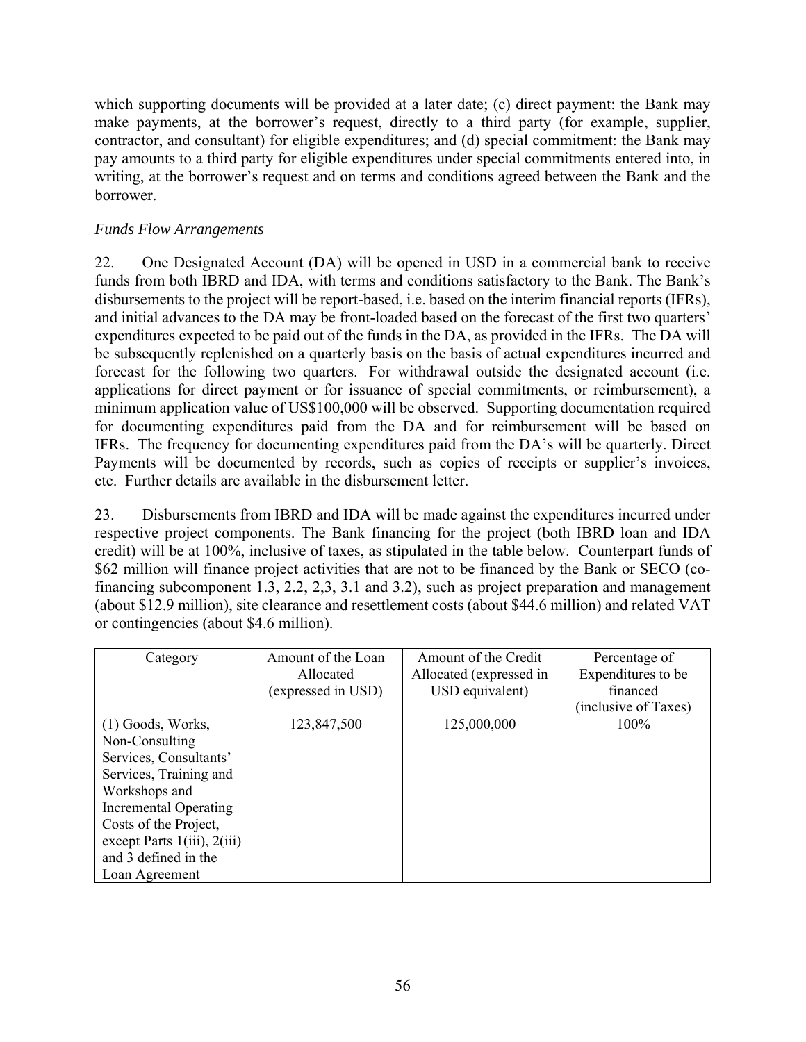which supporting documents will be provided at a later date; (c) direct payment: the Bank may make payments, at the borrower's request, directly to a third party (for example, supplier, contractor, and consultant) for eligible expenditures; and (d) special commitment: the Bank may pay amounts to a third party for eligible expenditures under special commitments entered into, in writing, at the borrower's request and on terms and conditions agreed between the Bank and the borrower.

## *Funds Flow Arrangements*

22. One Designated Account (DA) will be opened in USD in a commercial bank to receive funds from both IBRD and IDA, with terms and conditions satisfactory to the Bank. The Bank's disbursements to the project will be report-based, i.e. based on the interim financial reports (IFRs), and initial advances to the DA may be front-loaded based on the forecast of the first two quarters' expenditures expected to be paid out of the funds in the DA, as provided in the IFRs. The DA will be subsequently replenished on a quarterly basis on the basis of actual expenditures incurred and forecast for the following two quarters. For withdrawal outside the designated account (i.e. applications for direct payment or for issuance of special commitments, or reimbursement), a minimum application value of US\$100,000 will be observed. Supporting documentation required for documenting expenditures paid from the DA and for reimbursement will be based on IFRs. The frequency for documenting expenditures paid from the DA's will be quarterly. Direct Payments will be documented by records, such as copies of receipts or supplier's invoices, etc. Further details are available in the disbursement letter.

23. Disbursements from IBRD and IDA will be made against the expenditures incurred under respective project components. The Bank financing for the project (both IBRD loan and IDA credit) will be at 100%, inclusive of taxes, as stipulated in the table below. Counterpart funds of \$62 million will finance project activities that are not to be financed by the Bank or SECO (cofinancing subcomponent 1.3, 2.2, 2,3, 3.1 and 3.2), such as project preparation and management (about \$12.9 million), site clearance and resettlement costs (about \$44.6 million) and related VAT or contingencies (about \$4.6 million).

| Category                         | Amount of the Loan | Amount of the Credit    | Percentage of        |
|----------------------------------|--------------------|-------------------------|----------------------|
|                                  | Allocated          | Allocated (expressed in | Expenditures to be   |
|                                  | (expressed in USD) | USD equivalent)         | financed             |
|                                  |                    |                         | (inclusive of Taxes) |
| $(1)$ Goods, Works,              | 123,847,500        | 125,000,000             | $100\%$              |
| Non-Consulting                   |                    |                         |                      |
| Services, Consultants'           |                    |                         |                      |
| Services, Training and           |                    |                         |                      |
| Workshops and                    |                    |                         |                      |
| <b>Incremental Operating</b>     |                    |                         |                      |
| Costs of the Project,            |                    |                         |                      |
| except Parts $1(iii)$ , $2(iii)$ |                    |                         |                      |
| and 3 defined in the             |                    |                         |                      |
| Loan Agreement                   |                    |                         |                      |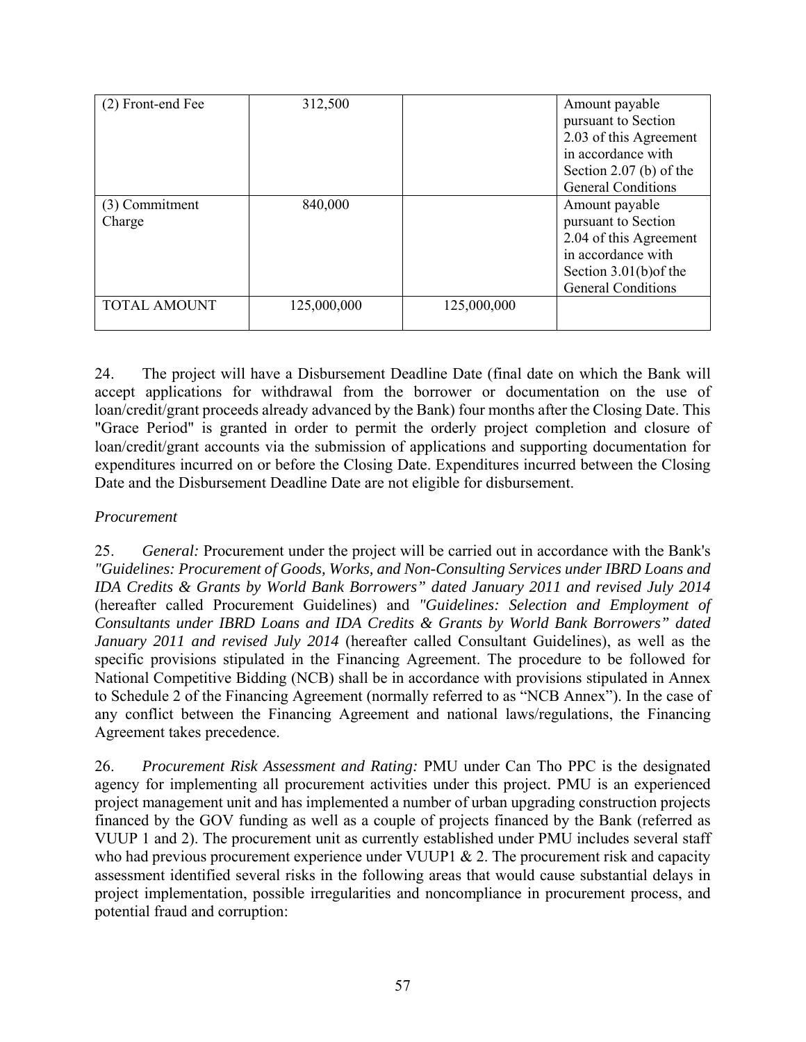| (2) Front-end Fee   | 312,500     |             | Amount payable            |
|---------------------|-------------|-------------|---------------------------|
|                     |             |             | pursuant to Section       |
|                     |             |             | 2.03 of this Agreement    |
|                     |             |             | in accordance with        |
|                     |             |             | Section 2.07 (b) of the   |
|                     |             |             | <b>General Conditions</b> |
| (3) Commitment      | 840,000     |             | Amount payable            |
| Charge              |             |             | pursuant to Section       |
|                     |             |             | 2.04 of this Agreement    |
|                     |             |             | in accordance with        |
|                     |             |             | Section $3.01(b)$ of the  |
|                     |             |             | <b>General Conditions</b> |
| <b>TOTAL AMOUNT</b> | 125,000,000 | 125,000,000 |                           |
|                     |             |             |                           |

24. The project will have a Disbursement Deadline Date (final date on which the Bank will accept applications for withdrawal from the borrower or documentation on the use of loan/credit/grant proceeds already advanced by the Bank) four months after the Closing Date. This "Grace Period" is granted in order to permit the orderly project completion and closure of loan/credit/grant accounts via the submission of applications and supporting documentation for expenditures incurred on or before the Closing Date. Expenditures incurred between the Closing Date and the Disbursement Deadline Date are not eligible for disbursement.

## *Procurement*

25. *General:* Procurement under the project will be carried out in accordance with the Bank's *"Guidelines: Procurement of Goods, Works, and Non-Consulting Services under IBRD Loans and IDA Credits & Grants by World Bank Borrowers" dated January 2011 and revised July 2014* (hereafter called Procurement Guidelines) and *"Guidelines: Selection and Employment of Consultants under IBRD Loans and IDA Credits & Grants by World Bank Borrowers" dated January 2011 and revised July 2014* (hereafter called Consultant Guidelines), as well as the specific provisions stipulated in the Financing Agreement. The procedure to be followed for National Competitive Bidding (NCB) shall be in accordance with provisions stipulated in Annex to Schedule 2 of the Financing Agreement (normally referred to as "NCB Annex"). In the case of any conflict between the Financing Agreement and national laws/regulations, the Financing Agreement takes precedence.

26. *Procurement Risk Assessment and Rating:* PMU under Can Tho PPC is the designated agency for implementing all procurement activities under this project. PMU is an experienced project management unit and has implemented a number of urban upgrading construction projects financed by the GOV funding as well as a couple of projects financed by the Bank (referred as VUUP 1 and 2). The procurement unit as currently established under PMU includes several staff who had previous procurement experience under VUUP1 & 2. The procurement risk and capacity assessment identified several risks in the following areas that would cause substantial delays in project implementation, possible irregularities and noncompliance in procurement process, and potential fraud and corruption: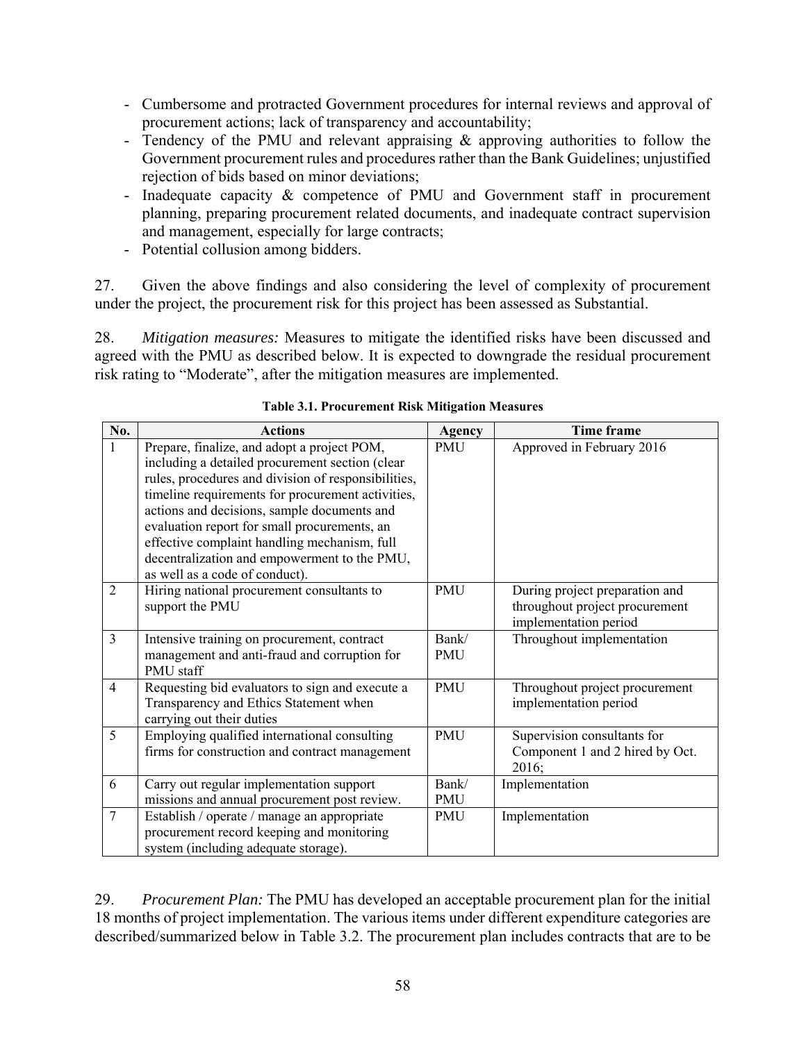- Cumbersome and protracted Government procedures for internal reviews and approval of procurement actions; lack of transparency and accountability;
- Tendency of the PMU and relevant appraising & approving authorities to follow the Government procurement rules and procedures rather than the Bank Guidelines; unjustified rejection of bids based on minor deviations;
- Inadequate capacity & competence of PMU and Government staff in procurement planning, preparing procurement related documents, and inadequate contract supervision and management, especially for large contracts;
- Potential collusion among bidders.

27. Given the above findings and also considering the level of complexity of procurement under the project, the procurement risk for this project has been assessed as Substantial.

28. *Mitigation measures:* Measures to mitigate the identified risks have been discussed and agreed with the PMU as described below. It is expected to downgrade the residual procurement risk rating to "Moderate", after the mitigation measures are implemented.

| No.            | <b>Actions</b>                                                                                                                                                                                                                                                                                                                                                                                                                              | <b>Agency</b>       | Time frame                                                                                |
|----------------|---------------------------------------------------------------------------------------------------------------------------------------------------------------------------------------------------------------------------------------------------------------------------------------------------------------------------------------------------------------------------------------------------------------------------------------------|---------------------|-------------------------------------------------------------------------------------------|
| $\mathbf{1}$   | Prepare, finalize, and adopt a project POM,<br>including a detailed procurement section (clear<br>rules, procedures and division of responsibilities,<br>timeline requirements for procurement activities,<br>actions and decisions, sample documents and<br>evaluation report for small procurements, an<br>effective complaint handling mechanism, full<br>decentralization and empowerment to the PMU,<br>as well as a code of conduct). | <b>PMU</b>          | Approved in February 2016                                                                 |
| $\overline{2}$ | Hiring national procurement consultants to<br>support the PMU                                                                                                                                                                                                                                                                                                                                                                               | <b>PMU</b>          | During project preparation and<br>throughout project procurement<br>implementation period |
| 3              | Intensive training on procurement, contract<br>management and anti-fraud and corruption for<br>PMU staff                                                                                                                                                                                                                                                                                                                                    | Bank/<br><b>PMU</b> | Throughout implementation                                                                 |
| $\overline{4}$ | Requesting bid evaluators to sign and execute a<br>Transparency and Ethics Statement when<br>carrying out their duties                                                                                                                                                                                                                                                                                                                      | <b>PMU</b>          | Throughout project procurement<br>implementation period                                   |
| 5              | Employing qualified international consulting<br>firms for construction and contract management                                                                                                                                                                                                                                                                                                                                              | <b>PMU</b>          | Supervision consultants for<br>Component 1 and 2 hired by Oct.<br>2016;                   |
| 6              | Carry out regular implementation support<br>missions and annual procurement post review.                                                                                                                                                                                                                                                                                                                                                    | Bank/<br>PMU        | Implementation                                                                            |
| $\overline{7}$ | Establish / operate / manage an appropriate<br>procurement record keeping and monitoring<br>system (including adequate storage).                                                                                                                                                                                                                                                                                                            | <b>PMU</b>          | Implementation                                                                            |

| <b>Table 3.1. Procurement Risk Mitigation Measures</b> |  |
|--------------------------------------------------------|--|
|--------------------------------------------------------|--|

29. *Procurement Plan:* The PMU has developed an acceptable procurement plan for the initial 18 months of project implementation. The various items under different expenditure categories are described/summarized below in Table 3.2. The procurement plan includes contracts that are to be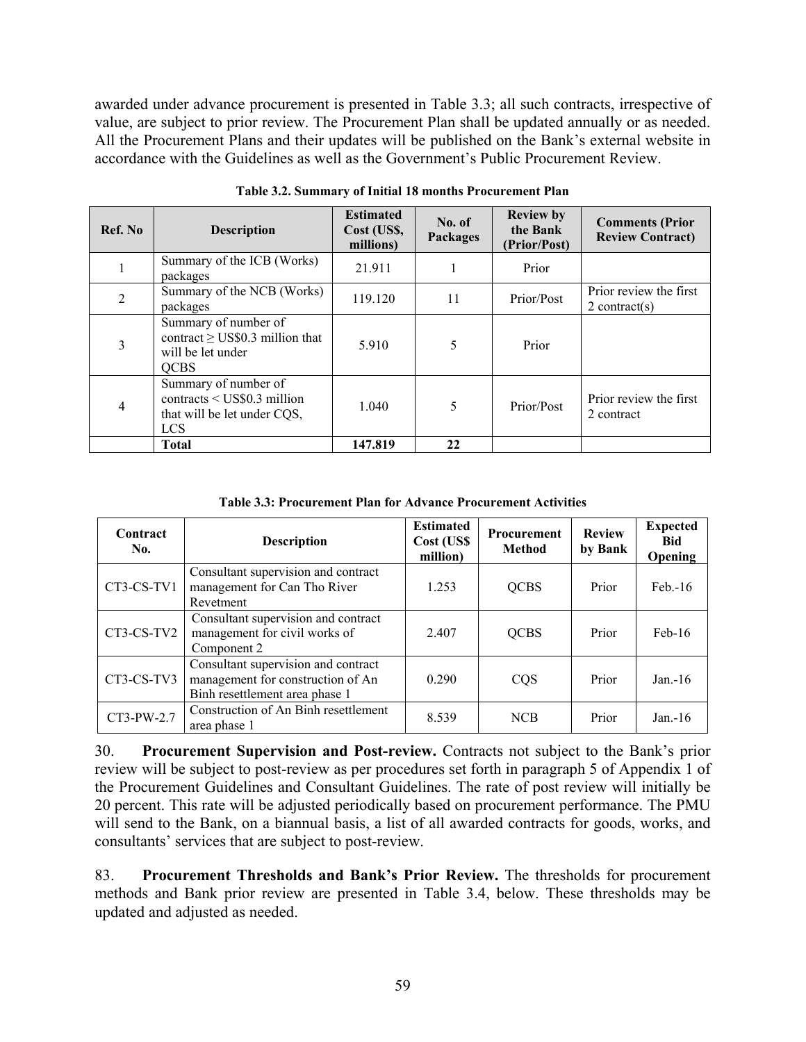awarded under advance procurement is presented in Table 3.3; all such contracts, irrespective of value, are subject to prior review. The Procurement Plan shall be updated annually or as needed. All the Procurement Plans and their updates will be published on the Bank's external website in accordance with the Guidelines as well as the Government's Public Procurement Review.

| Ref. No        | <b>Description</b>                                                                               | <b>Estimated</b><br>Cost (US\$,<br>millions) | No. of<br><b>Packages</b> | <b>Review by</b><br>the Bank<br>(Prior/Post) | <b>Comments (Prior</b><br><b>Review Contract)</b> |
|----------------|--------------------------------------------------------------------------------------------------|----------------------------------------------|---------------------------|----------------------------------------------|---------------------------------------------------|
|                | Summary of the ICB (Works)<br>packages                                                           | 21.911                                       |                           | Prior                                        |                                                   |
| $\overline{2}$ | Summary of the NCB (Works)<br>packages                                                           | 119.120                                      | 11                        | Prior/Post                                   | Prior review the first<br>$2$ contract(s)         |
| 3              | Summary of number of<br>contract $\geq$ US\$0.3 million that<br>will be let under<br><b>QCBS</b> | 5.910                                        | 5                         | Prior                                        |                                                   |
| $\overline{4}$ | Summary of number of<br>contracts < US\$0.3 million<br>that will be let under CQS,<br><b>LCS</b> | 1.040                                        | 5                         | Prior/Post                                   | Prior review the first<br>2 contract              |
|                | <b>Total</b>                                                                                     | 147.819                                      | 22                        |                                              |                                                   |

**Table 3.2. Summary of Initial 18 months Procurement Plan** 

**Table 3.3: Procurement Plan for Advance Procurement Activities** 

| Contract<br>No.                                                                                                          | <b>Description</b>                                                               | <b>Estimated</b><br>Cost (US\$<br>million) | <b>Procurement</b><br><b>Method</b> | <b>Review</b><br>by Bank | <b>Expected</b><br><b>Bid</b><br><b>Opening</b> |
|--------------------------------------------------------------------------------------------------------------------------|----------------------------------------------------------------------------------|--------------------------------------------|-------------------------------------|--------------------------|-------------------------------------------------|
| CT3-CS-TV1                                                                                                               | Consultant supervision and contract<br>management for Can Tho River<br>Revetment |                                            | <b>QCBS</b>                         | Prior                    | $Feb. -16$                                      |
| Consultant supervision and contract<br>management for civil works of<br>CT3-CS-TV2<br>Component 2                        |                                                                                  | 2.407                                      | <b>QCBS</b>                         | Prior                    | $Feb-16$                                        |
| Consultant supervision and contract<br>management for construction of An<br>CT3-CS-TV3<br>Binh resettlement area phase 1 |                                                                                  | 0.290                                      | CQS                                 | Prior                    | $Jan - 16$                                      |
| CT3-PW-2.7                                                                                                               | Construction of An Binh resettlement<br>area phase 1                             | 8.539                                      | <b>NCB</b>                          | Prior                    | $Jan - 16$                                      |

30. **Procurement Supervision and Post-review.** Contracts not subject to the Bank's prior review will be subject to post-review as per procedures set forth in paragraph 5 of Appendix 1 of the Procurement Guidelines and Consultant Guidelines. The rate of post review will initially be 20 percent. This rate will be adjusted periodically based on procurement performance. The PMU will send to the Bank, on a biannual basis, a list of all awarded contracts for goods, works, and consultants' services that are subject to post-review.

83. **Procurement Thresholds and Bank's Prior Review.** The thresholds for procurement methods and Bank prior review are presented in Table 3.4, below. These thresholds may be updated and adjusted as needed.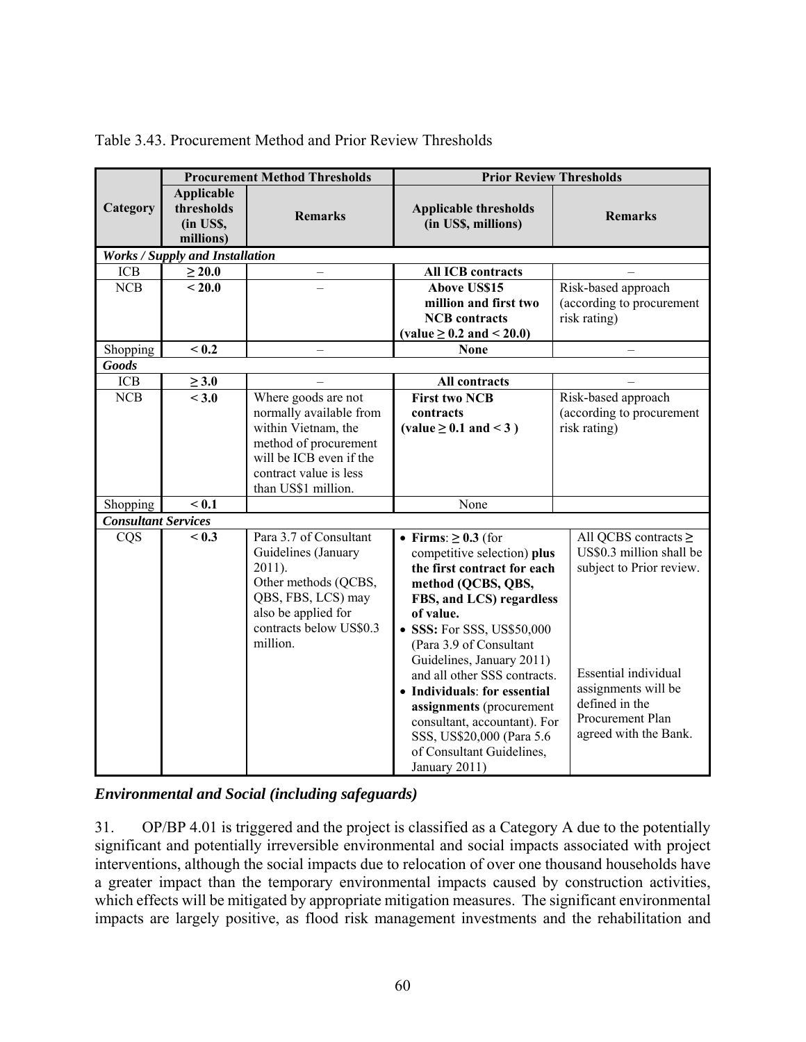|                            |                                                           | <b>Procurement Method Thresholds</b>                                                                                                                                       | <b>Prior Review Thresholds</b>                                                                                                                                                                                                                                                                                                                                                                                                                                                                                                                                                                                                                        |                                                                  |  |
|----------------------------|-----------------------------------------------------------|----------------------------------------------------------------------------------------------------------------------------------------------------------------------------|-------------------------------------------------------------------------------------------------------------------------------------------------------------------------------------------------------------------------------------------------------------------------------------------------------------------------------------------------------------------------------------------------------------------------------------------------------------------------------------------------------------------------------------------------------------------------------------------------------------------------------------------------------|------------------------------------------------------------------|--|
| Category                   | <b>Applicable</b><br>thresholds<br>(in US\$,<br>millions) | <b>Remarks</b>                                                                                                                                                             | <b>Applicable thresholds</b><br>(in US\$, millions)                                                                                                                                                                                                                                                                                                                                                                                                                                                                                                                                                                                                   | <b>Remarks</b>                                                   |  |
|                            | <b>Works / Supply and Installation</b>                    |                                                                                                                                                                            |                                                                                                                                                                                                                                                                                                                                                                                                                                                                                                                                                                                                                                                       |                                                                  |  |
| <b>ICB</b>                 | $\geq 20.0$                                               | —                                                                                                                                                                          | <b>All ICB contracts</b>                                                                                                                                                                                                                                                                                                                                                                                                                                                                                                                                                                                                                              |                                                                  |  |
| NCB                        | ~120.0                                                    |                                                                                                                                                                            | <b>Above US\$15</b>                                                                                                                                                                                                                                                                                                                                                                                                                                                                                                                                                                                                                                   | Risk-based approach                                              |  |
|                            |                                                           |                                                                                                                                                                            | million and first two                                                                                                                                                                                                                                                                                                                                                                                                                                                                                                                                                                                                                                 | (according to procurement                                        |  |
|                            |                                                           |                                                                                                                                                                            | <b>NCB</b> contracts                                                                                                                                                                                                                                                                                                                                                                                                                                                                                                                                                                                                                                  | risk rating)                                                     |  |
|                            |                                                           |                                                                                                                                                                            | $\text{(value} \geq 0.2 \text{ and } \leq 20.0)$                                                                                                                                                                                                                                                                                                                                                                                                                                                                                                                                                                                                      |                                                                  |  |
| Shopping                   | < 0.2                                                     |                                                                                                                                                                            | <b>None</b>                                                                                                                                                                                                                                                                                                                                                                                                                                                                                                                                                                                                                                           |                                                                  |  |
| <b>Goods</b>               |                                                           |                                                                                                                                                                            |                                                                                                                                                                                                                                                                                                                                                                                                                                                                                                                                                                                                                                                       |                                                                  |  |
| <b>ICB</b>                 | $\geq 3.0$                                                |                                                                                                                                                                            | All contracts<br><b>First two NCB</b>                                                                                                                                                                                                                                                                                                                                                                                                                                                                                                                                                                                                                 |                                                                  |  |
| NCB                        | < 3.0                                                     | Where goods are not<br>normally available from<br>within Vietnam, the<br>method of procurement<br>will be ICB even if the<br>contract value is less<br>than US\$1 million. | contracts<br>(value $\geq$ 0.1 and < 3)                                                                                                                                                                                                                                                                                                                                                                                                                                                                                                                                                                                                               | Risk-based approach<br>(according to procurement<br>risk rating) |  |
| Shopping                   | < 0.1                                                     |                                                                                                                                                                            | None                                                                                                                                                                                                                                                                                                                                                                                                                                                                                                                                                                                                                                                  |                                                                  |  |
| <b>Consultant Services</b> |                                                           |                                                                                                                                                                            |                                                                                                                                                                                                                                                                                                                                                                                                                                                                                                                                                                                                                                                       |                                                                  |  |
| CQS                        | < 0.3                                                     | Para 3.7 of Consultant<br>Guidelines (January<br>$2011$ ).<br>Other methods (QCBS,<br>QBS, FBS, LCS) may<br>also be applied for<br>contracts below US\$0.3<br>million.     | All QCBS contracts $\geq$<br>• Firms: $\geq 0.3$ (for<br>US\$0.3 million shall be<br>competitive selection) plus<br>subject to Prior review.<br>the first contract for each<br>method (QCBS, QBS,<br>FBS, and LCS) regardless<br>of value.<br>• SSS: For SSS, US\$50,000<br>(Para 3.9 of Consultant<br>Guidelines, January 2011)<br>Essential individual<br>and all other SSS contracts.<br>assignments will be<br>• Individuals: for essential<br>defined in the<br>assignments (procurement<br>Procurement Plan<br>consultant, accountant). For<br>agreed with the Bank.<br>SSS, US\$20,000 (Para 5.6<br>of Consultant Guidelines,<br>January 2011) |                                                                  |  |

## Table 3.43. Procurement Method and Prior Review Thresholds

*Environmental and Social (including safeguards)*

31. OP/BP 4.01 is triggered and the project is classified as a Category A due to the potentially significant and potentially irreversible environmental and social impacts associated with project interventions, although the social impacts due to relocation of over one thousand households have a greater impact than the temporary environmental impacts caused by construction activities, which effects will be mitigated by appropriate mitigation measures. The significant environmental impacts are largely positive, as flood risk management investments and the rehabilitation and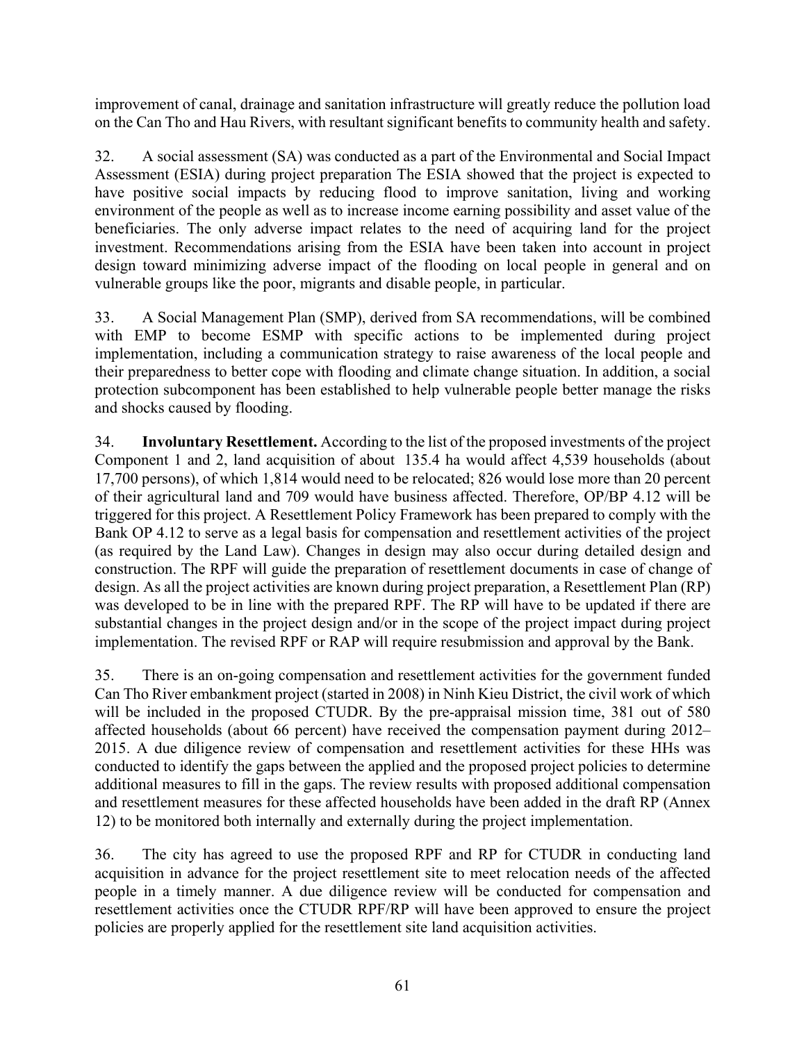improvement of canal, drainage and sanitation infrastructure will greatly reduce the pollution load on the Can Tho and Hau Rivers, with resultant significant benefits to community health and safety.

32. A social assessment (SA) was conducted as a part of the Environmental and Social Impact Assessment (ESIA) during project preparation The ESIA showed that the project is expected to have positive social impacts by reducing flood to improve sanitation, living and working environment of the people as well as to increase income earning possibility and asset value of the beneficiaries. The only adverse impact relates to the need of acquiring land for the project investment. Recommendations arising from the ESIA have been taken into account in project design toward minimizing adverse impact of the flooding on local people in general and on vulnerable groups like the poor, migrants and disable people, in particular.

33. A Social Management Plan (SMP), derived from SA recommendations, will be combined with EMP to become ESMP with specific actions to be implemented during project implementation, including a communication strategy to raise awareness of the local people and their preparedness to better cope with flooding and climate change situation. In addition, a social protection subcomponent has been established to help vulnerable people better manage the risks and shocks caused by flooding.

34. **Involuntary Resettlement.** According to the list of the proposed investments of the project Component 1 and 2, land acquisition of about 135.4 ha would affect 4,539 households (about 17,700 persons), of which 1,814 would need to be relocated; 826 would lose more than 20 percent of their agricultural land and 709 would have business affected. Therefore, OP/BP 4.12 will be triggered for this project. A Resettlement Policy Framework has been prepared to comply with the Bank OP 4.12 to serve as a legal basis for compensation and resettlement activities of the project (as required by the Land Law). Changes in design may also occur during detailed design and construction. The RPF will guide the preparation of resettlement documents in case of change of design. As all the project activities are known during project preparation, a Resettlement Plan (RP) was developed to be in line with the prepared RPF. The RP will have to be updated if there are substantial changes in the project design and/or in the scope of the project impact during project implementation. The revised RPF or RAP will require resubmission and approval by the Bank.

35. There is an on-going compensation and resettlement activities for the government funded Can Tho River embankment project (started in 2008) in Ninh Kieu District, the civil work of which will be included in the proposed CTUDR. By the pre-appraisal mission time, 381 out of 580 affected households (about 66 percent) have received the compensation payment during 2012– 2015. A due diligence review of compensation and resettlement activities for these HHs was conducted to identify the gaps between the applied and the proposed project policies to determine additional measures to fill in the gaps. The review results with proposed additional compensation and resettlement measures for these affected households have been added in the draft RP (Annex 12) to be monitored both internally and externally during the project implementation.

36. The city has agreed to use the proposed RPF and RP for CTUDR in conducting land acquisition in advance for the project resettlement site to meet relocation needs of the affected people in a timely manner. A due diligence review will be conducted for compensation and resettlement activities once the CTUDR RPF/RP will have been approved to ensure the project policies are properly applied for the resettlement site land acquisition activities.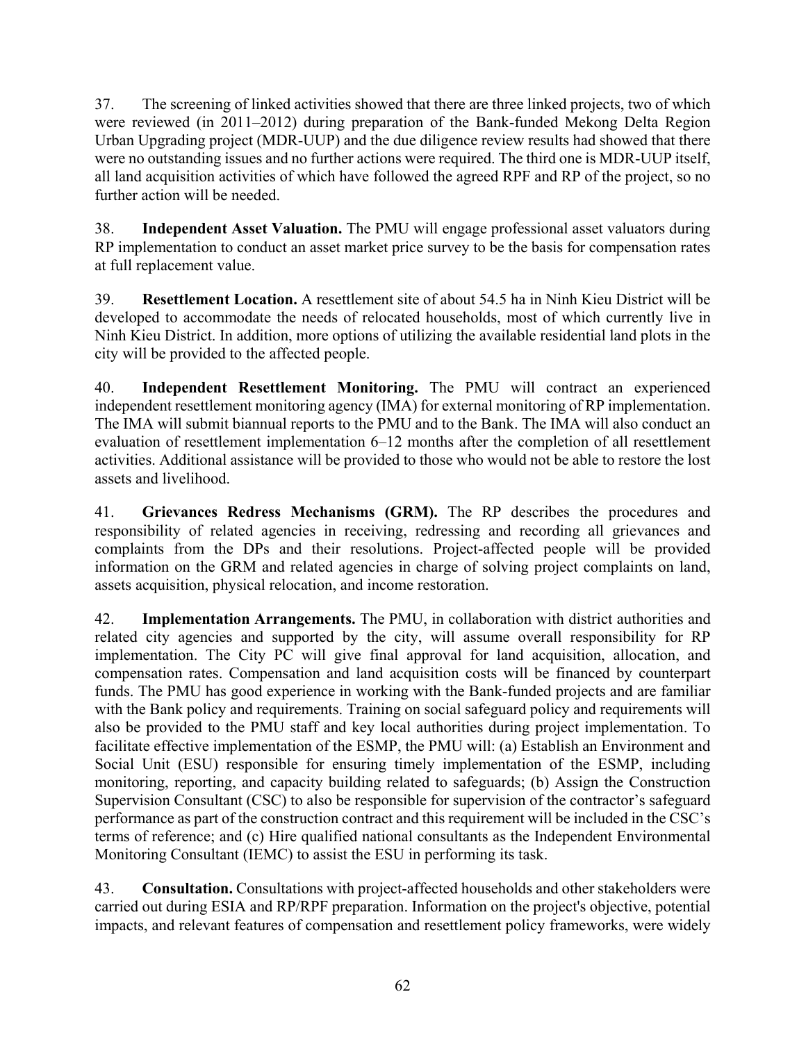37. The screening of linked activities showed that there are three linked projects, two of which were reviewed (in 2011–2012) during preparation of the Bank-funded Mekong Delta Region Urban Upgrading project (MDR-UUP) and the due diligence review results had showed that there were no outstanding issues and no further actions were required. The third one is MDR-UUP itself, all land acquisition activities of which have followed the agreed RPF and RP of the project, so no further action will be needed.

38. **Independent Asset Valuation.** The PMU will engage professional asset valuators during RP implementation to conduct an asset market price survey to be the basis for compensation rates at full replacement value.

39. **Resettlement Location.** A resettlement site of about 54.5 ha in Ninh Kieu District will be developed to accommodate the needs of relocated households, most of which currently live in Ninh Kieu District. In addition, more options of utilizing the available residential land plots in the city will be provided to the affected people.

40. **Independent Resettlement Monitoring.** The PMU will contract an experienced independent resettlement monitoring agency (IMA) for external monitoring of RP implementation. The IMA will submit biannual reports to the PMU and to the Bank. The IMA will also conduct an evaluation of resettlement implementation 6–12 months after the completion of all resettlement activities. Additional assistance will be provided to those who would not be able to restore the lost assets and livelihood.

41. **Grievances Redress Mechanisms (GRM).** The RP describes the procedures and responsibility of related agencies in receiving, redressing and recording all grievances and complaints from the DPs and their resolutions. Project-affected people will be provided information on the GRM and related agencies in charge of solving project complaints on land, assets acquisition, physical relocation, and income restoration.

42. **Implementation Arrangements.** The PMU, in collaboration with district authorities and related city agencies and supported by the city, will assume overall responsibility for RP implementation. The City PC will give final approval for land acquisition, allocation, and compensation rates. Compensation and land acquisition costs will be financed by counterpart funds. The PMU has good experience in working with the Bank-funded projects and are familiar with the Bank policy and requirements. Training on social safeguard policy and requirements will also be provided to the PMU staff and key local authorities during project implementation. To facilitate effective implementation of the ESMP, the PMU will: (a) Establish an Environment and Social Unit (ESU) responsible for ensuring timely implementation of the ESMP, including monitoring, reporting, and capacity building related to safeguards; (b) Assign the Construction Supervision Consultant (CSC) to also be responsible for supervision of the contractor's safeguard performance as part of the construction contract and this requirement will be included in the CSC's terms of reference; and (c) Hire qualified national consultants as the Independent Environmental Monitoring Consultant (IEMC) to assist the ESU in performing its task.

43. **Consultation.** Consultations with project-affected households and other stakeholders were carried out during ESIA and RP/RPF preparation. Information on the project's objective, potential impacts, and relevant features of compensation and resettlement policy frameworks, were widely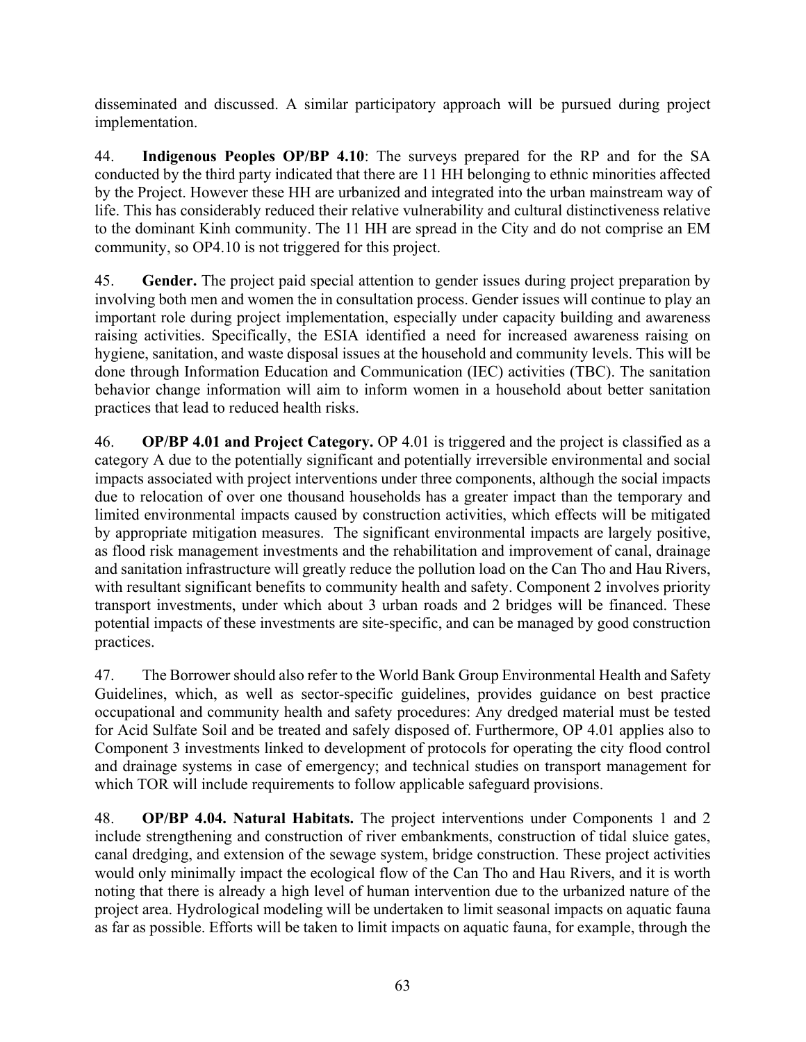disseminated and discussed. A similar participatory approach will be pursued during project implementation.

44. **Indigenous Peoples OP/BP 4.10**: The surveys prepared for the RP and for the SA conducted by the third party indicated that there are 11 HH belonging to ethnic minorities affected by the Project. However these HH are urbanized and integrated into the urban mainstream way of life. This has considerably reduced their relative vulnerability and cultural distinctiveness relative to the dominant Kinh community. The 11 HH are spread in the City and do not comprise an EM community, so OP4.10 is not triggered for this project.

45. **Gender.** The project paid special attention to gender issues during project preparation by involving both men and women the in consultation process. Gender issues will continue to play an important role during project implementation, especially under capacity building and awareness raising activities. Specifically, the ESIA identified a need for increased awareness raising on hygiene, sanitation, and waste disposal issues at the household and community levels. This will be done through Information Education and Communication (IEC) activities (TBC). The sanitation behavior change information will aim to inform women in a household about better sanitation practices that lead to reduced health risks.

46. **OP/BP 4.01 and Project Category.** OP 4.01 is triggered and the project is classified as a category A due to the potentially significant and potentially irreversible environmental and social impacts associated with project interventions under three components, although the social impacts due to relocation of over one thousand households has a greater impact than the temporary and limited environmental impacts caused by construction activities, which effects will be mitigated by appropriate mitigation measures. The significant environmental impacts are largely positive, as flood risk management investments and the rehabilitation and improvement of canal, drainage and sanitation infrastructure will greatly reduce the pollution load on the Can Tho and Hau Rivers, with resultant significant benefits to community health and safety. Component 2 involves priority transport investments, under which about 3 urban roads and 2 bridges will be financed. These potential impacts of these investments are site-specific, and can be managed by good construction practices.

47. The Borrower should also refer to the World Bank Group Environmental Health and Safety Guidelines, which, as well as sector-specific guidelines, provides guidance on best practice occupational and community health and safety procedures: Any dredged material must be tested for Acid Sulfate Soil and be treated and safely disposed of. Furthermore, OP 4.01 applies also to Component 3 investments linked to development of protocols for operating the city flood control and drainage systems in case of emergency; and technical studies on transport management for which TOR will include requirements to follow applicable safeguard provisions.

48. **OP/BP 4.04. Natural Habitats.** The project interventions under Components 1 and 2 include strengthening and construction of river embankments, construction of tidal sluice gates, canal dredging, and extension of the sewage system, bridge construction. These project activities would only minimally impact the ecological flow of the Can Tho and Hau Rivers, and it is worth noting that there is already a high level of human intervention due to the urbanized nature of the project area. Hydrological modeling will be undertaken to limit seasonal impacts on aquatic fauna as far as possible. Efforts will be taken to limit impacts on aquatic fauna, for example, through the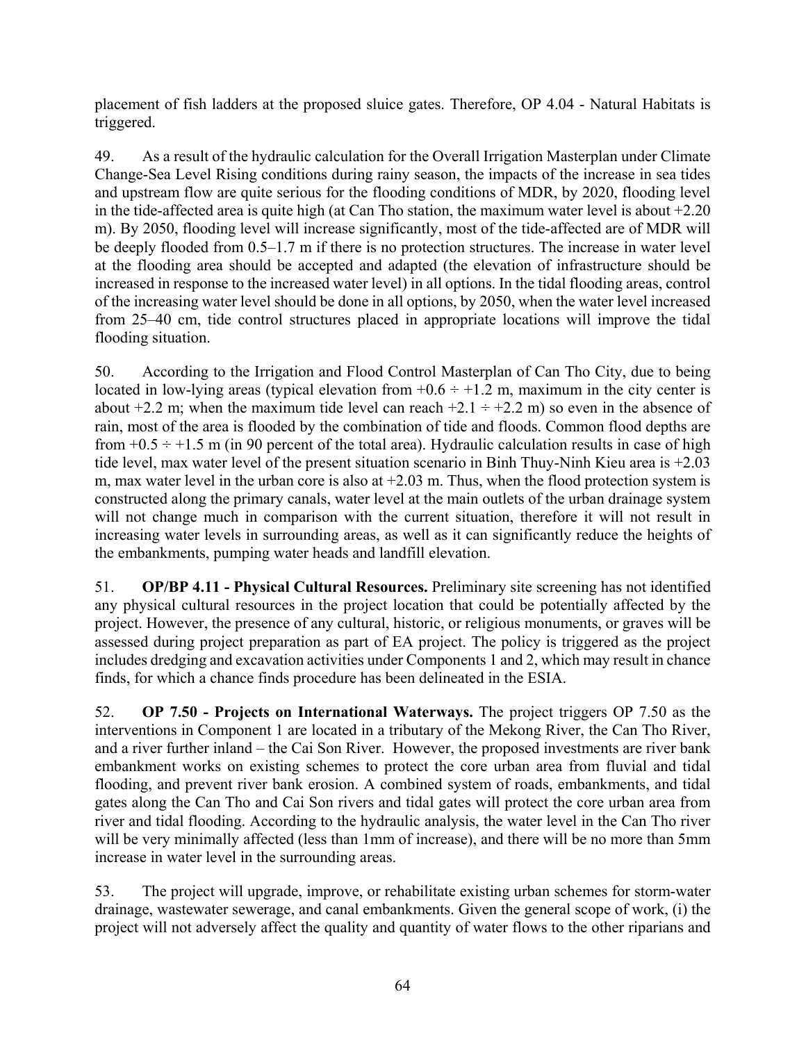placement of fish ladders at the proposed sluice gates. Therefore, OP 4.04 - Natural Habitats is triggered.

49. As a result of the hydraulic calculation for the Overall Irrigation Masterplan under Climate Change-Sea Level Rising conditions during rainy season, the impacts of the increase in sea tides and upstream flow are quite serious for the flooding conditions of MDR, by 2020, flooding level in the tide-affected area is quite high (at Can Tho station, the maximum water level is about +2.20 m). By 2050, flooding level will increase significantly, most of the tide-affected are of MDR will be deeply flooded from 0.5–1.7 m if there is no protection structures. The increase in water level at the flooding area should be accepted and adapted (the elevation of infrastructure should be increased in response to the increased water level) in all options. In the tidal flooding areas, control of the increasing water level should be done in all options, by 2050, when the water level increased from 25–40 cm, tide control structures placed in appropriate locations will improve the tidal flooding situation.

50. According to the Irrigation and Flood Control Masterplan of Can Tho City, due to being located in low-lying areas (typical elevation from  $+0.6 \div +1.2$  m, maximum in the city center is about  $+2.2$  m; when the maximum tide level can reach  $+2.1 \div +2.2$  m) so even in the absence of rain, most of the area is flooded by the combination of tide and floods. Common flood depths are from  $+0.5 \div +1.5$  m (in 90 percent of the total area). Hydraulic calculation results in case of high tide level, max water level of the present situation scenario in Binh Thuy-Ninh Kieu area is +2.03 m, max water level in the urban core is also at  $+2.03$  m. Thus, when the flood protection system is constructed along the primary canals, water level at the main outlets of the urban drainage system will not change much in comparison with the current situation, therefore it will not result in increasing water levels in surrounding areas, as well as it can significantly reduce the heights of the embankments, pumping water heads and landfill elevation.

51. **OP/BP 4.11 - Physical Cultural Resources.** Preliminary site screening has not identified any physical cultural resources in the project location that could be potentially affected by the project. However, the presence of any cultural, historic, or religious monuments, or graves will be assessed during project preparation as part of EA project. The policy is triggered as the project includes dredging and excavation activities under Components 1 and 2, which may result in chance finds, for which a chance finds procedure has been delineated in the ESIA.

52. **OP 7.50 - Projects on International Waterways.** The project triggers OP 7.50 as the interventions in Component 1 are located in a tributary of the Mekong River, the Can Tho River, and a river further inland – the Cai Son River. However, the proposed investments are river bank embankment works on existing schemes to protect the core urban area from fluvial and tidal flooding, and prevent river bank erosion. A combined system of roads, embankments, and tidal gates along the Can Tho and Cai Son rivers and tidal gates will protect the core urban area from river and tidal flooding. According to the hydraulic analysis, the water level in the Can Tho river will be very minimally affected (less than 1mm of increase), and there will be no more than 5mm increase in water level in the surrounding areas.

53. The project will upgrade, improve, or rehabilitate existing urban schemes for storm-water drainage, wastewater sewerage, and canal embankments. Given the general scope of work, (i) the project will not adversely affect the quality and quantity of water flows to the other riparians and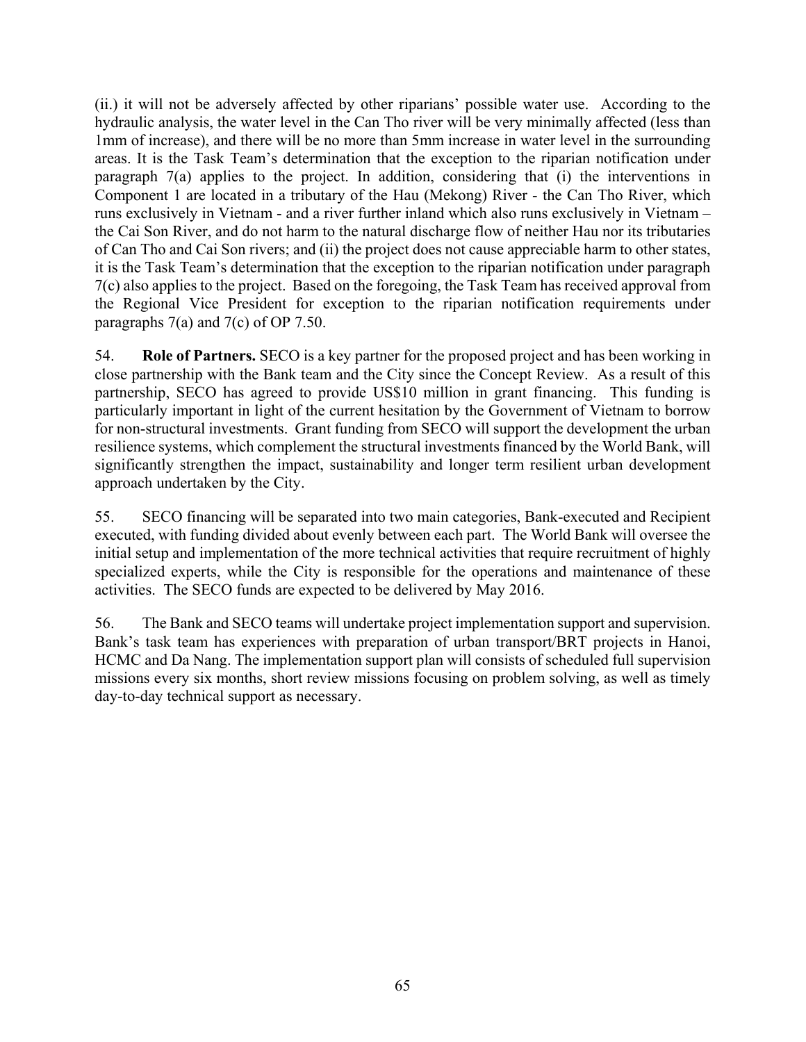(ii.) it will not be adversely affected by other riparians' possible water use. According to the hydraulic analysis, the water level in the Can Tho river will be very minimally affected (less than 1mm of increase), and there will be no more than 5mm increase in water level in the surrounding areas. It is the Task Team's determination that the exception to the riparian notification under paragraph 7(a) applies to the project. In addition, considering that (i) the interventions in Component 1 are located in a tributary of the Hau (Mekong) River - the Can Tho River, which runs exclusively in Vietnam - and a river further inland which also runs exclusively in Vietnam – the Cai Son River, and do not harm to the natural discharge flow of neither Hau nor its tributaries of Can Tho and Cai Son rivers; and (ii) the project does not cause appreciable harm to other states, it is the Task Team's determination that the exception to the riparian notification under paragraph 7(c) also applies to the project. Based on the foregoing, the Task Team has received approval from the Regional Vice President for exception to the riparian notification requirements under paragraphs 7(a) and 7(c) of OP 7.50.

54. **Role of Partners.** SECO is a key partner for the proposed project and has been working in close partnership with the Bank team and the City since the Concept Review. As a result of this partnership, SECO has agreed to provide US\$10 million in grant financing. This funding is particularly important in light of the current hesitation by the Government of Vietnam to borrow for non-structural investments. Grant funding from SECO will support the development the urban resilience systems, which complement the structural investments financed by the World Bank, will significantly strengthen the impact, sustainability and longer term resilient urban development approach undertaken by the City.

55. SECO financing will be separated into two main categories, Bank-executed and Recipient executed, with funding divided about evenly between each part. The World Bank will oversee the initial setup and implementation of the more technical activities that require recruitment of highly specialized experts, while the City is responsible for the operations and maintenance of these activities. The SECO funds are expected to be delivered by May 2016.

56. The Bank and SECO teams will undertake project implementation support and supervision. Bank's task team has experiences with preparation of urban transport/BRT projects in Hanoi, HCMC and Da Nang. The implementation support plan will consists of scheduled full supervision missions every six months, short review missions focusing on problem solving, as well as timely day-to-day technical support as necessary.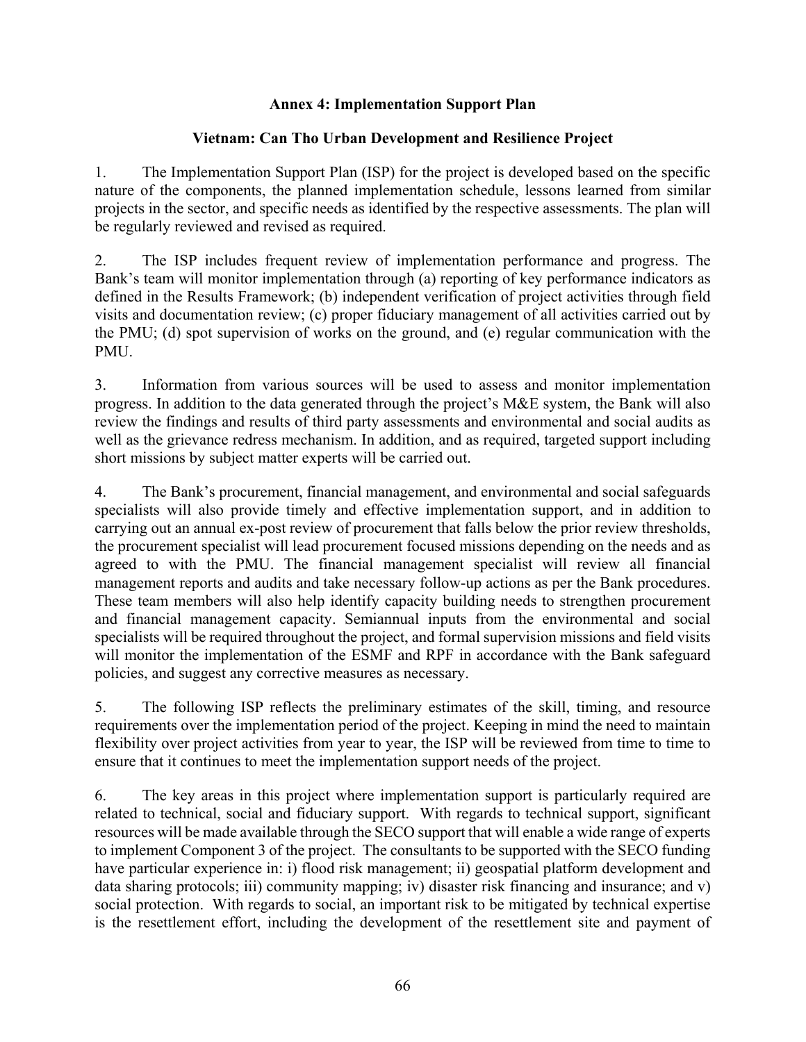## **Annex 4: Implementation Support Plan**

## **Vietnam: Can Tho Urban Development and Resilience Project**

1. The Implementation Support Plan (ISP) for the project is developed based on the specific nature of the components, the planned implementation schedule, lessons learned from similar projects in the sector, and specific needs as identified by the respective assessments. The plan will be regularly reviewed and revised as required.

2. The ISP includes frequent review of implementation performance and progress. The Bank's team will monitor implementation through (a) reporting of key performance indicators as defined in the Results Framework; (b) independent verification of project activities through field visits and documentation review; (c) proper fiduciary management of all activities carried out by the PMU; (d) spot supervision of works on the ground, and (e) regular communication with the PMU.

3. Information from various sources will be used to assess and monitor implementation progress. In addition to the data generated through the project's M&E system, the Bank will also review the findings and results of third party assessments and environmental and social audits as well as the grievance redress mechanism. In addition, and as required, targeted support including short missions by subject matter experts will be carried out.

4. The Bank's procurement, financial management, and environmental and social safeguards specialists will also provide timely and effective implementation support, and in addition to carrying out an annual ex-post review of procurement that falls below the prior review thresholds, the procurement specialist will lead procurement focused missions depending on the needs and as agreed to with the PMU. The financial management specialist will review all financial management reports and audits and take necessary follow-up actions as per the Bank procedures. These team members will also help identify capacity building needs to strengthen procurement and financial management capacity. Semiannual inputs from the environmental and social specialists will be required throughout the project, and formal supervision missions and field visits will monitor the implementation of the ESMF and RPF in accordance with the Bank safeguard policies, and suggest any corrective measures as necessary.

5. The following ISP reflects the preliminary estimates of the skill, timing, and resource requirements over the implementation period of the project. Keeping in mind the need to maintain flexibility over project activities from year to year, the ISP will be reviewed from time to time to ensure that it continues to meet the implementation support needs of the project.

6. The key areas in this project where implementation support is particularly required are related to technical, social and fiduciary support. With regards to technical support, significant resources will be made available through the SECO support that will enable a wide range of experts to implement Component 3 of the project. The consultants to be supported with the SECO funding have particular experience in: i) flood risk management; ii) geospatial platform development and data sharing protocols; iii) community mapping; iv) disaster risk financing and insurance; and v) social protection. With regards to social, an important risk to be mitigated by technical expertise is the resettlement effort, including the development of the resettlement site and payment of